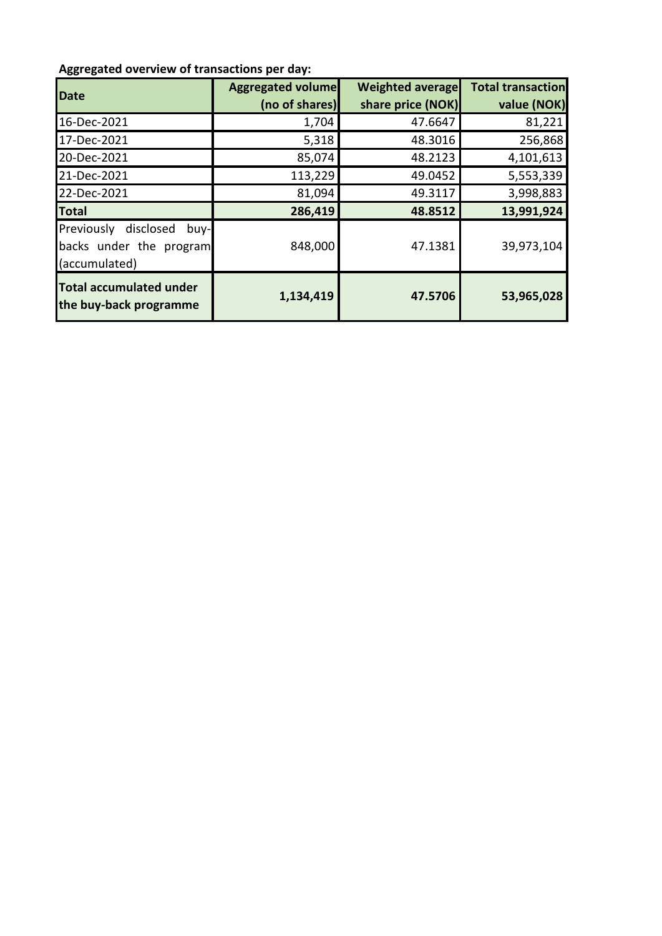## **Aggregated overview of transactions per day:**

| Date                                                                        | <b>Aggregated volume</b><br>(no of shares) | <b>Weighted average</b><br>share price (NOK) | <b>Total transaction</b><br>value (NOK) |
|-----------------------------------------------------------------------------|--------------------------------------------|----------------------------------------------|-----------------------------------------|
| 16-Dec-2021                                                                 | 1,704                                      | 47.6647                                      | 81,221                                  |
| 17-Dec-2021                                                                 | 5,318                                      | 48.3016                                      | 256,868                                 |
| 20-Dec-2021                                                                 | 85,074                                     | 48.2123                                      | 4,101,613                               |
| 21-Dec-2021                                                                 | 113,229                                    | 49.0452                                      | 5,553,339                               |
| 22-Dec-2021                                                                 | 81,094                                     | 49.3117                                      | 3,998,883                               |
| <b>Total</b>                                                                | 286,419                                    | 48.8512                                      | 13,991,924                              |
| Previously<br>disclosed<br>buy-<br>backs under the program<br>(accumulated) | 848,000                                    | 47.1381                                      | 39,973,104                              |
| <b>Total accumulated under</b><br>the buy-back programme                    | 1,134,419                                  | 47.5706                                      | 53,965,028                              |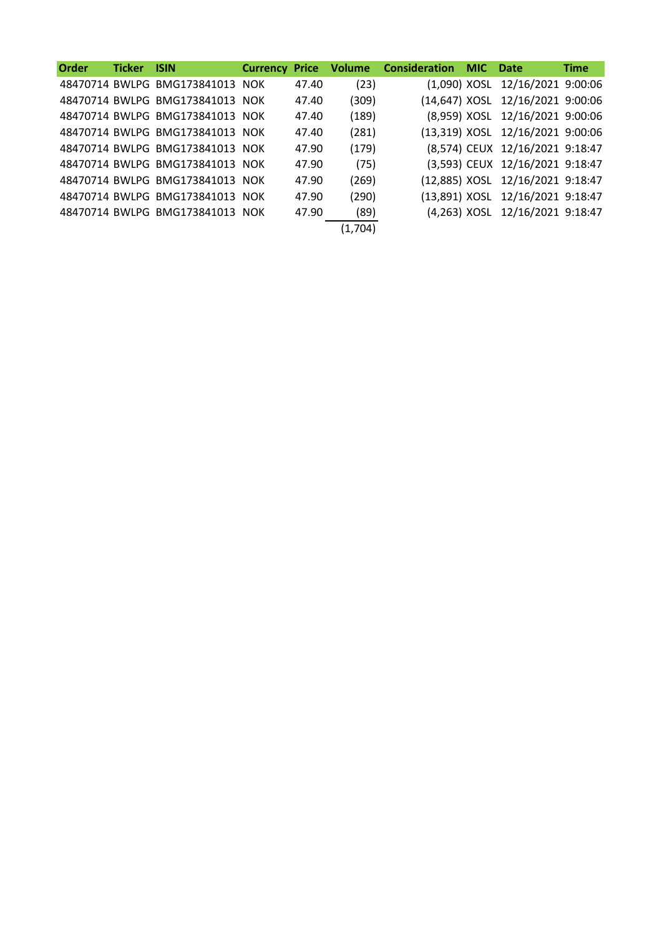| <b>Order</b> | <b>Ticker ISIN</b> |                                 | <b>Currency Price</b> |       |         | <b>Volume Consideration MIC Date</b> |                                  | <b>Time</b> |
|--------------|--------------------|---------------------------------|-----------------------|-------|---------|--------------------------------------|----------------------------------|-------------|
|              |                    | 48470714 BWLPG BMG173841013 NOK |                       | 47.40 | (23)    |                                      | (1,090) XOSL 12/16/2021 9:00:06  |             |
|              |                    | 48470714 BWLPG BMG173841013 NOK |                       | 47.40 | (309)   |                                      | (14,647) XOSL 12/16/2021 9:00:06 |             |
|              |                    | 48470714 BWLPG BMG173841013 NOK |                       | 47.40 | (189)   |                                      | (8,959) XOSL 12/16/2021 9:00:06  |             |
|              |                    | 48470714 BWLPG BMG173841013 NOK |                       | 47.40 | (281)   |                                      | (13,319) XOSL 12/16/2021 9:00:06 |             |
|              |                    | 48470714 BWLPG BMG173841013 NOK |                       | 47.90 | (179)   |                                      | (8,574) CEUX 12/16/2021 9:18:47  |             |
|              |                    | 48470714 BWLPG BMG173841013 NOK |                       | 47.90 | (75)    |                                      | (3,593) CEUX 12/16/2021 9:18:47  |             |
|              |                    | 48470714 BWLPG BMG173841013 NOK |                       | 47.90 | (269)   |                                      | (12,885) XOSL 12/16/2021 9:18:47 |             |
|              |                    | 48470714 BWLPG BMG173841013 NOK |                       | 47.90 | (290)   |                                      | (13,891) XOSL 12/16/2021 9:18:47 |             |
|              |                    | 48470714 BWLPG BMG173841013 NOK |                       | 47.90 | (89)    |                                      | (4,263) XOSL 12/16/2021 9:18:47  |             |
|              |                    |                                 |                       |       | (1,704) |                                      |                                  |             |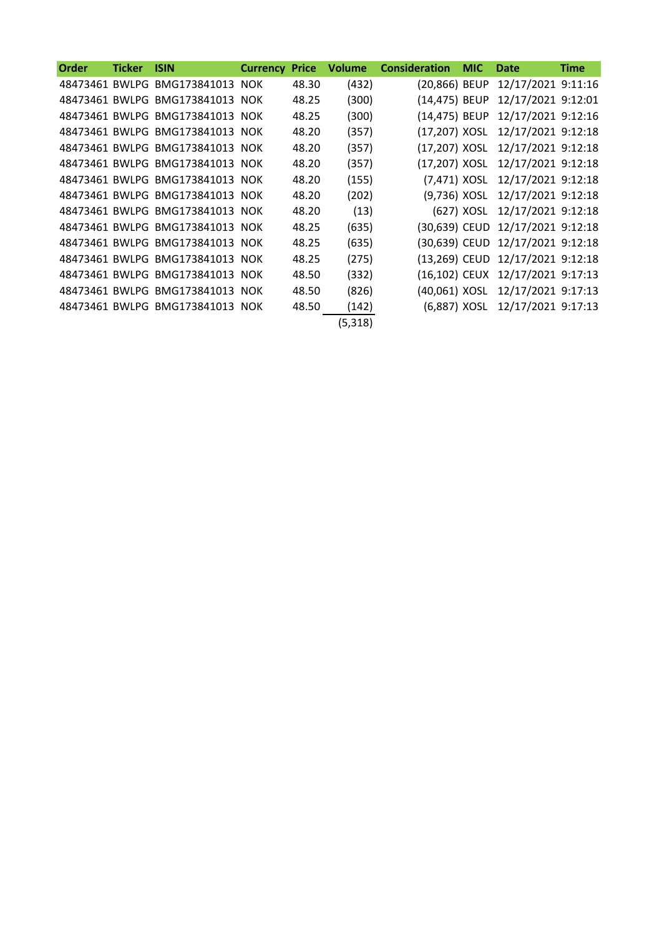| <b>Order</b> | <b>Ticker</b> | <b>ISIN</b>                     | <b>Currency</b> | <b>Price</b> | <b>Volume</b> | <b>Consideration</b> | <b>MIC</b> | Date                             | <b>Time</b> |
|--------------|---------------|---------------------------------|-----------------|--------------|---------------|----------------------|------------|----------------------------------|-------------|
|              |               | 48473461 BWLPG BMG173841013 NOK |                 | 48.30        | (432)         | (20,866) BEUP        |            | 12/17/2021 9:11:16               |             |
|              |               | 48473461 BWLPG BMG173841013 NOK |                 | 48.25        | (300)         | (14,475) BEUP        |            | 12/17/2021 9:12:01               |             |
|              |               | 48473461 BWLPG BMG173841013 NOK |                 | 48.25        | (300)         | (14,475) BEUP        |            | 12/17/2021 9:12:16               |             |
|              |               | 48473461 BWLPG BMG173841013 NOK |                 | 48.20        | (357)         | (17,207) XOSL        |            | 12/17/2021 9:12:18               |             |
|              |               | 48473461 BWLPG BMG173841013 NOK |                 | 48.20        | (357)         | (17,207) XOSL        |            | 12/17/2021 9:12:18               |             |
|              |               | 48473461 BWLPG BMG173841013 NOK |                 | 48.20        | (357)         | (17,207) XOSL        |            | 12/17/2021 9:12:18               |             |
|              |               | 48473461 BWLPG BMG173841013 NOK |                 | 48.20        | (155)         | (7,471) XOSL         |            | 12/17/2021 9:12:18               |             |
|              |               | 48473461 BWLPG BMG173841013 NOK |                 | 48.20        | (202)         | (9,736) XOSL         |            | 12/17/2021 9:12:18               |             |
|              |               | 48473461 BWLPG BMG173841013 NOK |                 | 48.20        | (13)          |                      | (627) XOSL | 12/17/2021 9:12:18               |             |
|              |               | 48473461 BWLPG BMG173841013 NOK |                 | 48.25        | (635)         |                      |            | (30,639) CEUD 12/17/2021 9:12:18 |             |
|              |               | 48473461 BWLPG BMG173841013 NOK |                 | 48.25        | (635)         |                      |            | (30,639) CEUD 12/17/2021 9:12:18 |             |
|              |               | 48473461 BWLPG BMG173841013 NOK |                 | 48.25        | (275)         |                      |            | (13,269) CEUD 12/17/2021 9:12:18 |             |
|              |               | 48473461 BWLPG BMG173841013 NOK |                 | 48.50        | (332)         |                      |            | (16,102) CEUX 12/17/2021 9:17:13 |             |
|              |               | 48473461 BWLPG BMG173841013 NOK |                 | 48.50        | (826)         | (40,061) XOSL        |            | 12/17/2021 9:17:13               |             |
|              |               | 48473461 BWLPG BMG173841013 NOK |                 | 48.50        | (142)         | (6,887) XOSL         |            | 12/17/2021 9:17:13               |             |
|              |               |                                 |                 |              | (5, 318)      |                      |            |                                  |             |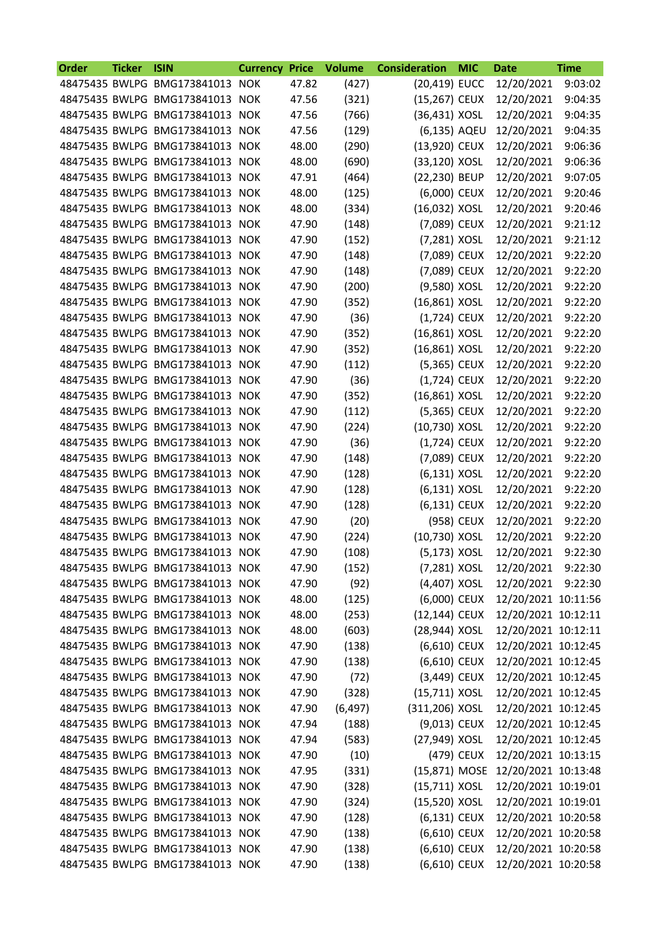| Order | <b>Ticker</b> | <b>ISIN</b>                     | <b>Currency</b> | <b>Price</b> | <b>Volume</b> | <b>Consideration</b> | <b>MIC</b> | <b>Date</b>         | <b>Time</b> |
|-------|---------------|---------------------------------|-----------------|--------------|---------------|----------------------|------------|---------------------|-------------|
|       |               | 48475435 BWLPG BMG173841013 NOK |                 | 47.82        | (427)         | (20,419) EUCC        |            | 12/20/2021          | 9:03:02     |
|       |               | 48475435 BWLPG BMG173841013 NOK |                 | 47.56        | (321)         | (15,267) CEUX        |            | 12/20/2021          | 9:04:35     |
|       |               | 48475435 BWLPG BMG173841013 NOK |                 | 47.56        | (766)         | (36,431) XOSL        |            | 12/20/2021          | 9:04:35     |
|       |               | 48475435 BWLPG BMG173841013 NOK |                 | 47.56        | (129)         | (6,135) AQEU         |            | 12/20/2021          | 9:04:35     |
|       |               | 48475435 BWLPG BMG173841013     | <b>NOK</b>      | 48.00        | (290)         | (13,920) CEUX        |            | 12/20/2021          | 9:06:36     |
|       |               | 48475435 BWLPG BMG173841013     | <b>NOK</b>      | 48.00        | (690)         | (33,120) XOSL        |            | 12/20/2021          | 9:06:36     |
|       |               | 48475435 BWLPG BMG173841013     | <b>NOK</b>      | 47.91        | (464)         | (22,230) BEUP        |            | 12/20/2021          | 9:07:05     |
|       |               | 48475435 BWLPG BMG173841013     | <b>NOK</b>      | 48.00        | (125)         | (6,000) CEUX         |            | 12/20/2021          | 9:20:46     |
|       |               | 48475435 BWLPG BMG173841013 NOK |                 | 48.00        | (334)         | (16,032) XOSL        |            | 12/20/2021          | 9:20:46     |
|       |               | 48475435 BWLPG BMG173841013 NOK |                 | 47.90        | (148)         | (7,089) CEUX         |            | 12/20/2021          | 9:21:12     |
|       |               | 48475435 BWLPG BMG173841013     | <b>NOK</b>      | 47.90        | (152)         | (7,281) XOSL         |            | 12/20/2021          | 9:21:12     |
|       |               | 48475435 BWLPG BMG173841013 NOK |                 | 47.90        | (148)         | (7,089) CEUX         |            | 12/20/2021          | 9:22:20     |
|       |               | 48475435 BWLPG BMG173841013     | <b>NOK</b>      | 47.90        | (148)         | (7,089) CEUX         |            | 12/20/2021          | 9:22:20     |
|       |               | 48475435 BWLPG BMG173841013     | <b>NOK</b>      | 47.90        | (200)         | (9,580) XOSL         |            | 12/20/2021          | 9:22:20     |
|       |               | 48475435 BWLPG BMG173841013 NOK |                 | 47.90        | (352)         | (16,861) XOSL        |            | 12/20/2021          | 9:22:20     |
|       |               | 48475435 BWLPG BMG173841013     | <b>NOK</b>      | 47.90        | (36)          | (1,724) CEUX         |            | 12/20/2021          | 9:22:20     |
|       |               | 48475435 BWLPG BMG173841013     | <b>NOK</b>      | 47.90        | (352)         | $(16,861)$ XOSL      |            | 12/20/2021          | 9:22:20     |
|       |               | 48475435 BWLPG BMG173841013 NOK |                 | 47.90        | (352)         | (16,861) XOSL        |            | 12/20/2021          | 9:22:20     |
|       |               | 48475435 BWLPG BMG173841013 NOK |                 | 47.90        | (112)         | (5,365) CEUX         |            | 12/20/2021          | 9:22:20     |
|       |               | 48475435 BWLPG BMG173841013     | <b>NOK</b>      | 47.90        | (36)          | (1,724) CEUX         |            | 12/20/2021          | 9:22:20     |
|       |               | 48475435 BWLPG BMG173841013 NOK |                 | 47.90        | (352)         | (16,861) XOSL        |            | 12/20/2021          | 9:22:20     |
|       |               | 48475435 BWLPG BMG173841013     | <b>NOK</b>      | 47.90        | (112)         | (5,365) CEUX         |            | 12/20/2021          | 9:22:20     |
|       |               | 48475435 BWLPG BMG173841013     | <b>NOK</b>      | 47.90        | (224)         | (10,730) XOSL        |            | 12/20/2021          | 9:22:20     |
|       |               | 48475435 BWLPG BMG173841013 NOK |                 | 47.90        | (36)          | (1,724) CEUX         |            | 12/20/2021          | 9:22:20     |
|       |               | 48475435 BWLPG BMG173841013     | <b>NOK</b>      | 47.90        | (148)         | (7,089) CEUX         |            | 12/20/2021          | 9:22:20     |
|       |               | 48475435 BWLPG BMG173841013     | <b>NOK</b>      | 47.90        | (128)         | (6,131) XOSL         |            | 12/20/2021          | 9:22:20     |
|       |               | 48475435 BWLPG BMG173841013     | <b>NOK</b>      | 47.90        | (128)         | (6,131) XOSL         |            | 12/20/2021          | 9:22:20     |
|       |               | 48475435 BWLPG BMG173841013     | <b>NOK</b>      | 47.90        | (128)         | (6,131) CEUX         |            | 12/20/2021          | 9:22:20     |
|       |               | 48475435 BWLPG BMG173841013 NOK |                 | 47.90        | (20)          |                      | (958) CEUX | 12/20/2021          | 9:22:20     |
|       |               | 48475435 BWLPG BMG173841013 NOK |                 | 47.90        | (224)         | (10,730) XOSL        |            | 12/20/2021          | 9:22:20     |
|       |               | 48475435 BWLPG BMG173841013 NOK |                 | 47.90        | (108)         | (5,173) XOSL         |            | 12/20/2021          | 9:22:30     |
|       |               | 48475435 BWLPG BMG173841013 NOK |                 | 47.90        | (152)         | (7,281) XOSL         |            | 12/20/2021 9:22:30  |             |
|       |               | 48475435 BWLPG BMG173841013 NOK |                 | 47.90        | (92)          | (4,407) XOSL         |            | 12/20/2021          | 9:22:30     |
|       |               | 48475435 BWLPG BMG173841013 NOK |                 | 48.00        | (125)         | (6,000) CEUX         |            | 12/20/2021 10:11:56 |             |
|       |               | 48475435 BWLPG BMG173841013 NOK |                 | 48.00        | (253)         | (12,144) CEUX        |            | 12/20/2021 10:12:11 |             |
|       |               | 48475435 BWLPG BMG173841013 NOK |                 | 48.00        | (603)         | (28,944) XOSL        |            | 12/20/2021 10:12:11 |             |
|       |               | 48475435 BWLPG BMG173841013 NOK |                 | 47.90        | (138)         | (6,610) CEUX         |            | 12/20/2021 10:12:45 |             |
|       |               | 48475435 BWLPG BMG173841013 NOK |                 | 47.90        | (138)         | (6,610) CEUX         |            | 12/20/2021 10:12:45 |             |
|       |               | 48475435 BWLPG BMG173841013 NOK |                 | 47.90        | (72)          | (3,449) CEUX         |            | 12/20/2021 10:12:45 |             |
|       |               | 48475435 BWLPG BMG173841013 NOK |                 | 47.90        | (328)         | (15,711) XOSL        |            | 12/20/2021 10:12:45 |             |
|       |               | 48475435 BWLPG BMG173841013 NOK |                 |              |               |                      |            |                     |             |
|       |               |                                 |                 | 47.90        | (6, 497)      | (311,206) XOSL       |            | 12/20/2021 10:12:45 |             |
|       |               | 48475435 BWLPG BMG173841013 NOK |                 | 47.94        | (188)         | (9,013) CEUX         |            | 12/20/2021 10:12:45 |             |
|       |               | 48475435 BWLPG BMG173841013 NOK |                 | 47.94        | (583)         | (27,949) XOSL        |            | 12/20/2021 10:12:45 |             |
|       |               | 48475435 BWLPG BMG173841013 NOK |                 | 47.90        | (10)          |                      | (479) CEUX | 12/20/2021 10:13:15 |             |
|       |               | 48475435 BWLPG BMG173841013 NOK |                 | 47.95        | (331)         | (15,871) MOSE        |            | 12/20/2021 10:13:48 |             |
|       |               | 48475435 BWLPG BMG173841013 NOK |                 | 47.90        | (328)         | $(15,711)$ XOSL      |            | 12/20/2021 10:19:01 |             |
|       |               | 48475435 BWLPG BMG173841013 NOK |                 | 47.90        | (324)         | (15,520) XOSL        |            | 12/20/2021 10:19:01 |             |
|       |               | 48475435 BWLPG BMG173841013 NOK |                 | 47.90        | (128)         | (6,131) CEUX         |            | 12/20/2021 10:20:58 |             |
|       |               | 48475435 BWLPG BMG173841013 NOK |                 | 47.90        | (138)         | (6,610) CEUX         |            | 12/20/2021 10:20:58 |             |
|       |               | 48475435 BWLPG BMG173841013 NOK |                 | 47.90        | (138)         | (6,610) CEUX         |            | 12/20/2021 10:20:58 |             |
|       |               | 48475435 BWLPG BMG173841013 NOK |                 | 47.90        | (138)         | (6,610) CEUX         |            | 12/20/2021 10:20:58 |             |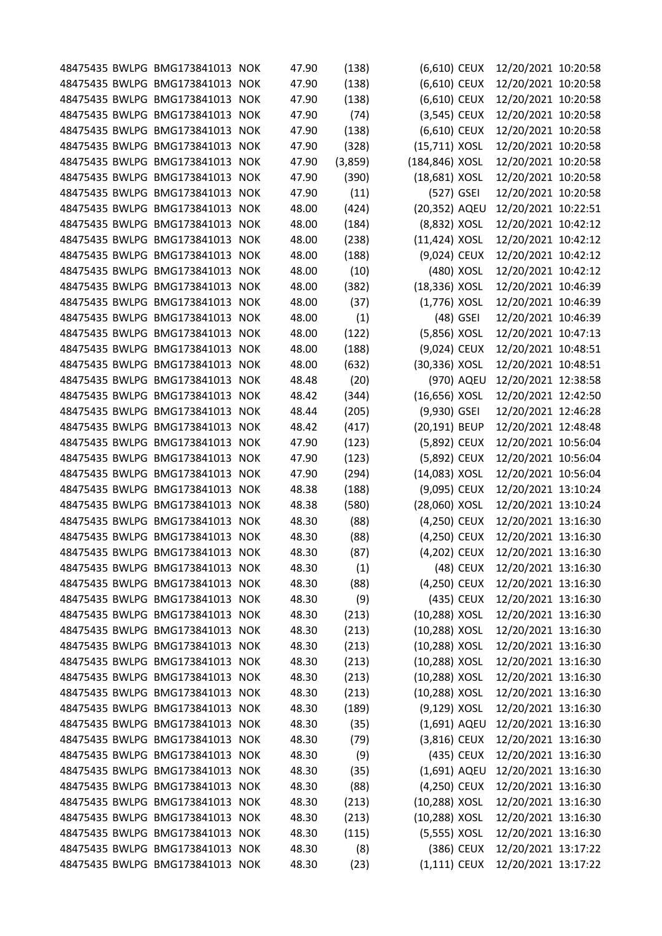|  | 48475435 BWLPG BMG173841013 NOK |            | 47.90 | (138)   | (6,610) CEUX     |             | 12/20/2021 10:20:58 |  |
|--|---------------------------------|------------|-------|---------|------------------|-------------|---------------------|--|
|  | 48475435 BWLPG BMG173841013     | <b>NOK</b> | 47.90 | (138)   | (6,610) CEUX     |             | 12/20/2021 10:20:58 |  |
|  | 48475435 BWLPG BMG173841013     | <b>NOK</b> | 47.90 | (138)   | (6,610) CEUX     |             | 12/20/2021 10:20:58 |  |
|  | 48475435 BWLPG BMG173841013     | <b>NOK</b> | 47.90 | (74)    | (3,545) CEUX     |             | 12/20/2021 10:20:58 |  |
|  | 48475435 BWLPG BMG173841013     | <b>NOK</b> | 47.90 | (138)   | (6,610) CEUX     |             | 12/20/2021 10:20:58 |  |
|  | 48475435 BWLPG BMG173841013     | <b>NOK</b> | 47.90 | (328)   | (15,711) XOSL    |             | 12/20/2021 10:20:58 |  |
|  | 48475435 BWLPG BMG173841013     | <b>NOK</b> | 47.90 | (3,859) | (184,846) XOSL   |             | 12/20/2021 10:20:58 |  |
|  | 48475435 BWLPG BMG173841013     | <b>NOK</b> | 47.90 | (390)   | (18,681) XOSL    |             | 12/20/2021 10:20:58 |  |
|  | 48475435 BWLPG BMG173841013     | <b>NOK</b> | 47.90 | (11)    | (527) GSEI       |             | 12/20/2021 10:20:58 |  |
|  | 48475435 BWLPG BMG173841013     | <b>NOK</b> | 48.00 | (424)   | (20,352) AQEU    |             | 12/20/2021 10:22:51 |  |
|  | 48475435 BWLPG BMG173841013     | <b>NOK</b> | 48.00 | (184)   | (8,832) XOSL     |             | 12/20/2021 10:42:12 |  |
|  | 48475435 BWLPG BMG173841013     | <b>NOK</b> | 48.00 | (238)   | $(11, 424)$ XOSL |             | 12/20/2021 10:42:12 |  |
|  | 48475435 BWLPG BMG173841013     | <b>NOK</b> | 48.00 | (188)   | (9,024) CEUX     |             | 12/20/2021 10:42:12 |  |
|  | 48475435 BWLPG BMG173841013     | <b>NOK</b> | 48.00 | (10)    |                  | (480) XOSL  | 12/20/2021 10:42:12 |  |
|  | 48475435 BWLPG BMG173841013 NOK |            | 48.00 | (382)   | (18,336) XOSL    |             | 12/20/2021 10:46:39 |  |
|  | 48475435 BWLPG BMG173841013     | <b>NOK</b> | 48.00 | (37)    | (1,776) XOSL     |             | 12/20/2021 10:46:39 |  |
|  | 48475435 BWLPG BMG173841013     | <b>NOK</b> | 48.00 | (1)     |                  | $(48)$ GSEI | 12/20/2021 10:46:39 |  |
|  | 48475435 BWLPG BMG173841013     | <b>NOK</b> | 48.00 | (122)   | (5,856) XOSL     |             | 12/20/2021 10:47:13 |  |
|  | 48475435 BWLPG BMG173841013     | <b>NOK</b> | 48.00 | (188)   | (9,024) CEUX     |             | 12/20/2021 10:48:51 |  |
|  | 48475435 BWLPG BMG173841013     | <b>NOK</b> | 48.00 | (632)   | (30,336) XOSL    |             | 12/20/2021 10:48:51 |  |
|  | 48475435 BWLPG BMG173841013     | <b>NOK</b> | 48.48 | (20)    |                  | (970) AQEU  | 12/20/2021 12:38:58 |  |
|  | 48475435 BWLPG BMG173841013     | <b>NOK</b> | 48.42 | (344)   | (16,656) XOSL    |             | 12/20/2021 12:42:50 |  |
|  | 48475435 BWLPG BMG173841013     | <b>NOK</b> | 48.44 | (205)   | $(9,930)$ GSEI   |             | 12/20/2021 12:46:28 |  |
|  | 48475435 BWLPG BMG173841013     | <b>NOK</b> | 48.42 | (417)   | (20,191) BEUP    |             | 12/20/2021 12:48:48 |  |
|  | 48475435 BWLPG BMG173841013     | <b>NOK</b> | 47.90 | (123)   | (5,892) CEUX     |             | 12/20/2021 10:56:04 |  |
|  | 48475435 BWLPG BMG173841013     | <b>NOK</b> | 47.90 | (123)   | (5,892) CEUX     |             | 12/20/2021 10:56:04 |  |
|  | 48475435 BWLPG BMG173841013 NOK |            | 47.90 | (294)   | (14,083) XOSL    |             | 12/20/2021 10:56:04 |  |
|  | 48475435 BWLPG BMG173841013     | <b>NOK</b> | 48.38 | (188)   | (9,095) CEUX     |             | 12/20/2021 13:10:24 |  |
|  | 48475435 BWLPG BMG173841013     | <b>NOK</b> | 48.38 | (580)   | (28,060) XOSL    |             | 12/20/2021 13:10:24 |  |
|  | 48475435 BWLPG BMG173841013 NOK |            | 48.30 | (88)    | (4,250) CEUX     |             | 12/20/2021 13:16:30 |  |
|  | 48475435 BWLPG BMG173841013     | <b>NOK</b> | 48.30 | (88)    | (4,250) CEUX     |             | 12/20/2021 13:16:30 |  |
|  | 48475435 BWLPG BMG173841013 NOK |            | 48.30 | (87)    | (4,202) CEUX     |             | 12/20/2021 13:16:30 |  |
|  | 48475435 BWLPG BMG173841013 NOK |            | 48.30 | (1)     |                  | (48) CEUX   | 12/20/2021 13:16:30 |  |
|  | 48475435 BWLPG BMG173841013 NOK |            | 48.30 | (88)    | (4,250) CEUX     |             | 12/20/2021 13:16:30 |  |
|  | 48475435 BWLPG BMG173841013 NOK |            | 48.30 | (9)     |                  | (435) CEUX  | 12/20/2021 13:16:30 |  |
|  | 48475435 BWLPG BMG173841013 NOK |            | 48.30 | (213)   | (10,288) XOSL    |             | 12/20/2021 13:16:30 |  |
|  | 48475435 BWLPG BMG173841013 NOK |            | 48.30 | (213)   | (10,288) XOSL    |             | 12/20/2021 13:16:30 |  |
|  | 48475435 BWLPG BMG173841013 NOK |            | 48.30 | (213)   | (10,288) XOSL    |             | 12/20/2021 13:16:30 |  |
|  | 48475435 BWLPG BMG173841013 NOK |            | 48.30 | (213)   | (10,288) XOSL    |             | 12/20/2021 13:16:30 |  |
|  | 48475435 BWLPG BMG173841013 NOK |            | 48.30 | (213)   | (10,288) XOSL    |             | 12/20/2021 13:16:30 |  |
|  | 48475435 BWLPG BMG173841013 NOK |            | 48.30 | (213)   | (10,288) XOSL    |             | 12/20/2021 13:16:30 |  |
|  | 48475435 BWLPG BMG173841013 NOK |            | 48.30 | (189)   | (9,129) XOSL     |             | 12/20/2021 13:16:30 |  |
|  | 48475435 BWLPG BMG173841013 NOK |            | 48.30 | (35)    | (1,691) AQEU     |             | 12/20/2021 13:16:30 |  |
|  | 48475435 BWLPG BMG173841013 NOK |            | 48.30 | (79)    | $(3,816)$ CEUX   |             | 12/20/2021 13:16:30 |  |
|  | 48475435 BWLPG BMG173841013 NOK |            | 48.30 | (9)     |                  | (435) CEUX  | 12/20/2021 13:16:30 |  |
|  | 48475435 BWLPG BMG173841013 NOK |            | 48.30 | (35)    | (1,691) AQEU     |             | 12/20/2021 13:16:30 |  |
|  | 48475435 BWLPG BMG173841013 NOK |            | 48.30 | (88)    | (4,250) CEUX     |             | 12/20/2021 13:16:30 |  |
|  | 48475435 BWLPG BMG173841013 NOK |            | 48.30 | (213)   | (10,288) XOSL    |             | 12/20/2021 13:16:30 |  |
|  | 48475435 BWLPG BMG173841013 NOK |            | 48.30 | (213)   | (10,288) XOSL    |             | 12/20/2021 13:16:30 |  |
|  | 48475435 BWLPG BMG173841013 NOK |            | 48.30 | (115)   | (5,555) XOSL     |             | 12/20/2021 13:16:30 |  |
|  | 48475435 BWLPG BMG173841013 NOK |            | 48.30 | (8)     |                  | (386) CEUX  | 12/20/2021 13:17:22 |  |
|  | 48475435 BWLPG BMG173841013 NOK |            | 48.30 | (23)    | $(1,111)$ CEUX   |             | 12/20/2021 13:17:22 |  |
|  |                                 |            |       |         |                  |             |                     |  |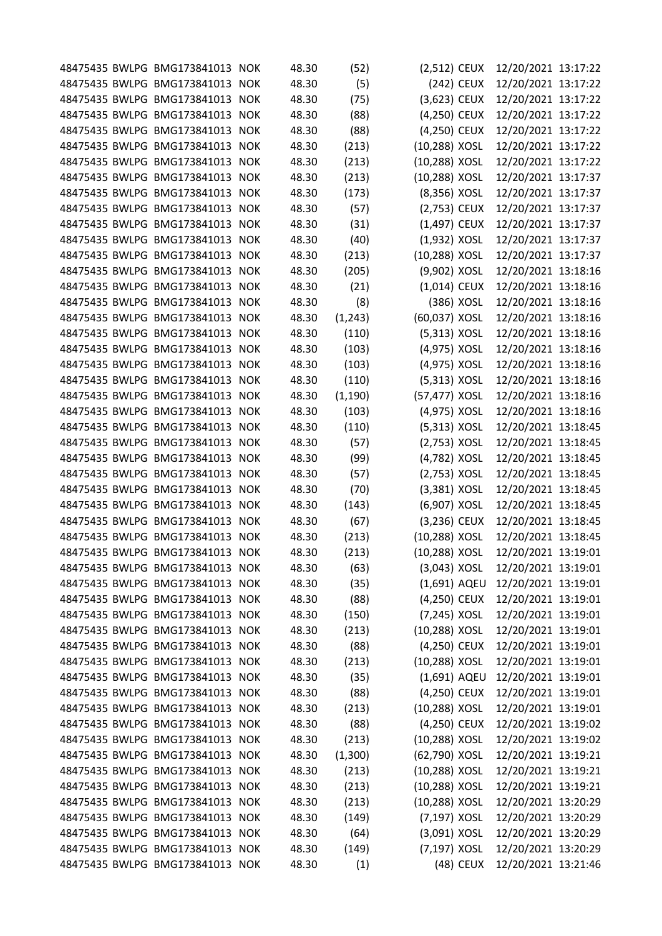|  | 48475435 BWLPG BMG173841013 NOK |            | 48.30 | (52)     | (2,512) CEUX   |            | 12/20/2021 13:17:22 |  |
|--|---------------------------------|------------|-------|----------|----------------|------------|---------------------|--|
|  | 48475435 BWLPG BMG173841013     | <b>NOK</b> | 48.30 | (5)      |                | (242) CEUX | 12/20/2021 13:17:22 |  |
|  | 48475435 BWLPG BMG173841013     | <b>NOK</b> | 48.30 | (75)     | (3,623) CEUX   |            | 12/20/2021 13:17:22 |  |
|  | 48475435 BWLPG BMG173841013     | <b>NOK</b> | 48.30 | (88)     | (4,250) CEUX   |            | 12/20/2021 13:17:22 |  |
|  | 48475435 BWLPG BMG173841013     | <b>NOK</b> | 48.30 | (88)     | (4,250) CEUX   |            | 12/20/2021 13:17:22 |  |
|  | 48475435 BWLPG BMG173841013     | <b>NOK</b> | 48.30 | (213)    | (10,288) XOSL  |            | 12/20/2021 13:17:22 |  |
|  | 48475435 BWLPG BMG173841013     | <b>NOK</b> | 48.30 | (213)    | (10,288) XOSL  |            | 12/20/2021 13:17:22 |  |
|  | 48475435 BWLPG BMG173841013     | <b>NOK</b> | 48.30 | (213)    | (10,288) XOSL  |            | 12/20/2021 13:17:37 |  |
|  | 48475435 BWLPG BMG173841013     | <b>NOK</b> | 48.30 | (173)    | (8,356) XOSL   |            | 12/20/2021 13:17:37 |  |
|  | 48475435 BWLPG BMG173841013     | <b>NOK</b> | 48.30 | (57)     | (2,753) CEUX   |            | 12/20/2021 13:17:37 |  |
|  | 48475435 BWLPG BMG173841013     | <b>NOK</b> | 48.30 | (31)     | (1,497) CEUX   |            | 12/20/2021 13:17:37 |  |
|  | 48475435 BWLPG BMG173841013     | <b>NOK</b> | 48.30 | (40)     | (1,932) XOSL   |            | 12/20/2021 13:17:37 |  |
|  | 48475435 BWLPG BMG173841013     | <b>NOK</b> | 48.30 | (213)    | (10,288) XOSL  |            | 12/20/2021 13:17:37 |  |
|  | 48475435 BWLPG BMG173841013     | <b>NOK</b> | 48.30 | (205)    | (9,902) XOSL   |            | 12/20/2021 13:18:16 |  |
|  | 48475435 BWLPG BMG173841013 NOK |            | 48.30 | (21)     | (1,014) CEUX   |            | 12/20/2021 13:18:16 |  |
|  | 48475435 BWLPG BMG173841013     | <b>NOK</b> | 48.30 | (8)      |                | (386) XOSL | 12/20/2021 13:18:16 |  |
|  | 48475435 BWLPG BMG173841013     | <b>NOK</b> | 48.30 | (1, 243) | (60,037) XOSL  |            | 12/20/2021 13:18:16 |  |
|  | 48475435 BWLPG BMG173841013     | <b>NOK</b> | 48.30 | (110)    | $(5,313)$ XOSL |            | 12/20/2021 13:18:16 |  |
|  | 48475435 BWLPG BMG173841013     | <b>NOK</b> | 48.30 | (103)    | (4,975) XOSL   |            | 12/20/2021 13:18:16 |  |
|  | 48475435 BWLPG BMG173841013     | <b>NOK</b> | 48.30 | (103)    | (4,975) XOSL   |            | 12/20/2021 13:18:16 |  |
|  | 48475435 BWLPG BMG173841013 NOK |            | 48.30 | (110)    | $(5,313)$ XOSL |            | 12/20/2021 13:18:16 |  |
|  | 48475435 BWLPG BMG173841013     | <b>NOK</b> | 48.30 | (1, 190) | (57,477) XOSL  |            | 12/20/2021 13:18:16 |  |
|  | 48475435 BWLPG BMG173841013     | <b>NOK</b> | 48.30 | (103)    | (4,975) XOSL   |            | 12/20/2021 13:18:16 |  |
|  | 48475435 BWLPG BMG173841013     | <b>NOK</b> | 48.30 | (110)    | (5,313) XOSL   |            | 12/20/2021 13:18:45 |  |
|  | 48475435 BWLPG BMG173841013     | <b>NOK</b> | 48.30 | (57)     | (2,753) XOSL   |            | 12/20/2021 13:18:45 |  |
|  | 48475435 BWLPG BMG173841013     | <b>NOK</b> | 48.30 | (99)     | (4,782) XOSL   |            | 12/20/2021 13:18:45 |  |
|  | 48475435 BWLPG BMG173841013 NOK |            | 48.30 | (57)     | (2,753) XOSL   |            | 12/20/2021 13:18:45 |  |
|  | 48475435 BWLPG BMG173841013     | <b>NOK</b> | 48.30 | (70)     | (3,381) XOSL   |            | 12/20/2021 13:18:45 |  |
|  | 48475435 BWLPG BMG173841013     | <b>NOK</b> | 48.30 | (143)    | (6,907) XOSL   |            | 12/20/2021 13:18:45 |  |
|  | 48475435 BWLPG BMG173841013 NOK |            | 48.30 | (67)     | (3,236) CEUX   |            | 12/20/2021 13:18:45 |  |
|  | 48475435 BWLPG BMG173841013     | <b>NOK</b> | 48.30 | (213)    | (10,288) XOSL  |            | 12/20/2021 13:18:45 |  |
|  | 48475435 BWLPG BMG173841013 NOK |            | 48.30 | (213)    | (10,288) XOSL  |            | 12/20/2021 13:19:01 |  |
|  | 48475435 BWLPG BMG173841013 NOK |            | 48.30 | (63)     | $(3,043)$ XOSL |            | 12/20/2021 13:19:01 |  |
|  | 48475435 BWLPG BMG173841013 NOK |            | 48.30 | (35)     | (1,691) AQEU   |            | 12/20/2021 13:19:01 |  |
|  | 48475435 BWLPG BMG173841013 NOK |            | 48.30 | (88)     | (4,250) CEUX   |            | 12/20/2021 13:19:01 |  |
|  | 48475435 BWLPG BMG173841013 NOK |            | 48.30 | (150)    | (7,245) XOSL   |            | 12/20/2021 13:19:01 |  |
|  | 48475435 BWLPG BMG173841013 NOK |            | 48.30 | (213)    | (10,288) XOSL  |            | 12/20/2021 13:19:01 |  |
|  | 48475435 BWLPG BMG173841013 NOK |            | 48.30 | (88)     | (4,250) CEUX   |            | 12/20/2021 13:19:01 |  |
|  | 48475435 BWLPG BMG173841013 NOK |            | 48.30 | (213)    | (10,288) XOSL  |            | 12/20/2021 13:19:01 |  |
|  | 48475435 BWLPG BMG173841013 NOK |            | 48.30 | (35)     | (1,691) AQEU   |            | 12/20/2021 13:19:01 |  |
|  | 48475435 BWLPG BMG173841013 NOK |            | 48.30 | (88)     | (4,250) CEUX   |            | 12/20/2021 13:19:01 |  |
|  | 48475435 BWLPG BMG173841013 NOK |            | 48.30 | (213)    | (10,288) XOSL  |            | 12/20/2021 13:19:01 |  |
|  | 48475435 BWLPG BMG173841013 NOK |            | 48.30 | (88)     | (4,250) CEUX   |            | 12/20/2021 13:19:02 |  |
|  | 48475435 BWLPG BMG173841013 NOK |            | 48.30 | (213)    | (10,288) XOSL  |            | 12/20/2021 13:19:02 |  |
|  | 48475435 BWLPG BMG173841013 NOK |            | 48.30 | (1,300)  | (62,790) XOSL  |            | 12/20/2021 13:19:21 |  |
|  | 48475435 BWLPG BMG173841013 NOK |            | 48.30 | (213)    | (10,288) XOSL  |            | 12/20/2021 13:19:21 |  |
|  | 48475435 BWLPG BMG173841013 NOK |            | 48.30 | (213)    | (10,288) XOSL  |            | 12/20/2021 13:19:21 |  |
|  | 48475435 BWLPG BMG173841013 NOK |            | 48.30 | (213)    | (10,288) XOSL  |            | 12/20/2021 13:20:29 |  |
|  | 48475435 BWLPG BMG173841013 NOK |            | 48.30 | (149)    | (7,197) XOSL   |            | 12/20/2021 13:20:29 |  |
|  | 48475435 BWLPG BMG173841013 NOK |            | 48.30 | (64)     | (3,091) XOSL   |            | 12/20/2021 13:20:29 |  |
|  | 48475435 BWLPG BMG173841013 NOK |            | 48.30 | (149)    | (7,197) XOSL   |            | 12/20/2021 13:20:29 |  |
|  | 48475435 BWLPG BMG173841013 NOK |            | 48.30 | (1)      |                | (48) CEUX  | 12/20/2021 13:21:46 |  |
|  |                                 |            |       |          |                |            |                     |  |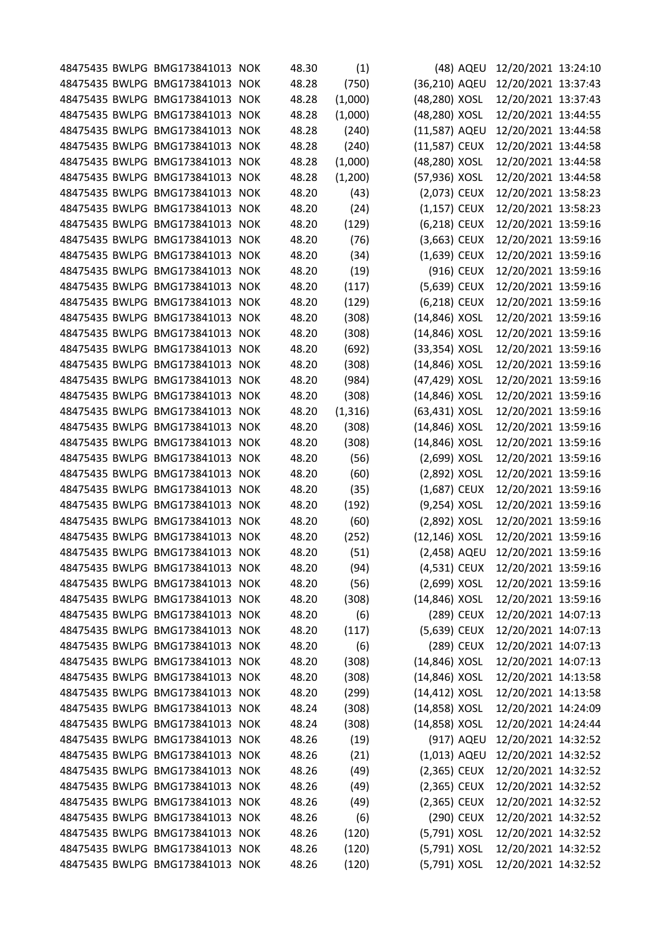|  | 48475435 BWLPG BMG173841013 NOK |            | 48.30 | (1)      |                | (48) AQEU  | 12/20/2021 13:24:10 |  |
|--|---------------------------------|------------|-------|----------|----------------|------------|---------------------|--|
|  | 48475435 BWLPG BMG173841013     | <b>NOK</b> | 48.28 | (750)    | (36,210) AQEU  |            | 12/20/2021 13:37:43 |  |
|  | 48475435 BWLPG BMG173841013     | <b>NOK</b> | 48.28 | (1,000)  | (48,280) XOSL  |            | 12/20/2021 13:37:43 |  |
|  | 48475435 BWLPG BMG173841013     | <b>NOK</b> | 48.28 | (1,000)  | (48,280) XOSL  |            | 12/20/2021 13:44:55 |  |
|  | 48475435 BWLPG BMG173841013     | <b>NOK</b> | 48.28 | (240)    | (11,587) AQEU  |            | 12/20/2021 13:44:58 |  |
|  | 48475435 BWLPG BMG173841013     | <b>NOK</b> | 48.28 | (240)    | (11,587) CEUX  |            | 12/20/2021 13:44:58 |  |
|  | 48475435 BWLPG BMG173841013     | <b>NOK</b> | 48.28 | (1,000)  | (48,280) XOSL  |            | 12/20/2021 13:44:58 |  |
|  | 48475435 BWLPG BMG173841013     | <b>NOK</b> | 48.28 | (1,200)  | (57,936) XOSL  |            | 12/20/2021 13:44:58 |  |
|  | 48475435 BWLPG BMG173841013     | <b>NOK</b> | 48.20 | (43)     | (2,073) CEUX   |            | 12/20/2021 13:58:23 |  |
|  | 48475435 BWLPG BMG173841013     | <b>NOK</b> | 48.20 | (24)     | (1,157) CEUX   |            | 12/20/2021 13:58:23 |  |
|  | 48475435 BWLPG BMG173841013     | <b>NOK</b> | 48.20 | (129)    | (6,218) CEUX   |            | 12/20/2021 13:59:16 |  |
|  | 48475435 BWLPG BMG173841013     | <b>NOK</b> | 48.20 | (76)     | $(3,663)$ CEUX |            | 12/20/2021 13:59:16 |  |
|  | 48475435 BWLPG BMG173841013     | <b>NOK</b> | 48.20 | (34)     | (1,639) CEUX   |            | 12/20/2021 13:59:16 |  |
|  | 48475435 BWLPG BMG173841013     | <b>NOK</b> | 48.20 | (19)     |                | (916) CEUX | 12/20/2021 13:59:16 |  |
|  | 48475435 BWLPG BMG173841013 NOK |            | 48.20 | (117)    | (5,639) CEUX   |            | 12/20/2021 13:59:16 |  |
|  | 48475435 BWLPG BMG173841013     | <b>NOK</b> | 48.20 | (129)    | (6,218) CEUX   |            | 12/20/2021 13:59:16 |  |
|  | 48475435 BWLPG BMG173841013     | <b>NOK</b> | 48.20 | (308)    | (14,846) XOSL  |            | 12/20/2021 13:59:16 |  |
|  | 48475435 BWLPG BMG173841013     | <b>NOK</b> | 48.20 | (308)    | (14,846) XOSL  |            | 12/20/2021 13:59:16 |  |
|  | 48475435 BWLPG BMG173841013     | <b>NOK</b> | 48.20 | (692)    | (33,354) XOSL  |            | 12/20/2021 13:59:16 |  |
|  | 48475435 BWLPG BMG173841013     | <b>NOK</b> | 48.20 | (308)    | (14,846) XOSL  |            | 12/20/2021 13:59:16 |  |
|  | 48475435 BWLPG BMG173841013 NOK |            | 48.20 | (984)    | (47,429) XOSL  |            | 12/20/2021 13:59:16 |  |
|  | 48475435 BWLPG BMG173841013     | <b>NOK</b> | 48.20 | (308)    | (14,846) XOSL  |            | 12/20/2021 13:59:16 |  |
|  | 48475435 BWLPG BMG173841013     | <b>NOK</b> | 48.20 | (1, 316) | (63,431) XOSL  |            | 12/20/2021 13:59:16 |  |
|  | 48475435 BWLPG BMG173841013     | <b>NOK</b> | 48.20 | (308)    | (14,846) XOSL  |            | 12/20/2021 13:59:16 |  |
|  | 48475435 BWLPG BMG173841013     | <b>NOK</b> | 48.20 | (308)    | (14,846) XOSL  |            | 12/20/2021 13:59:16 |  |
|  | 48475435 BWLPG BMG173841013     | <b>NOK</b> | 48.20 | (56)     | (2,699) XOSL   |            | 12/20/2021 13:59:16 |  |
|  | 48475435 BWLPG BMG173841013 NOK |            | 48.20 | (60)     | (2,892) XOSL   |            | 12/20/2021 13:59:16 |  |
|  | 48475435 BWLPG BMG173841013     | <b>NOK</b> | 48.20 | (35)     | (1,687) CEUX   |            | 12/20/2021 13:59:16 |  |
|  | 48475435 BWLPG BMG173841013     | <b>NOK</b> | 48.20 | (192)    | (9,254) XOSL   |            | 12/20/2021 13:59:16 |  |
|  | 48475435 BWLPG BMG173841013 NOK |            | 48.20 | (60)     | (2,892) XOSL   |            | 12/20/2021 13:59:16 |  |
|  | 48475435 BWLPG BMG173841013     | <b>NOK</b> | 48.20 | (252)    | (12,146) XOSL  |            | 12/20/2021 13:59:16 |  |
|  | 48475435 BWLPG BMG173841013 NOK |            | 48.20 | (51)     | (2,458) AQEU   |            | 12/20/2021 13:59:16 |  |
|  | 48475435 BWLPG BMG173841013 NOK |            | 48.20 | (94)     | (4,531) CEUX   |            | 12/20/2021 13:59:16 |  |
|  | 48475435 BWLPG BMG173841013 NOK |            | 48.20 | (56)     | (2,699) XOSL   |            | 12/20/2021 13:59:16 |  |
|  | 48475435 BWLPG BMG173841013 NOK |            | 48.20 | (308)    | (14,846) XOSL  |            | 12/20/2021 13:59:16 |  |
|  | 48475435 BWLPG BMG173841013 NOK |            | 48.20 | (6)      |                | (289) CEUX | 12/20/2021 14:07:13 |  |
|  | 48475435 BWLPG BMG173841013 NOK |            | 48.20 | (117)    | (5,639) CEUX   |            | 12/20/2021 14:07:13 |  |
|  | 48475435 BWLPG BMG173841013 NOK |            | 48.20 | (6)      |                | (289) CEUX | 12/20/2021 14:07:13 |  |
|  | 48475435 BWLPG BMG173841013 NOK |            | 48.20 | (308)    | (14,846) XOSL  |            | 12/20/2021 14:07:13 |  |
|  | 48475435 BWLPG BMG173841013 NOK |            | 48.20 | (308)    | (14,846) XOSL  |            | 12/20/2021 14:13:58 |  |
|  | 48475435 BWLPG BMG173841013 NOK |            |       |          |                |            | 12/20/2021 14:13:58 |  |
|  |                                 |            | 48.20 | (299)    | (14,412) XOSL  |            |                     |  |
|  | 48475435 BWLPG BMG173841013 NOK |            | 48.24 | (308)    | (14,858) XOSL  |            | 12/20/2021 14:24:09 |  |
|  | 48475435 BWLPG BMG173841013 NOK |            | 48.24 | (308)    | (14,858) XOSL  |            | 12/20/2021 14:24:44 |  |
|  | 48475435 BWLPG BMG173841013 NOK |            | 48.26 | (19)     |                | (917) AQEU | 12/20/2021 14:32:52 |  |
|  | 48475435 BWLPG BMG173841013 NOK |            | 48.26 | (21)     | (1,013) AQEU   |            | 12/20/2021 14:32:52 |  |
|  | 48475435 BWLPG BMG173841013 NOK |            | 48.26 | (49)     | $(2,365)$ CEUX |            | 12/20/2021 14:32:52 |  |
|  | 48475435 BWLPG BMG173841013 NOK |            | 48.26 | (49)     | $(2,365)$ CEUX |            | 12/20/2021 14:32:52 |  |
|  | 48475435 BWLPG BMG173841013 NOK |            | 48.26 | (49)     | (2,365) CEUX   |            | 12/20/2021 14:32:52 |  |
|  | 48475435 BWLPG BMG173841013 NOK |            | 48.26 | (6)      |                | (290) CEUX | 12/20/2021 14:32:52 |  |
|  | 48475435 BWLPG BMG173841013 NOK |            | 48.26 | (120)    | (5,791) XOSL   |            | 12/20/2021 14:32:52 |  |
|  | 48475435 BWLPG BMG173841013 NOK |            | 48.26 | (120)    | (5,791) XOSL   |            | 12/20/2021 14:32:52 |  |
|  | 48475435 BWLPG BMG173841013 NOK |            | 48.26 | (120)    | (5,791) XOSL   |            | 12/20/2021 14:32:52 |  |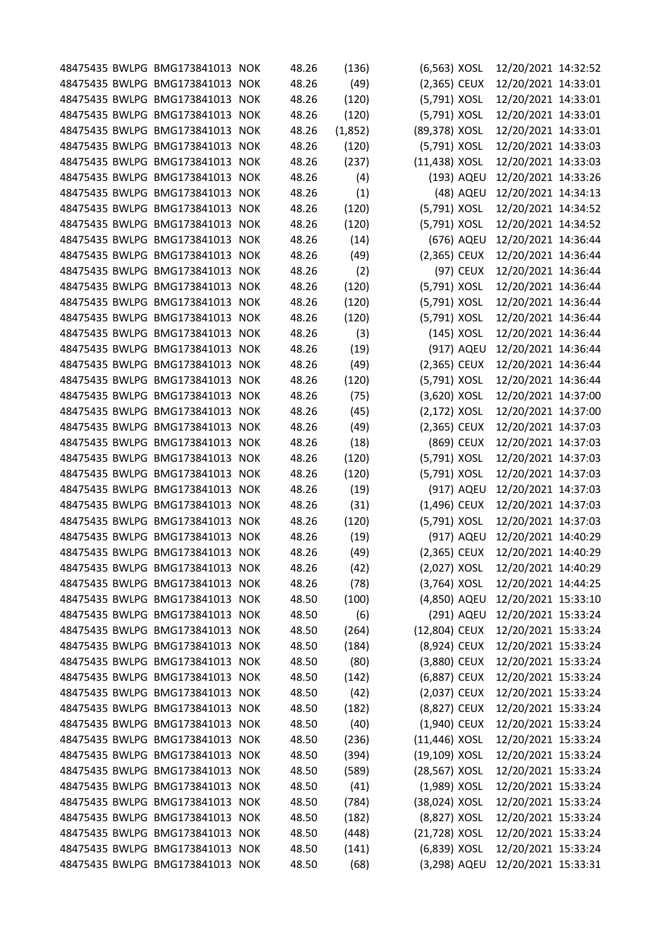|  | 48475435 BWLPG BMG173841013 NOK | 48.26 | (136)   | (6,563) XOSL   |            | 12/20/2021 14:32:52 |  |
|--|---------------------------------|-------|---------|----------------|------------|---------------------|--|
|  | 48475435 BWLPG BMG173841013 NOK | 48.26 | (49)    | $(2,365)$ CEUX |            | 12/20/2021 14:33:01 |  |
|  | 48475435 BWLPG BMG173841013 NOK | 48.26 | (120)   | (5,791) XOSL   |            | 12/20/2021 14:33:01 |  |
|  | 48475435 BWLPG BMG173841013 NOK | 48.26 | (120)   | (5,791) XOSL   |            | 12/20/2021 14:33:01 |  |
|  | 48475435 BWLPG BMG173841013 NOK | 48.26 | (1,852) | (89,378) XOSL  |            | 12/20/2021 14:33:01 |  |
|  | 48475435 BWLPG BMG173841013 NOK | 48.26 | (120)   | (5,791) XOSL   |            | 12/20/2021 14:33:03 |  |
|  | 48475435 BWLPG BMG173841013 NOK | 48.26 | (237)   | (11,438) XOSL  |            | 12/20/2021 14:33:03 |  |
|  | 48475435 BWLPG BMG173841013 NOK | 48.26 | (4)     |                | (193) AQEU | 12/20/2021 14:33:26 |  |
|  | 48475435 BWLPG BMG173841013 NOK | 48.26 | (1)     |                | (48) AQEU  | 12/20/2021 14:34:13 |  |
|  | 48475435 BWLPG BMG173841013 NOK | 48.26 | (120)   | (5,791) XOSL   |            | 12/20/2021 14:34:52 |  |
|  | 48475435 BWLPG BMG173841013 NOK | 48.26 | (120)   | (5,791) XOSL   |            | 12/20/2021 14:34:52 |  |
|  | 48475435 BWLPG BMG173841013 NOK | 48.26 | (14)    |                | (676) AQEU | 12/20/2021 14:36:44 |  |
|  | 48475435 BWLPG BMG173841013 NOK | 48.26 | (49)    | (2,365) CEUX   |            | 12/20/2021 14:36:44 |  |
|  | 48475435 BWLPG BMG173841013 NOK | 48.26 | (2)     |                | (97) CEUX  | 12/20/2021 14:36:44 |  |
|  | 48475435 BWLPG BMG173841013 NOK | 48.26 | (120)   | (5,791) XOSL   |            | 12/20/2021 14:36:44 |  |
|  | 48475435 BWLPG BMG173841013 NOK | 48.26 | (120)   | (5,791) XOSL   |            | 12/20/2021 14:36:44 |  |
|  | 48475435 BWLPG BMG173841013 NOK | 48.26 | (120)   | (5,791) XOSL   |            | 12/20/2021 14:36:44 |  |
|  | 48475435 BWLPG BMG173841013 NOK | 48.26 | (3)     |                | (145) XOSL | 12/20/2021 14:36:44 |  |
|  | 48475435 BWLPG BMG173841013 NOK | 48.26 | (19)    |                | (917) AQEU | 12/20/2021 14:36:44 |  |
|  | 48475435 BWLPG BMG173841013 NOK | 48.26 | (49)    | (2,365) CEUX   |            | 12/20/2021 14:36:44 |  |
|  | 48475435 BWLPG BMG173841013 NOK | 48.26 | (120)   | (5,791) XOSL   |            | 12/20/2021 14:36:44 |  |
|  | 48475435 BWLPG BMG173841013 NOK | 48.26 | (75)    | (3,620) XOSL   |            | 12/20/2021 14:37:00 |  |
|  | 48475435 BWLPG BMG173841013 NOK | 48.26 | (45)    | $(2,172)$ XOSL |            | 12/20/2021 14:37:00 |  |
|  | 48475435 BWLPG BMG173841013 NOK | 48.26 | (49)    | (2,365) CEUX   |            | 12/20/2021 14:37:03 |  |
|  | 48475435 BWLPG BMG173841013 NOK | 48.26 | (18)    |                | (869) CEUX | 12/20/2021 14:37:03 |  |
|  | 48475435 BWLPG BMG173841013 NOK | 48.26 | (120)   | (5,791) XOSL   |            | 12/20/2021 14:37:03 |  |
|  | 48475435 BWLPG BMG173841013 NOK | 48.26 | (120)   | (5,791) XOSL   |            | 12/20/2021 14:37:03 |  |
|  | 48475435 BWLPG BMG173841013 NOK | 48.26 | (19)    |                | (917) AQEU | 12/20/2021 14:37:03 |  |
|  | 48475435 BWLPG BMG173841013 NOK | 48.26 | (31)    | (1,496) CEUX   |            | 12/20/2021 14:37:03 |  |
|  | 48475435 BWLPG BMG173841013 NOK | 48.26 | (120)   | (5,791) XOSL   |            | 12/20/2021 14:37:03 |  |
|  | 48475435 BWLPG BMG173841013 NOK | 48.26 | (19)    |                | (917) AQEU | 12/20/2021 14:40:29 |  |
|  | 48475435 BWLPG BMG173841013 NOK | 48.26 | (49)    | (2,365) CEUX   |            | 12/20/2021 14:40:29 |  |
|  | 48475435 BWLPG BMG173841013 NOK | 48.26 | (42)    | (2,027) XOSL   |            | 12/20/2021 14:40:29 |  |
|  | 48475435 BWLPG BMG173841013 NOK | 48.26 | (78)    | $(3,764)$ XOSL |            | 12/20/2021 14:44:25 |  |
|  | 48475435 BWLPG BMG173841013 NOK | 48.50 | (100)   | (4,850) AQEU   |            | 12/20/2021 15:33:10 |  |
|  | 48475435 BWLPG BMG173841013 NOK | 48.50 | (6)     |                | (291) AQEU | 12/20/2021 15:33:24 |  |
|  | 48475435 BWLPG BMG173841013 NOK | 48.50 | (264)   | (12,804) CEUX  |            | 12/20/2021 15:33:24 |  |
|  | 48475435 BWLPG BMG173841013 NOK | 48.50 | (184)   | (8,924) CEUX   |            | 12/20/2021 15:33:24 |  |
|  | 48475435 BWLPG BMG173841013 NOK | 48.50 | (80)    | (3,880) CEUX   |            | 12/20/2021 15:33:24 |  |
|  | 48475435 BWLPG BMG173841013 NOK | 48.50 | (142)   | (6,887) CEUX   |            | 12/20/2021 15:33:24 |  |
|  | 48475435 BWLPG BMG173841013 NOK | 48.50 | (42)    | (2,037) CEUX   |            | 12/20/2021 15:33:24 |  |
|  | 48475435 BWLPG BMG173841013 NOK | 48.50 | (182)   | (8,827) CEUX   |            | 12/20/2021 15:33:24 |  |
|  | 48475435 BWLPG BMG173841013 NOK | 48.50 | (40)    | (1,940) CEUX   |            | 12/20/2021 15:33:24 |  |
|  | 48475435 BWLPG BMG173841013 NOK | 48.50 | (236)   | (11,446) XOSL  |            | 12/20/2021 15:33:24 |  |
|  | 48475435 BWLPG BMG173841013 NOK | 48.50 | (394)   | (19,109) XOSL  |            | 12/20/2021 15:33:24 |  |
|  | 48475435 BWLPG BMG173841013 NOK | 48.50 | (589)   | (28,567) XOSL  |            | 12/20/2021 15:33:24 |  |
|  | 48475435 BWLPG BMG173841013 NOK | 48.50 | (41)    | $(1,989)$ XOSL |            | 12/20/2021 15:33:24 |  |
|  | 48475435 BWLPG BMG173841013 NOK | 48.50 | (784)   | (38,024) XOSL  |            | 12/20/2021 15:33:24 |  |
|  | 48475435 BWLPG BMG173841013 NOK | 48.50 | (182)   | (8,827) XOSL   |            | 12/20/2021 15:33:24 |  |
|  | 48475435 BWLPG BMG173841013 NOK | 48.50 | (448)   | (21,728) XOSL  |            | 12/20/2021 15:33:24 |  |
|  | 48475435 BWLPG BMG173841013 NOK | 48.50 | (141)   | (6,839) XOSL   |            | 12/20/2021 15:33:24 |  |
|  | 48475435 BWLPG BMG173841013 NOK | 48.50 | (68)    | (3,298) AQEU   |            | 12/20/2021 15:33:31 |  |
|  |                                 |       |         |                |            |                     |  |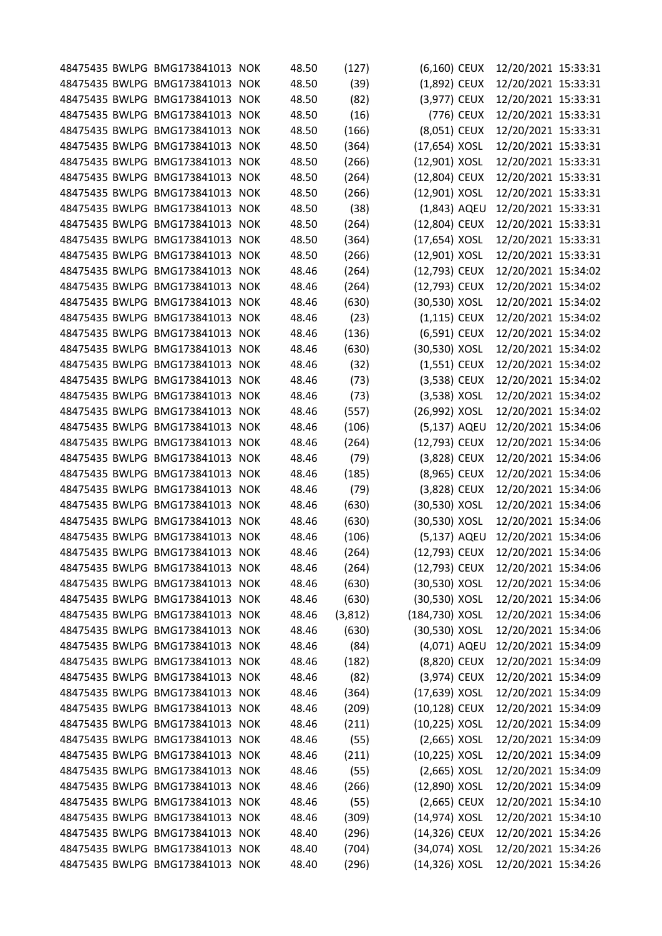|  | 48475435 BWLPG BMG173841013 NOK |            | 48.50 | (127)   | (6,160) CEUX   |            | 12/20/2021 15:33:31 |  |
|--|---------------------------------|------------|-------|---------|----------------|------------|---------------------|--|
|  | 48475435 BWLPG BMG173841013     | <b>NOK</b> | 48.50 | (39)    | (1,892) CEUX   |            | 12/20/2021 15:33:31 |  |
|  | 48475435 BWLPG BMG173841013     | <b>NOK</b> | 48.50 | (82)    | (3,977) CEUX   |            | 12/20/2021 15:33:31 |  |
|  | 48475435 BWLPG BMG173841013     | <b>NOK</b> | 48.50 | (16)    |                | (776) CEUX | 12/20/2021 15:33:31 |  |
|  | 48475435 BWLPG BMG173841013     | <b>NOK</b> | 48.50 | (166)   | (8,051) CEUX   |            | 12/20/2021 15:33:31 |  |
|  | 48475435 BWLPG BMG173841013     | <b>NOK</b> | 48.50 | (364)   | (17,654) XOSL  |            | 12/20/2021 15:33:31 |  |
|  | 48475435 BWLPG BMG173841013     | <b>NOK</b> | 48.50 | (266)   | (12,901) XOSL  |            | 12/20/2021 15:33:31 |  |
|  | 48475435 BWLPG BMG173841013     | <b>NOK</b> | 48.50 | (264)   | (12,804) CEUX  |            | 12/20/2021 15:33:31 |  |
|  | 48475435 BWLPG BMG173841013     | <b>NOK</b> | 48.50 | (266)   | (12,901) XOSL  |            | 12/20/2021 15:33:31 |  |
|  | 48475435 BWLPG BMG173841013     | <b>NOK</b> | 48.50 | (38)    | (1,843) AQEU   |            | 12/20/2021 15:33:31 |  |
|  | 48475435 BWLPG BMG173841013     | <b>NOK</b> | 48.50 | (264)   | (12,804) CEUX  |            | 12/20/2021 15:33:31 |  |
|  | 48475435 BWLPG BMG173841013     | <b>NOK</b> | 48.50 | (364)   | (17,654) XOSL  |            | 12/20/2021 15:33:31 |  |
|  | 48475435 BWLPG BMG173841013     | <b>NOK</b> | 48.50 | (266)   | (12,901) XOSL  |            | 12/20/2021 15:33:31 |  |
|  | 48475435 BWLPG BMG173841013     | <b>NOK</b> | 48.46 | (264)   | (12,793) CEUX  |            | 12/20/2021 15:34:02 |  |
|  | 48475435 BWLPG BMG173841013 NOK |            | 48.46 | (264)   | (12,793) CEUX  |            | 12/20/2021 15:34:02 |  |
|  | 48475435 BWLPG BMG173841013     | <b>NOK</b> | 48.46 | (630)   | (30,530) XOSL  |            | 12/20/2021 15:34:02 |  |
|  | 48475435 BWLPG BMG173841013     | <b>NOK</b> | 48.46 | (23)    | $(1,115)$ CEUX |            | 12/20/2021 15:34:02 |  |
|  | 48475435 BWLPG BMG173841013     | <b>NOK</b> | 48.46 | (136)   | (6,591) CEUX   |            | 12/20/2021 15:34:02 |  |
|  | 48475435 BWLPG BMG173841013     | <b>NOK</b> | 48.46 | (630)   | (30,530) XOSL  |            | 12/20/2021 15:34:02 |  |
|  | 48475435 BWLPG BMG173841013     | <b>NOK</b> | 48.46 | (32)    | $(1,551)$ CEUX |            | 12/20/2021 15:34:02 |  |
|  | 48475435 BWLPG BMG173841013     | <b>NOK</b> | 48.46 | (73)    | (3,538) CEUX   |            | 12/20/2021 15:34:02 |  |
|  | 48475435 BWLPG BMG173841013     | <b>NOK</b> | 48.46 | (73)    | (3,538) XOSL   |            | 12/20/2021 15:34:02 |  |
|  | 48475435 BWLPG BMG173841013     | <b>NOK</b> | 48.46 | (557)   | (26,992) XOSL  |            | 12/20/2021 15:34:02 |  |
|  | 48475435 BWLPG BMG173841013     | <b>NOK</b> | 48.46 | (106)   | (5,137) AQEU   |            | 12/20/2021 15:34:06 |  |
|  | 48475435 BWLPG BMG173841013     | <b>NOK</b> | 48.46 | (264)   | (12,793) CEUX  |            | 12/20/2021 15:34:06 |  |
|  | 48475435 BWLPG BMG173841013     | <b>NOK</b> | 48.46 | (79)    | (3,828) CEUX   |            | 12/20/2021 15:34:06 |  |
|  | 48475435 BWLPG BMG173841013 NOK |            | 48.46 | (185)   | (8,965) CEUX   |            | 12/20/2021 15:34:06 |  |
|  | 48475435 BWLPG BMG173841013     | <b>NOK</b> | 48.46 | (79)    | (3,828) CEUX   |            | 12/20/2021 15:34:06 |  |
|  | 48475435 BWLPG BMG173841013     | <b>NOK</b> | 48.46 | (630)   | (30,530) XOSL  |            | 12/20/2021 15:34:06 |  |
|  | 48475435 BWLPG BMG173841013 NOK |            | 48.46 | (630)   | (30,530) XOSL  |            | 12/20/2021 15:34:06 |  |
|  | 48475435 BWLPG BMG173841013     | <b>NOK</b> | 48.46 | (106)   | (5,137) AQEU   |            | 12/20/2021 15:34:06 |  |
|  | 48475435 BWLPG BMG173841013 NOK |            | 48.46 | (264)   | (12,793) CEUX  |            | 12/20/2021 15:34:06 |  |
|  | 48475435 BWLPG BMG173841013 NOK |            | 48.46 | (264)   | (12,793) CEUX  |            | 12/20/2021 15:34:06 |  |
|  | 48475435 BWLPG BMG173841013 NOK |            | 48.46 | (630)   | (30,530) XOSL  |            | 12/20/2021 15:34:06 |  |
|  | 48475435 BWLPG BMG173841013 NOK |            | 48.46 | (630)   | (30,530) XOSL  |            | 12/20/2021 15:34:06 |  |
|  | 48475435 BWLPG BMG173841013 NOK |            | 48.46 | (3,812) | (184,730) XOSL |            | 12/20/2021 15:34:06 |  |
|  | 48475435 BWLPG BMG173841013 NOK |            | 48.46 | (630)   | (30,530) XOSL  |            | 12/20/2021 15:34:06 |  |
|  | 48475435 BWLPG BMG173841013 NOK |            | 48.46 | (84)    | (4,071) AQEU   |            | 12/20/2021 15:34:09 |  |
|  | 48475435 BWLPG BMG173841013 NOK |            | 48.46 | (182)   | (8,820) CEUX   |            | 12/20/2021 15:34:09 |  |
|  | 48475435 BWLPG BMG173841013 NOK |            | 48.46 | (82)    | (3,974) CEUX   |            | 12/20/2021 15:34:09 |  |
|  | 48475435 BWLPG BMG173841013 NOK |            | 48.46 | (364)   | (17,639) XOSL  |            | 12/20/2021 15:34:09 |  |
|  | 48475435 BWLPG BMG173841013 NOK |            | 48.46 | (209)   | (10,128) CEUX  |            | 12/20/2021 15:34:09 |  |
|  | 48475435 BWLPG BMG173841013 NOK |            | 48.46 | (211)   | (10,225) XOSL  |            | 12/20/2021 15:34:09 |  |
|  | 48475435 BWLPG BMG173841013 NOK |            | 48.46 | (55)    | $(2,665)$ XOSL |            | 12/20/2021 15:34:09 |  |
|  | 48475435 BWLPG BMG173841013 NOK |            | 48.46 | (211)   | (10,225) XOSL  |            | 12/20/2021 15:34:09 |  |
|  | 48475435 BWLPG BMG173841013 NOK |            | 48.46 | (55)    | $(2,665)$ XOSL |            | 12/20/2021 15:34:09 |  |
|  | 48475435 BWLPG BMG173841013 NOK |            | 48.46 | (266)   | (12,890) XOSL  |            | 12/20/2021 15:34:09 |  |
|  | 48475435 BWLPG BMG173841013 NOK |            | 48.46 | (55)    | (2,665) CEUX   |            | 12/20/2021 15:34:10 |  |
|  | 48475435 BWLPG BMG173841013     | <b>NOK</b> | 48.46 | (309)   | (14,974) XOSL  |            | 12/20/2021 15:34:10 |  |
|  | 48475435 BWLPG BMG173841013 NOK |            | 48.40 | (296)   | (14,326) CEUX  |            | 12/20/2021 15:34:26 |  |
|  | 48475435 BWLPG BMG173841013 NOK |            | 48.40 | (704)   | (34,074) XOSL  |            | 12/20/2021 15:34:26 |  |
|  | 48475435 BWLPG BMG173841013 NOK |            | 48.40 | (296)   | (14,326) XOSL  |            | 12/20/2021 15:34:26 |  |
|  |                                 |            |       |         |                |            |                     |  |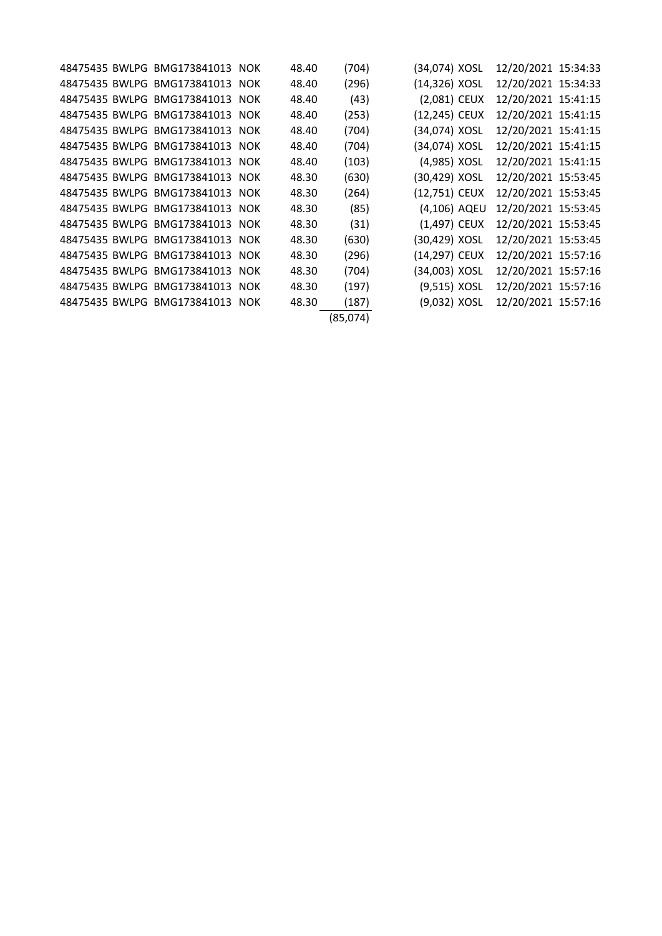|  | 48475435 BWLPG BMG173841013 NOK | 48.40 | (704)    | (34,074) XOSL | 12/20/2021 15:34:33 |  |
|--|---------------------------------|-------|----------|---------------|---------------------|--|
|  | 48475435 BWLPG BMG173841013 NOK | 48.40 | (296)    | (14,326) XOSL | 12/20/2021 15:34:33 |  |
|  | 48475435 BWLPG BMG173841013 NOK | 48.40 | (43)     | (2,081) CEUX  | 12/20/2021 15:41:15 |  |
|  | 48475435 BWLPG BMG173841013 NOK | 48.40 | (253)    | (12,245) CEUX | 12/20/2021 15:41:15 |  |
|  | 48475435 BWLPG BMG173841013 NOK | 48.40 | (704)    | (34,074) XOSL | 12/20/2021 15:41:15 |  |
|  | 48475435 BWLPG BMG173841013 NOK | 48.40 | (704)    | (34,074) XOSL | 12/20/2021 15:41:15 |  |
|  | 48475435 BWLPG BMG173841013 NOK | 48.40 | (103)    | (4,985) XOSL  | 12/20/2021 15:41:15 |  |
|  | 48475435 BWLPG BMG173841013 NOK | 48.30 | (630)    | (30,429) XOSL | 12/20/2021 15:53:45 |  |
|  | 48475435 BWLPG BMG173841013 NOK | 48.30 | (264)    | (12,751) CEUX | 12/20/2021 15:53:45 |  |
|  | 48475435 BWLPG BMG173841013 NOK | 48.30 | (85)     | (4,106) AQEU  | 12/20/2021 15:53:45 |  |
|  | 48475435 BWLPG BMG173841013 NOK | 48.30 | (31)     | (1,497) CEUX  | 12/20/2021 15:53:45 |  |
|  | 48475435 BWLPG BMG173841013 NOK | 48.30 | (630)    | (30,429) XOSL | 12/20/2021 15:53:45 |  |
|  | 48475435 BWLPG BMG173841013 NOK | 48.30 | (296)    | (14,297) CEUX | 12/20/2021 15:57:16 |  |
|  | 48475435 BWLPG BMG173841013 NOK | 48.30 | (704)    | (34,003) XOSL | 12/20/2021 15:57:16 |  |
|  | 48475435 BWLPG BMG173841013 NOK | 48.30 | (197)    | (9,515) XOSL  | 12/20/2021 15:57:16 |  |
|  | 48475435 BWLPG BMG173841013 NOK | 48.30 | (187)    | (9,032) XOSL  | 12/20/2021 15:57:16 |  |
|  |                                 |       | (85,074) |               |                     |  |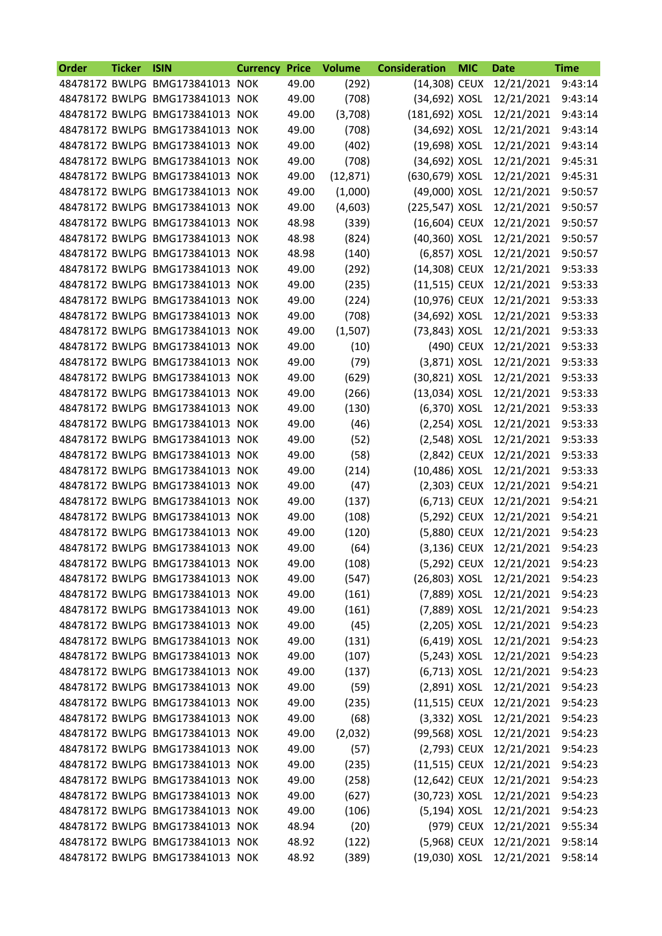| Order | <b>Ticker</b> | <b>ISIN</b>                     | <b>Currency Price</b> |       | <b>Volume</b> | <b>Consideration</b> | <b>MIC</b> | <b>Date</b>             | <b>Time</b> |
|-------|---------------|---------------------------------|-----------------------|-------|---------------|----------------------|------------|-------------------------|-------------|
|       |               | 48478172 BWLPG BMG173841013 NOK |                       | 49.00 | (292)         | (14,308) CEUX        |            | 12/21/2021              | 9:43:14     |
|       |               | 48478172 BWLPG BMG173841013 NOK |                       | 49.00 | (708)         | (34,692) XOSL        |            | 12/21/2021              | 9:43:14     |
|       |               | 48478172 BWLPG BMG173841013 NOK |                       | 49.00 | (3,708)       | (181,692) XOSL       |            | 12/21/2021              | 9:43:14     |
|       |               | 48478172 BWLPG BMG173841013 NOK |                       | 49.00 | (708)         | (34,692) XOSL        |            | 12/21/2021              | 9:43:14     |
|       |               | 48478172 BWLPG BMG173841013 NOK |                       | 49.00 | (402)         | (19,698) XOSL        |            | 12/21/2021              | 9:43:14     |
|       |               | 48478172 BWLPG BMG173841013 NOK |                       | 49.00 | (708)         | (34,692) XOSL        |            | 12/21/2021              | 9:45:31     |
|       |               | 48478172 BWLPG BMG173841013 NOK |                       | 49.00 | (12, 871)     | (630,679) XOSL       |            | 12/21/2021              | 9:45:31     |
|       |               | 48478172 BWLPG BMG173841013 NOK |                       | 49.00 | (1,000)       | (49,000) XOSL        |            | 12/21/2021              | 9:50:57     |
|       |               | 48478172 BWLPG BMG173841013 NOK |                       | 49.00 | (4,603)       | (225,547) XOSL       |            | 12/21/2021              | 9:50:57     |
|       |               | 48478172 BWLPG BMG173841013 NOK |                       | 48.98 | (339)         | (16,604) CEUX        |            | 12/21/2021              | 9:50:57     |
|       |               | 48478172 BWLPG BMG173841013 NOK |                       | 48.98 | (824)         | (40,360) XOSL        |            | 12/21/2021              | 9:50:57     |
|       |               | 48478172 BWLPG BMG173841013 NOK |                       | 48.98 | (140)         | (6,857) XOSL         |            | 12/21/2021              | 9:50:57     |
|       |               | 48478172 BWLPG BMG173841013 NOK |                       | 49.00 | (292)         | (14,308) CEUX        |            | 12/21/2021              | 9:53:33     |
|       |               | 48478172 BWLPG BMG173841013 NOK |                       | 49.00 | (235)         | (11,515) CEUX        |            | 12/21/2021              | 9:53:33     |
|       |               | 48478172 BWLPG BMG173841013 NOK |                       | 49.00 | (224)         | (10,976) CEUX        |            | 12/21/2021              | 9:53:33     |
|       |               | 48478172 BWLPG BMG173841013 NOK |                       | 49.00 | (708)         | (34,692) XOSL        |            | 12/21/2021              | 9:53:33     |
|       |               | 48478172 BWLPG BMG173841013 NOK |                       | 49.00 | (1,507)       | (73,843) XOSL        |            | 12/21/2021              | 9:53:33     |
|       |               | 48478172 BWLPG BMG173841013 NOK |                       | 49.00 | (10)          |                      | (490) CEUX | 12/21/2021              | 9:53:33     |
|       |               | 48478172 BWLPG BMG173841013 NOK |                       | 49.00 | (79)          | (3,871) XOSL         |            | 12/21/2021              | 9:53:33     |
|       |               | 48478172 BWLPG BMG173841013 NOK |                       | 49.00 | (629)         | (30,821) XOSL        |            | 12/21/2021              | 9:53:33     |
|       |               | 48478172 BWLPG BMG173841013 NOK |                       | 49.00 | (266)         | (13,034) XOSL        |            | 12/21/2021              | 9:53:33     |
|       |               | 48478172 BWLPG BMG173841013 NOK |                       | 49.00 | (130)         | (6,370) XOSL         |            | 12/21/2021              | 9:53:33     |
|       |               | 48478172 BWLPG BMG173841013 NOK |                       | 49.00 | (46)          | (2,254) XOSL         |            | 12/21/2021              | 9:53:33     |
|       |               | 48478172 BWLPG BMG173841013 NOK |                       | 49.00 | (52)          | (2,548) XOSL         |            | 12/21/2021              | 9:53:33     |
|       |               | 48478172 BWLPG BMG173841013 NOK |                       | 49.00 | (58)          | (2,842) CEUX         |            | 12/21/2021              | 9:53:33     |
|       |               | 48478172 BWLPG BMG173841013 NOK |                       | 49.00 | (214)         | (10,486) XOSL        |            | 12/21/2021              | 9:53:33     |
|       |               | 48478172 BWLPG BMG173841013 NOK |                       | 49.00 | (47)          | (2,303) CEUX         |            | 12/21/2021              | 9:54:21     |
|       |               | 48478172 BWLPG BMG173841013 NOK |                       | 49.00 | (137)         | (6,713) CEUX         |            | 12/21/2021              | 9:54:21     |
|       |               | 48478172 BWLPG BMG173841013 NOK |                       | 49.00 | (108)         | (5,292) CEUX         |            | 12/21/2021              | 9:54:21     |
|       |               | 48478172 BWLPG BMG173841013 NOK |                       | 49.00 | (120)         | (5,880) CEUX         |            | 12/21/2021              | 9:54:23     |
|       |               | 48478172 BWLPG BMG173841013 NOK |                       | 49.00 | (64)          |                      |            | (3,136) CEUX 12/21/2021 | 9:54:23     |
|       |               | 48478172 BWLPG BMG173841013 NOK |                       | 49.00 | (108)         |                      |            | (5,292) CEUX 12/21/2021 | 9:54:23     |
|       |               | 48478172 BWLPG BMG173841013 NOK |                       | 49.00 | (547)         | (26,803) XOSL        |            | 12/21/2021              | 9:54:23     |
|       |               | 48478172 BWLPG BMG173841013 NOK |                       | 49.00 | (161)         | (7,889) XOSL         |            | 12/21/2021              | 9:54:23     |
|       |               | 48478172 BWLPG BMG173841013 NOK |                       | 49.00 | (161)         | (7,889) XOSL         |            | 12/21/2021              | 9:54:23     |
|       |               | 48478172 BWLPG BMG173841013 NOK |                       | 49.00 | (45)          | (2,205) XOSL         |            | 12/21/2021              | 9:54:23     |
|       |               | 48478172 BWLPG BMG173841013 NOK |                       | 49.00 | (131)         | (6,419) XOSL         |            | 12/21/2021              | 9:54:23     |
|       |               | 48478172 BWLPG BMG173841013 NOK |                       | 49.00 | (107)         | (5,243) XOSL         |            | 12/21/2021              | 9:54:23     |
|       |               | 48478172 BWLPG BMG173841013 NOK |                       | 49.00 | (137)         | (6,713) XOSL         |            | 12/21/2021              | 9:54:23     |
|       |               | 48478172 BWLPG BMG173841013 NOK |                       | 49.00 | (59)          | (2,891) XOSL         |            | 12/21/2021              | 9:54:23     |
|       |               | 48478172 BWLPG BMG173841013 NOK |                       | 49.00 | (235)         | (11,515) CEUX        |            | 12/21/2021              | 9:54:23     |
|       |               | 48478172 BWLPG BMG173841013 NOK |                       | 49.00 | (68)          | (3,332) XOSL         |            | 12/21/2021              | 9:54:23     |
|       |               | 48478172 BWLPG BMG173841013 NOK |                       | 49.00 | (2,032)       | (99,568) XOSL        |            | 12/21/2021              | 9:54:23     |
|       |               | 48478172 BWLPG BMG173841013 NOK |                       | 49.00 | (57)          | (2,793) CEUX         |            | 12/21/2021              | 9:54:23     |
|       |               | 48478172 BWLPG BMG173841013 NOK |                       | 49.00 | (235)         | (11,515) CEUX        |            | 12/21/2021              | 9:54:23     |
|       |               | 48478172 BWLPG BMG173841013 NOK |                       | 49.00 | (258)         | (12,642) CEUX        |            | 12/21/2021              | 9:54:23     |
|       |               | 48478172 BWLPG BMG173841013 NOK |                       | 49.00 | (627)         | (30,723) XOSL        |            | 12/21/2021              | 9:54:23     |
|       |               | 48478172 BWLPG BMG173841013 NOK |                       | 49.00 | (106)         | (5,194) XOSL         |            | 12/21/2021              | 9:54:23     |
|       |               | 48478172 BWLPG BMG173841013 NOK |                       | 48.94 | (20)          |                      | (979) CEUX | 12/21/2021              | 9:55:34     |
|       |               | 48478172 BWLPG BMG173841013 NOK |                       | 48.92 | (122)         | (5,968) CEUX         |            | 12/21/2021              | 9:58:14     |
|       |               | 48478172 BWLPG BMG173841013 NOK |                       | 48.92 | (389)         | (19,030) XOSL        |            | 12/21/2021              | 9:58:14     |
|       |               |                                 |                       |       |               |                      |            |                         |             |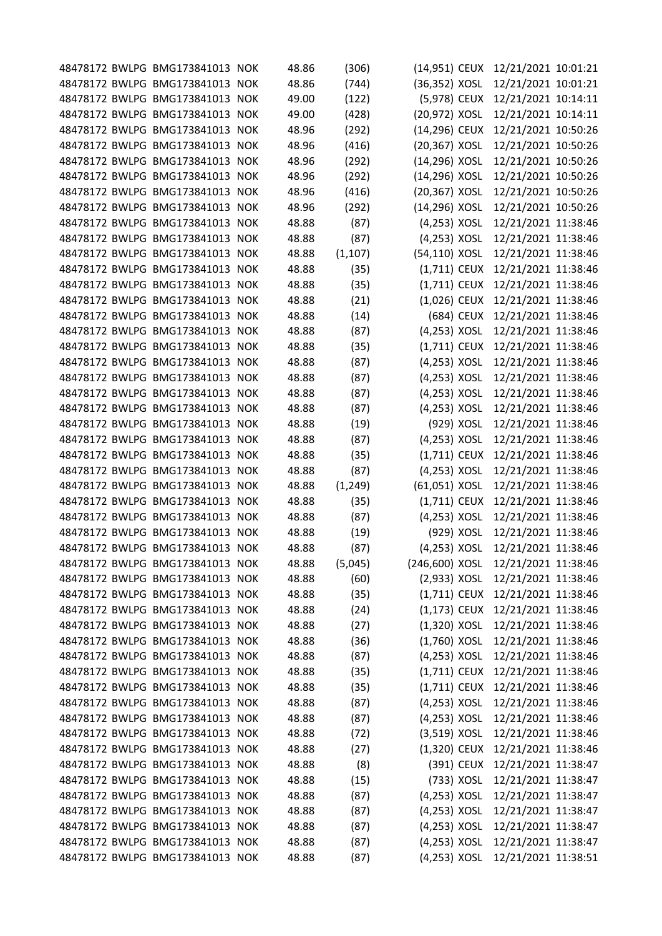|  | 48478172 BWLPG BMG173841013 NOK | 48.86 | (306)    | (14,951) CEUX  |            | 12/21/2021 10:01:21 |  |
|--|---------------------------------|-------|----------|----------------|------------|---------------------|--|
|  | 48478172 BWLPG BMG173841013 NOK | 48.86 | (744)    | (36,352) XOSL  |            | 12/21/2021 10:01:21 |  |
|  | 48478172 BWLPG BMG173841013 NOK | 49.00 | (122)    | (5,978) CEUX   |            | 12/21/2021 10:14:11 |  |
|  | 48478172 BWLPG BMG173841013 NOK | 49.00 | (428)    | (20,972) XOSL  |            | 12/21/2021 10:14:11 |  |
|  | 48478172 BWLPG BMG173841013 NOK | 48.96 | (292)    | (14,296) CEUX  |            | 12/21/2021 10:50:26 |  |
|  | 48478172 BWLPG BMG173841013 NOK | 48.96 | (416)    | (20,367) XOSL  |            | 12/21/2021 10:50:26 |  |
|  | 48478172 BWLPG BMG173841013 NOK | 48.96 | (292)    | (14,296) XOSL  |            | 12/21/2021 10:50:26 |  |
|  | 48478172 BWLPG BMG173841013 NOK | 48.96 | (292)    | (14,296) XOSL  |            | 12/21/2021 10:50:26 |  |
|  | 48478172 BWLPG BMG173841013 NOK | 48.96 | (416)    | (20,367) XOSL  |            | 12/21/2021 10:50:26 |  |
|  | 48478172 BWLPG BMG173841013 NOK | 48.96 | (292)    | (14,296) XOSL  |            | 12/21/2021 10:50:26 |  |
|  | 48478172 BWLPG BMG173841013 NOK | 48.88 | (87)     | (4,253) XOSL   |            | 12/21/2021 11:38:46 |  |
|  | 48478172 BWLPG BMG173841013 NOK | 48.88 | (87)     | (4,253) XOSL   |            | 12/21/2021 11:38:46 |  |
|  | 48478172 BWLPG BMG173841013 NOK | 48.88 | (1, 107) | (54,110) XOSL  |            | 12/21/2021 11:38:46 |  |
|  | 48478172 BWLPG BMG173841013 NOK | 48.88 | (35)     | $(1,711)$ CEUX |            | 12/21/2021 11:38:46 |  |
|  | 48478172 BWLPG BMG173841013 NOK | 48.88 | (35)     | $(1,711)$ CEUX |            | 12/21/2021 11:38:46 |  |
|  | 48478172 BWLPG BMG173841013 NOK | 48.88 | (21)     | (1,026) CEUX   |            | 12/21/2021 11:38:46 |  |
|  | 48478172 BWLPG BMG173841013 NOK | 48.88 | (14)     |                | (684) CEUX | 12/21/2021 11:38:46 |  |
|  | 48478172 BWLPG BMG173841013 NOK | 48.88 | (87)     | (4,253) XOSL   |            | 12/21/2021 11:38:46 |  |
|  | 48478172 BWLPG BMG173841013 NOK | 48.88 | (35)     | $(1,711)$ CEUX |            | 12/21/2021 11:38:46 |  |
|  | 48478172 BWLPG BMG173841013 NOK | 48.88 | (87)     | (4,253) XOSL   |            | 12/21/2021 11:38:46 |  |
|  | 48478172 BWLPG BMG173841013 NOK | 48.88 | (87)     | (4,253) XOSL   |            | 12/21/2021 11:38:46 |  |
|  | 48478172 BWLPG BMG173841013 NOK | 48.88 | (87)     | (4,253) XOSL   |            | 12/21/2021 11:38:46 |  |
|  | 48478172 BWLPG BMG173841013 NOK | 48.88 | (87)     | (4,253) XOSL   |            | 12/21/2021 11:38:46 |  |
|  | 48478172 BWLPG BMG173841013 NOK | 48.88 | (19)     | (929) XOSL     |            | 12/21/2021 11:38:46 |  |
|  | 48478172 BWLPG BMG173841013 NOK | 48.88 | (87)     | (4,253) XOSL   |            | 12/21/2021 11:38:46 |  |
|  | 48478172 BWLPG BMG173841013 NOK | 48.88 | (35)     | $(1,711)$ CEUX |            | 12/21/2021 11:38:46 |  |
|  | 48478172 BWLPG BMG173841013 NOK | 48.88 | (87)     | (4,253) XOSL   |            | 12/21/2021 11:38:46 |  |
|  | 48478172 BWLPG BMG173841013 NOK | 48.88 | (1, 249) | (61,051) XOSL  |            | 12/21/2021 11:38:46 |  |
|  | 48478172 BWLPG BMG173841013 NOK | 48.88 | (35)     | $(1,711)$ CEUX |            | 12/21/2021 11:38:46 |  |
|  | 48478172 BWLPG BMG173841013 NOK | 48.88 | (87)     | (4,253) XOSL   |            | 12/21/2021 11:38:46 |  |
|  | 48478172 BWLPG BMG173841013 NOK | 48.88 | (19)     | (929) XOSL     |            | 12/21/2021 11:38:46 |  |
|  | 48478172 BWLPG BMG173841013 NOK | 48.88 | (87)     | (4,253) XOSL   |            | 12/21/2021 11:38:46 |  |
|  | 48478172 BWLPG BMG173841013 NOK | 48.88 | (5,045)  | (246,600) XOSL |            | 12/21/2021 11:38:46 |  |
|  | 48478172 BWLPG BMG173841013 NOK | 48.88 | (60)     | $(2,933)$ XOSL |            | 12/21/2021 11:38:46 |  |
|  | 48478172 BWLPG BMG173841013 NOK | 48.88 | (35)     | $(1,711)$ CEUX |            | 12/21/2021 11:38:46 |  |
|  | 48478172 BWLPG BMG173841013 NOK | 48.88 | (24)     | $(1,173)$ CEUX |            | 12/21/2021 11:38:46 |  |
|  | 48478172 BWLPG BMG173841013 NOK | 48.88 | (27)     | $(1,320)$ XOSL |            | 12/21/2021 11:38:46 |  |
|  | 48478172 BWLPG BMG173841013 NOK | 48.88 | (36)     | $(1,760)$ XOSL |            | 12/21/2021 11:38:46 |  |
|  | 48478172 BWLPG BMG173841013 NOK | 48.88 | (87)     | (4,253) XOSL   |            | 12/21/2021 11:38:46 |  |
|  | 48478172 BWLPG BMG173841013 NOK | 48.88 | (35)     | $(1,711)$ CEUX |            | 12/21/2021 11:38:46 |  |
|  | 48478172 BWLPG BMG173841013 NOK | 48.88 | (35)     | $(1,711)$ CEUX |            | 12/21/2021 11:38:46 |  |
|  | 48478172 BWLPG BMG173841013 NOK | 48.88 | (87)     | (4,253) XOSL   |            | 12/21/2021 11:38:46 |  |
|  | 48478172 BWLPG BMG173841013 NOK | 48.88 | (87)     | $(4,253)$ XOSL |            | 12/21/2021 11:38:46 |  |
|  | 48478172 BWLPG BMG173841013 NOK | 48.88 | (72)     | $(3,519)$ XOSL |            | 12/21/2021 11:38:46 |  |
|  | 48478172 BWLPG BMG173841013 NOK | 48.88 | (27)     | (1,320) CEUX   |            | 12/21/2021 11:38:46 |  |
|  | 48478172 BWLPG BMG173841013 NOK | 48.88 | (8)      |                | (391) CEUX | 12/21/2021 11:38:47 |  |
|  | 48478172 BWLPG BMG173841013 NOK | 48.88 | (15)     |                | (733) XOSL | 12/21/2021 11:38:47 |  |
|  | 48478172 BWLPG BMG173841013 NOK | 48.88 | (87)     | $(4,253)$ XOSL |            | 12/21/2021 11:38:47 |  |
|  | 48478172 BWLPG BMG173841013 NOK | 48.88 | (87)     | $(4,253)$ XOSL |            | 12/21/2021 11:38:47 |  |
|  | 48478172 BWLPG BMG173841013 NOK | 48.88 | (87)     | $(4,253)$ XOSL |            | 12/21/2021 11:38:47 |  |
|  | 48478172 BWLPG BMG173841013 NOK | 48.88 | (87)     | (4,253) XOSL   |            | 12/21/2021 11:38:47 |  |
|  | 48478172 BWLPG BMG173841013 NOK | 48.88 | (87)     | (4,253) XOSL   |            | 12/21/2021 11:38:51 |  |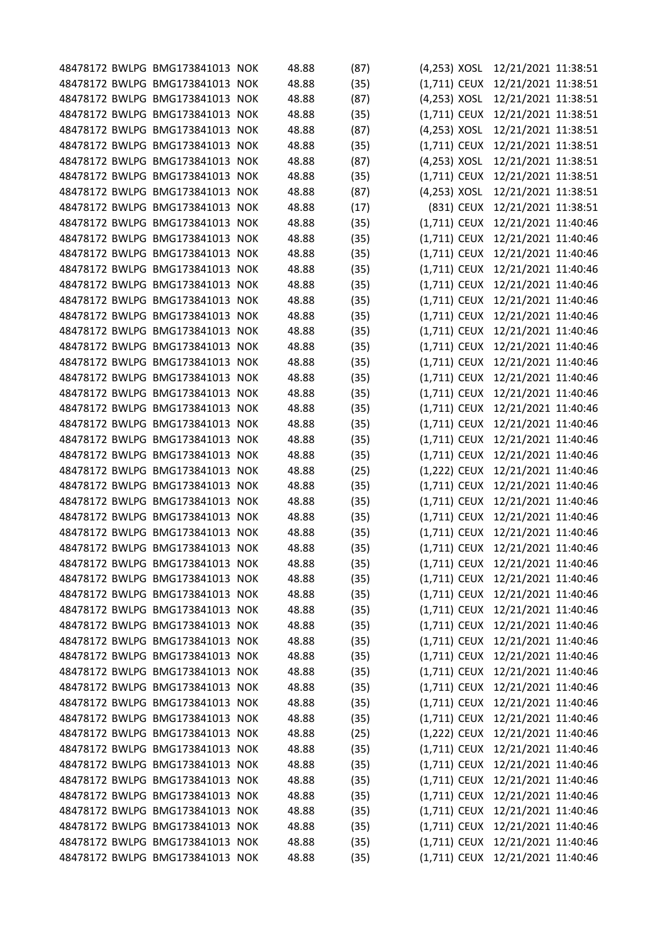|  | 48478172 BWLPG BMG173841013 NOK | 48.88 | (87) | (4,253) XOSL                     | 12/21/2021 11:38:51 |  |
|--|---------------------------------|-------|------|----------------------------------|---------------------|--|
|  | 48478172 BWLPG BMG173841013 NOK | 48.88 | (35) | $(1,711)$ CEUX                   | 12/21/2021 11:38:51 |  |
|  | 48478172 BWLPG BMG173841013 NOK | 48.88 | (87) | $(4,253)$ XOSL                   | 12/21/2021 11:38:51 |  |
|  | 48478172 BWLPG BMG173841013 NOK | 48.88 | (35) | $(1,711)$ CEUX                   | 12/21/2021 11:38:51 |  |
|  | 48478172 BWLPG BMG173841013 NOK | 48.88 | (87) | (4,253) XOSL                     | 12/21/2021 11:38:51 |  |
|  | 48478172 BWLPG BMG173841013 NOK | 48.88 | (35) | $(1,711)$ CEUX                   | 12/21/2021 11:38:51 |  |
|  | 48478172 BWLPG BMG173841013 NOK | 48.88 | (87) | (4,253) XOSL                     | 12/21/2021 11:38:51 |  |
|  | 48478172 BWLPG BMG173841013 NOK | 48.88 | (35) | (1,711) CEUX                     | 12/21/2021 11:38:51 |  |
|  | 48478172 BWLPG BMG173841013 NOK | 48.88 | (87) | (4,253) XOSL                     | 12/21/2021 11:38:51 |  |
|  | 48478172 BWLPG BMG173841013 NOK | 48.88 | (17) | (831) CEUX                       | 12/21/2021 11:38:51 |  |
|  | 48478172 BWLPG BMG173841013 NOK | 48.88 | (35) | $(1,711)$ CEUX                   | 12/21/2021 11:40:46 |  |
|  | 48478172 BWLPG BMG173841013 NOK | 48.88 | (35) | $(1,711)$ CEUX                   | 12/21/2021 11:40:46 |  |
|  | 48478172 BWLPG BMG173841013 NOK | 48.88 | (35) | $(1,711)$ CEUX                   | 12/21/2021 11:40:46 |  |
|  | 48478172 BWLPG BMG173841013 NOK | 48.88 | (35) | $(1,711)$ CEUX                   | 12/21/2021 11:40:46 |  |
|  | 48478172 BWLPG BMG173841013 NOK | 48.88 | (35) | (1,711) CEUX                     | 12/21/2021 11:40:46 |  |
|  | 48478172 BWLPG BMG173841013 NOK | 48.88 | (35) | $(1,711)$ CEUX                   | 12/21/2021 11:40:46 |  |
|  | 48478172 BWLPG BMG173841013 NOK | 48.88 | (35) | $(1,711)$ CEUX                   | 12/21/2021 11:40:46 |  |
|  | 48478172 BWLPG BMG173841013 NOK | 48.88 | (35) | $(1,711)$ CEUX                   | 12/21/2021 11:40:46 |  |
|  | 48478172 BWLPG BMG173841013 NOK | 48.88 | (35) | $(1,711)$ CEUX                   | 12/21/2021 11:40:46 |  |
|  | 48478172 BWLPG BMG173841013 NOK | 48.88 | (35) | $(1,711)$ CEUX                   | 12/21/2021 11:40:46 |  |
|  | 48478172 BWLPG BMG173841013 NOK | 48.88 | (35) | $(1,711)$ CEUX                   | 12/21/2021 11:40:46 |  |
|  | 48478172 BWLPG BMG173841013 NOK | 48.88 | (35) | $(1,711)$ CEUX                   | 12/21/2021 11:40:46 |  |
|  | 48478172 BWLPG BMG173841013 NOK | 48.88 | (35) | $(1,711)$ CEUX                   | 12/21/2021 11:40:46 |  |
|  | 48478172 BWLPG BMG173841013 NOK | 48.88 | (35) | $(1,711)$ CEUX                   | 12/21/2021 11:40:46 |  |
|  | 48478172 BWLPG BMG173841013 NOK | 48.88 | (35) | $(1,711)$ CEUX                   | 12/21/2021 11:40:46 |  |
|  | 48478172 BWLPG BMG173841013 NOK | 48.88 | (35) | $(1,711)$ CEUX                   | 12/21/2021 11:40:46 |  |
|  | 48478172 BWLPG BMG173841013 NOK | 48.88 | (25) | (1,222) CEUX                     | 12/21/2021 11:40:46 |  |
|  | 48478172 BWLPG BMG173841013 NOK | 48.88 | (35) | $(1,711)$ CEUX                   | 12/21/2021 11:40:46 |  |
|  | 48478172 BWLPG BMG173841013 NOK | 48.88 | (35) | $(1,711)$ CEUX                   | 12/21/2021 11:40:46 |  |
|  | 48478172 BWLPG BMG173841013 NOK | 48.88 | (35) | $(1,711)$ CEUX                   | 12/21/2021 11:40:46 |  |
|  | 48478172 BWLPG BMG173841013 NOK | 48.88 | (35) | $(1,711)$ CEUX                   | 12/21/2021 11:40:46 |  |
|  | 48478172 BWLPG BMG173841013 NOK | 48.88 | (35) | (1,711) CEUX 12/21/2021 11:40:46 |                     |  |
|  | 48478172 BWLPG BMG173841013 NOK | 48.88 | (35) | (1,711) CEUX                     | 12/21/2021 11:40:46 |  |
|  | 48478172 BWLPG BMG173841013 NOK | 48.88 | (35) | (1,711) CEUX 12/21/2021 11:40:46 |                     |  |
|  | 48478172 BWLPG BMG173841013 NOK | 48.88 | (35) | (1,711) CEUX 12/21/2021 11:40:46 |                     |  |
|  | 48478172 BWLPG BMG173841013 NOK | 48.88 | (35) | $(1,711)$ CEUX                   | 12/21/2021 11:40:46 |  |
|  | 48478172 BWLPG BMG173841013 NOK | 48.88 | (35) | $(1,711)$ CEUX                   | 12/21/2021 11:40:46 |  |
|  | 48478172 BWLPG BMG173841013 NOK | 48.88 | (35) | (1,711) CEUX 12/21/2021 11:40:46 |                     |  |
|  | 48478172 BWLPG BMG173841013 NOK | 48.88 | (35) | $(1,711)$ CEUX                   | 12/21/2021 11:40:46 |  |
|  | 48478172 BWLPG BMG173841013 NOK | 48.88 | (35) | $(1,711)$ CEUX                   | 12/21/2021 11:40:46 |  |
|  | 48478172 BWLPG BMG173841013 NOK | 48.88 | (35) | (1,711) CEUX 12/21/2021 11:40:46 |                     |  |
|  | 48478172 BWLPG BMG173841013 NOK | 48.88 | (35) | $(1,711)$ CEUX                   | 12/21/2021 11:40:46 |  |
|  | 48478172 BWLPG BMG173841013 NOK | 48.88 | (35) | $(1,711)$ CEUX                   | 12/21/2021 11:40:46 |  |
|  | 48478172 BWLPG BMG173841013 NOK | 48.88 | (25) | $(1,222)$ CEUX                   | 12/21/2021 11:40:46 |  |
|  | 48478172 BWLPG BMG173841013 NOK | 48.88 | (35) | $(1,711)$ CEUX                   | 12/21/2021 11:40:46 |  |
|  | 48478172 BWLPG BMG173841013 NOK | 48.88 | (35) | $(1,711)$ CEUX                   | 12/21/2021 11:40:46 |  |
|  | 48478172 BWLPG BMG173841013 NOK | 48.88 | (35) | (1,711) CEUX 12/21/2021 11:40:46 |                     |  |
|  | 48478172 BWLPG BMG173841013 NOK | 48.88 | (35) | $(1,711)$ CEUX                   | 12/21/2021 11:40:46 |  |
|  | 48478172 BWLPG BMG173841013 NOK | 48.88 | (35) | $(1,711)$ CEUX                   | 12/21/2021 11:40:46 |  |
|  | 48478172 BWLPG BMG173841013 NOK | 48.88 | (35) | (1,711) CEUX 12/21/2021 11:40:46 |                     |  |
|  | 48478172 BWLPG BMG173841013 NOK | 48.88 | (35) | $(1,711)$ CEUX                   | 12/21/2021 11:40:46 |  |
|  | 48478172 BWLPG BMG173841013 NOK | 48.88 | (35) | (1,711) CEUX 12/21/2021 11:40:46 |                     |  |
|  |                                 |       |      |                                  |                     |  |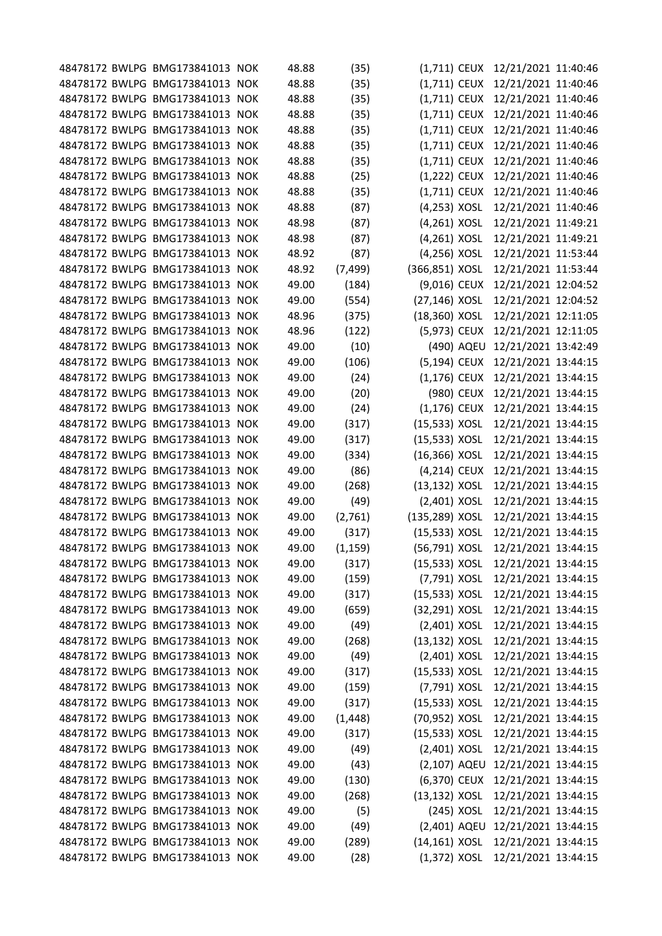|  | 48478172 BWLPG BMG173841013 NOK | 48.88 | (35)     | $(1,711)$ CEUX   |            | 12/21/2021 11:40:46 |  |
|--|---------------------------------|-------|----------|------------------|------------|---------------------|--|
|  | 48478172 BWLPG BMG173841013 NOK | 48.88 | (35)     | $(1,711)$ CEUX   |            | 12/21/2021 11:40:46 |  |
|  | 48478172 BWLPG BMG173841013 NOK | 48.88 | (35)     | $(1,711)$ CEUX   |            | 12/21/2021 11:40:46 |  |
|  | 48478172 BWLPG BMG173841013 NOK | 48.88 | (35)     | (1,711) CEUX     |            | 12/21/2021 11:40:46 |  |
|  | 48478172 BWLPG BMG173841013 NOK | 48.88 | (35)     | (1,711) CEUX     |            | 12/21/2021 11:40:46 |  |
|  | 48478172 BWLPG BMG173841013 NOK | 48.88 | (35)     | $(1,711)$ CEUX   |            | 12/21/2021 11:40:46 |  |
|  | 48478172 BWLPG BMG173841013 NOK | 48.88 | (35)     | $(1,711)$ CEUX   |            | 12/21/2021 11:40:46 |  |
|  | 48478172 BWLPG BMG173841013 NOK | 48.88 | (25)     | (1,222) CEUX     |            | 12/21/2021 11:40:46 |  |
|  | 48478172 BWLPG BMG173841013 NOK | 48.88 | (35)     | $(1,711)$ CEUX   |            | 12/21/2021 11:40:46 |  |
|  | 48478172 BWLPG BMG173841013 NOK | 48.88 | (87)     | (4,253) XOSL     |            | 12/21/2021 11:40:46 |  |
|  | 48478172 BWLPG BMG173841013 NOK | 48.98 | (87)     | (4,261) XOSL     |            | 12/21/2021 11:49:21 |  |
|  | 48478172 BWLPG BMG173841013 NOK | 48.98 | (87)     | (4,261) XOSL     |            | 12/21/2021 11:49:21 |  |
|  | 48478172 BWLPG BMG173841013 NOK | 48.92 | (87)     | (4,256) XOSL     |            | 12/21/2021 11:53:44 |  |
|  | 48478172 BWLPG BMG173841013 NOK | 48.92 | (7, 499) | (366,851) XOSL   |            | 12/21/2021 11:53:44 |  |
|  | 48478172 BWLPG BMG173841013 NOK | 49.00 | (184)    | (9,016) CEUX     |            | 12/21/2021 12:04:52 |  |
|  | 48478172 BWLPG BMG173841013 NOK | 49.00 | (554)    | (27,146) XOSL    |            | 12/21/2021 12:04:52 |  |
|  | 48478172 BWLPG BMG173841013 NOK | 48.96 | (375)    | (18,360) XOSL    |            | 12/21/2021 12:11:05 |  |
|  | 48478172 BWLPG BMG173841013 NOK | 48.96 | (122)    | (5,973) CEUX     |            | 12/21/2021 12:11:05 |  |
|  | 48478172 BWLPG BMG173841013 NOK | 49.00 | (10)     |                  | (490) AQEU | 12/21/2021 13:42:49 |  |
|  | 48478172 BWLPG BMG173841013 NOK | 49.00 | (106)    | (5,194) CEUX     |            | 12/21/2021 13:44:15 |  |
|  | 48478172 BWLPG BMG173841013 NOK | 49.00 | (24)     | $(1,176)$ CEUX   |            | 12/21/2021 13:44:15 |  |
|  | 48478172 BWLPG BMG173841013 NOK | 49.00 | (20)     |                  | (980) CEUX | 12/21/2021 13:44:15 |  |
|  | 48478172 BWLPG BMG173841013 NOK | 49.00 | (24)     | $(1,176)$ CEUX   |            | 12/21/2021 13:44:15 |  |
|  | 48478172 BWLPG BMG173841013 NOK | 49.00 | (317)    | (15,533) XOSL    |            | 12/21/2021 13:44:15 |  |
|  | 48478172 BWLPG BMG173841013 NOK | 49.00 | (317)    | (15,533) XOSL    |            | 12/21/2021 13:44:15 |  |
|  | 48478172 BWLPG BMG173841013 NOK | 49.00 | (334)    | (16,366) XOSL    |            | 12/21/2021 13:44:15 |  |
|  | 48478172 BWLPG BMG173841013 NOK | 49.00 | (86)     | (4,214) CEUX     |            | 12/21/2021 13:44:15 |  |
|  | 48478172 BWLPG BMG173841013 NOK | 49.00 | (268)    | (13,132) XOSL    |            | 12/21/2021 13:44:15 |  |
|  | 48478172 BWLPG BMG173841013 NOK | 49.00 | (49)     | (2,401) XOSL     |            | 12/21/2021 13:44:15 |  |
|  | 48478172 BWLPG BMG173841013 NOK | 49.00 | (2,761)  | (135,289) XOSL   |            | 12/21/2021 13:44:15 |  |
|  | 48478172 BWLPG BMG173841013 NOK | 49.00 | (317)    | (15,533) XOSL    |            | 12/21/2021 13:44:15 |  |
|  | 48478172 BWLPG BMG173841013 NOK | 49.00 | (1, 159) | (56,791) XOSL    |            | 12/21/2021 13:44:15 |  |
|  | 48478172 BWLPG BMG173841013 NOK | 49.00 |          |                  |            | 12/21/2021 13:44:15 |  |
|  | 48478172 BWLPG BMG173841013 NOK | 49.00 | (317)    | (15,533) XOSL    |            |                     |  |
|  |                                 |       | (159)    | (7,791) XOSL     |            | 12/21/2021 13:44:15 |  |
|  | 48478172 BWLPG BMG173841013 NOK | 49.00 | (317)    | (15,533) XOSL    |            | 12/21/2021 13:44:15 |  |
|  | 48478172 BWLPG BMG173841013 NOK | 49.00 | (659)    | (32,291) XOSL    |            | 12/21/2021 13:44:15 |  |
|  | 48478172 BWLPG BMG173841013 NOK | 49.00 | (49)     | (2,401) XOSL     |            | 12/21/2021 13:44:15 |  |
|  | 48478172 BWLPG BMG173841013 NOK | 49.00 | (268)    | $(13, 132)$ XOSL |            | 12/21/2021 13:44:15 |  |
|  | 48478172 BWLPG BMG173841013 NOK | 49.00 | (49)     | (2,401) XOSL     |            | 12/21/2021 13:44:15 |  |
|  | 48478172 BWLPG BMG173841013 NOK | 49.00 | (317)    | (15,533) XOSL    |            | 12/21/2021 13:44:15 |  |
|  | 48478172 BWLPG BMG173841013 NOK | 49.00 | (159)    | (7,791) XOSL     |            | 12/21/2021 13:44:15 |  |
|  | 48478172 BWLPG BMG173841013 NOK | 49.00 | (317)    | (15,533) XOSL    |            | 12/21/2021 13:44:15 |  |
|  | 48478172 BWLPG BMG173841013 NOK | 49.00 | (1, 448) | (70,952) XOSL    |            | 12/21/2021 13:44:15 |  |
|  | 48478172 BWLPG BMG173841013 NOK | 49.00 | (317)    | (15,533) XOSL    |            | 12/21/2021 13:44:15 |  |
|  | 48478172 BWLPG BMG173841013 NOK | 49.00 | (49)     | (2,401) XOSL     |            | 12/21/2021 13:44:15 |  |
|  | 48478172 BWLPG BMG173841013 NOK | 49.00 | (43)     | (2,107) AQEU     |            | 12/21/2021 13:44:15 |  |
|  | 48478172 BWLPG BMG173841013 NOK | 49.00 | (130)    | (6,370) CEUX     |            | 12/21/2021 13:44:15 |  |
|  | 48478172 BWLPG BMG173841013 NOK | 49.00 | (268)    | (13,132) XOSL    |            | 12/21/2021 13:44:15 |  |
|  | 48478172 BWLPG BMG173841013 NOK | 49.00 | (5)      |                  | (245) XOSL | 12/21/2021 13:44:15 |  |
|  | 48478172 BWLPG BMG173841013 NOK | 49.00 | (49)     | (2,401) AQEU     |            | 12/21/2021 13:44:15 |  |
|  | 48478172 BWLPG BMG173841013 NOK | 49.00 | (289)    | $(14, 161)$ XOSL |            | 12/21/2021 13:44:15 |  |
|  | 48478172 BWLPG BMG173841013 NOK | 49.00 | (28)     | $(1,372)$ XOSL   |            | 12/21/2021 13:44:15 |  |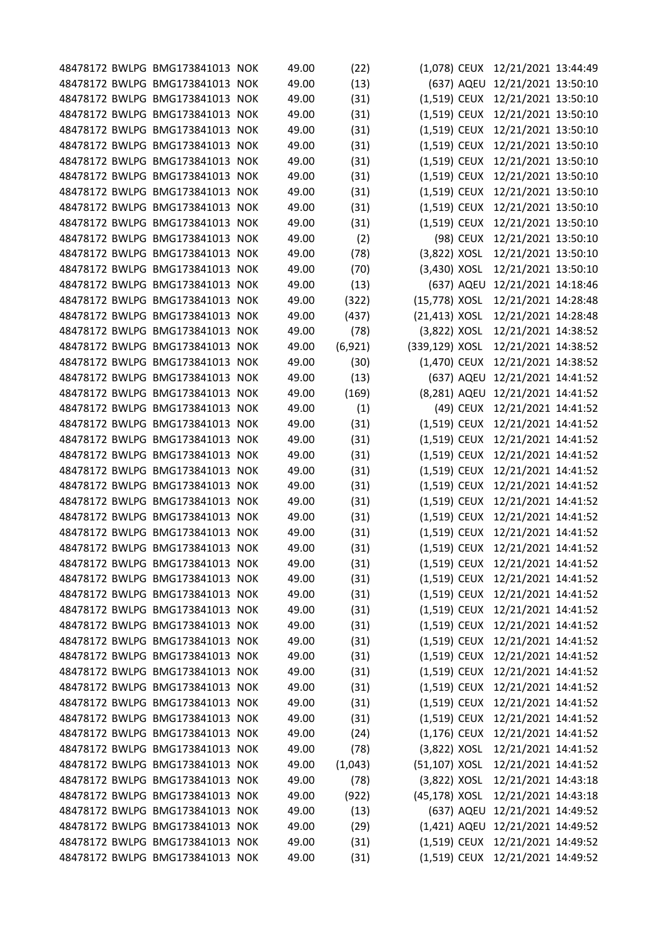|  | 48478172 BWLPG BMG173841013 NOK | 49.00 | (22)    | $(1,078)$ CEUX |            | 12/21/2021 13:44:49              |  |
|--|---------------------------------|-------|---------|----------------|------------|----------------------------------|--|
|  | 48478172 BWLPG BMG173841013 NOK | 49.00 | (13)    |                | (637) AQEU | 12/21/2021 13:50:10              |  |
|  | 48478172 BWLPG BMG173841013 NOK | 49.00 | (31)    | (1,519) CEUX   |            | 12/21/2021 13:50:10              |  |
|  | 48478172 BWLPG BMG173841013 NOK | 49.00 | (31)    | (1,519) CEUX   |            | 12/21/2021 13:50:10              |  |
|  | 48478172 BWLPG BMG173841013 NOK | 49.00 | (31)    | (1,519) CEUX   |            | 12/21/2021 13:50:10              |  |
|  | 48478172 BWLPG BMG173841013 NOK | 49.00 | (31)    | (1,519) CEUX   |            | 12/21/2021 13:50:10              |  |
|  | 48478172 BWLPG BMG173841013 NOK | 49.00 | (31)    | (1,519) CEUX   |            | 12/21/2021 13:50:10              |  |
|  | 48478172 BWLPG BMG173841013 NOK | 49.00 | (31)    | (1,519) CEUX   |            | 12/21/2021 13:50:10              |  |
|  | 48478172 BWLPG BMG173841013 NOK | 49.00 | (31)    | (1,519) CEUX   |            | 12/21/2021 13:50:10              |  |
|  | 48478172 BWLPG BMG173841013 NOK | 49.00 | (31)    | (1,519) CEUX   |            | 12/21/2021 13:50:10              |  |
|  | 48478172 BWLPG BMG173841013 NOK | 49.00 | (31)    | (1,519) CEUX   |            | 12/21/2021 13:50:10              |  |
|  | 48478172 BWLPG BMG173841013 NOK | 49.00 | (2)     |                | (98) CEUX  | 12/21/2021 13:50:10              |  |
|  | 48478172 BWLPG BMG173841013 NOK | 49.00 | (78)    | (3,822) XOSL   |            | 12/21/2021 13:50:10              |  |
|  | 48478172 BWLPG BMG173841013 NOK | 49.00 | (70)    | (3,430) XOSL   |            | 12/21/2021 13:50:10              |  |
|  | 48478172 BWLPG BMG173841013 NOK | 49.00 | (13)    |                | (637) AQEU | 12/21/2021 14:18:46              |  |
|  | 48478172 BWLPG BMG173841013 NOK | 49.00 | (322)   | (15,778) XOSL  |            | 12/21/2021 14:28:48              |  |
|  | 48478172 BWLPG BMG173841013 NOK | 49.00 | (437)   | (21,413) XOSL  |            | 12/21/2021 14:28:48              |  |
|  | 48478172 BWLPG BMG173841013 NOK | 49.00 | (78)    | (3,822) XOSL   |            | 12/21/2021 14:38:52              |  |
|  | 48478172 BWLPG BMG173841013 NOK | 49.00 | (6,921) | (339,129) XOSL |            | 12/21/2021 14:38:52              |  |
|  | 48478172 BWLPG BMG173841013 NOK | 49.00 | (30)    | (1,470) CEUX   |            | 12/21/2021 14:38:52              |  |
|  | 48478172 BWLPG BMG173841013 NOK | 49.00 | (13)    |                | (637) AQEU | 12/21/2021 14:41:52              |  |
|  | 48478172 BWLPG BMG173841013 NOK | 49.00 | (169)   | (8,281) AQEU   |            | 12/21/2021 14:41:52              |  |
|  | 48478172 BWLPG BMG173841013 NOK | 49.00 | (1)     |                | (49) CEUX  | 12/21/2021 14:41:52              |  |
|  | 48478172 BWLPG BMG173841013 NOK | 49.00 | (31)    | (1,519) CEUX   |            | 12/21/2021 14:41:52              |  |
|  | 48478172 BWLPG BMG173841013 NOK | 49.00 | (31)    | (1,519) CEUX   |            | 12/21/2021 14:41:52              |  |
|  | 48478172 BWLPG BMG173841013 NOK | 49.00 | (31)    | (1,519) CEUX   |            | 12/21/2021 14:41:52              |  |
|  | 48478172 BWLPG BMG173841013 NOK | 49.00 | (31)    | (1,519) CEUX   |            | 12/21/2021 14:41:52              |  |
|  | 48478172 BWLPG BMG173841013 NOK | 49.00 | (31)    | (1,519) CEUX   |            | 12/21/2021 14:41:52              |  |
|  | 48478172 BWLPG BMG173841013 NOK | 49.00 | (31)    | (1,519) CEUX   |            | 12/21/2021 14:41:52              |  |
|  | 48478172 BWLPG BMG173841013 NOK | 49.00 | (31)    | (1,519) CEUX   |            | 12/21/2021 14:41:52              |  |
|  | 48478172 BWLPG BMG173841013 NOK | 49.00 | (31)    | (1,519) CEUX   |            | 12/21/2021 14:41:52              |  |
|  | 48478172 BWLPG BMG173841013 NOK | 49.00 | (31)    | $(1,519)$ CEUX |            | 12/21/2021 14:41:52              |  |
|  | 48478172 BWLPG BMG173841013 NOK | 49.00 | (31)    | (1,519) CEUX   |            | 12/21/2021 14:41:52              |  |
|  | 48478172 BWLPG BMG173841013 NOK | 49.00 | (31)    | $(1,519)$ CEUX |            | 12/21/2021 14:41:52              |  |
|  | 48478172 BWLPG BMG173841013 NOK | 49.00 | (31)    | $(1,519)$ CEUX |            | 12/21/2021 14:41:52              |  |
|  | 48478172 BWLPG BMG173841013 NOK | 49.00 | (31)    | $(1,519)$ CEUX |            | 12/21/2021 14:41:52              |  |
|  | 48478172 BWLPG BMG173841013 NOK | 49.00 | (31)    | (1,519) CEUX   |            | 12/21/2021 14:41:52              |  |
|  | 48478172 BWLPG BMG173841013 NOK | 49.00 | (31)    | (1,519) CEUX   |            | 12/21/2021 14:41:52              |  |
|  | 48478172 BWLPG BMG173841013 NOK | 49.00 | (31)    | (1,519) CEUX   |            | 12/21/2021 14:41:52              |  |
|  | 48478172 BWLPG BMG173841013 NOK | 49.00 | (31)    | (1,519) CEUX   |            | 12/21/2021 14:41:52              |  |
|  | 48478172 BWLPG BMG173841013 NOK | 49.00 | (31)    | (1,519) CEUX   |            | 12/21/2021 14:41:52              |  |
|  | 48478172 BWLPG BMG173841013 NOK | 49.00 | (31)    | (1,519) CEUX   |            | 12/21/2021 14:41:52              |  |
|  | 48478172 BWLPG BMG173841013 NOK | 49.00 | (31)    | (1,519) CEUX   |            | 12/21/2021 14:41:52              |  |
|  | 48478172 BWLPG BMG173841013 NOK | 49.00 | (24)    | (1,176) CEUX   |            | 12/21/2021 14:41:52              |  |
|  | 48478172 BWLPG BMG173841013 NOK | 49.00 | (78)    | (3,822) XOSL   |            | 12/21/2021 14:41:52              |  |
|  | 48478172 BWLPG BMG173841013 NOK | 49.00 | (1,043) | (51,107) XOSL  |            | 12/21/2021 14:41:52              |  |
|  | 48478172 BWLPG BMG173841013 NOK | 49.00 | (78)    | (3,822) XOSL   |            | 12/21/2021 14:43:18              |  |
|  | 48478172 BWLPG BMG173841013 NOK | 49.00 | (922)   | (45,178) XOSL  |            | 12/21/2021 14:43:18              |  |
|  | 48478172 BWLPG BMG173841013 NOK | 49.00 | (13)    |                | (637) AQEU | 12/21/2021 14:49:52              |  |
|  | 48478172 BWLPG BMG173841013 NOK | 49.00 | (29)    |                |            | (1,421) AQEU 12/21/2021 14:49:52 |  |
|  | 48478172 BWLPG BMG173841013 NOK | 49.00 | (31)    | (1,519) CEUX   |            | 12/21/2021 14:49:52              |  |
|  | 48478172 BWLPG BMG173841013 NOK | 49.00 | (31)    |                |            | (1,519) CEUX 12/21/2021 14:49:52 |  |
|  |                                 |       |         |                |            |                                  |  |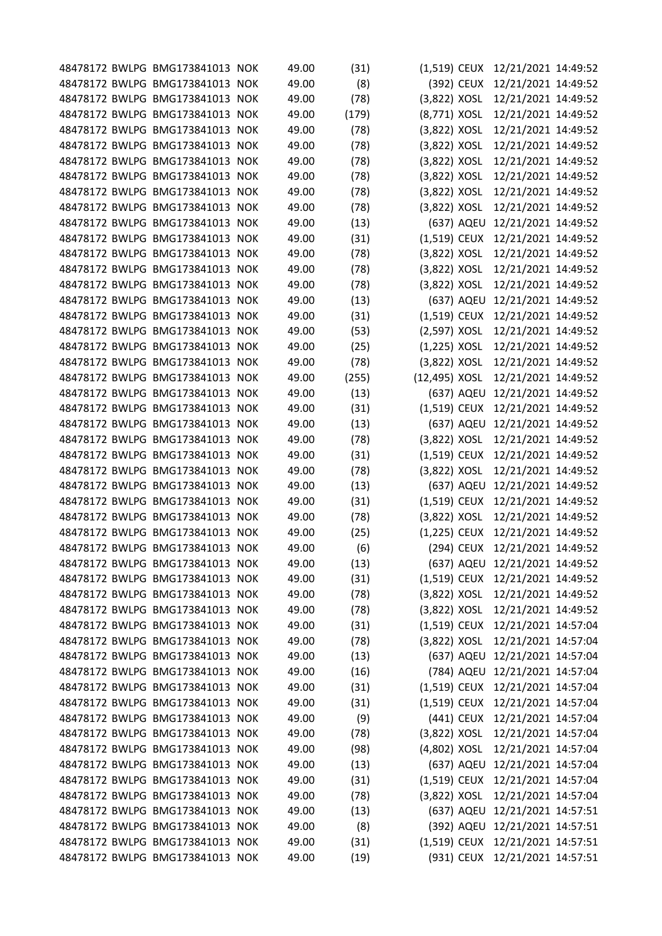|  | 48478172 BWLPG BMG173841013 NOK | 49.00 | (31)  | $(1,519)$ CEUX |            | 12/21/2021 14:49:52              |  |
|--|---------------------------------|-------|-------|----------------|------------|----------------------------------|--|
|  | 48478172 BWLPG BMG173841013 NOK | 49.00 | (8)   |                | (392) CEUX | 12/21/2021 14:49:52              |  |
|  | 48478172 BWLPG BMG173841013 NOK | 49.00 | (78)  | (3,822) XOSL   |            | 12/21/2021 14:49:52              |  |
|  | 48478172 BWLPG BMG173841013 NOK | 49.00 | (179) | (8,771) XOSL   |            | 12/21/2021 14:49:52              |  |
|  | 48478172 BWLPG BMG173841013 NOK | 49.00 | (78)  | (3,822) XOSL   |            | 12/21/2021 14:49:52              |  |
|  | 48478172 BWLPG BMG173841013 NOK | 49.00 | (78)  | (3,822) XOSL   |            | 12/21/2021 14:49:52              |  |
|  | 48478172 BWLPG BMG173841013 NOK | 49.00 | (78)  | (3,822) XOSL   |            | 12/21/2021 14:49:52              |  |
|  | 48478172 BWLPG BMG173841013 NOK | 49.00 | (78)  | (3,822) XOSL   |            | 12/21/2021 14:49:52              |  |
|  | 48478172 BWLPG BMG173841013 NOK | 49.00 | (78)  | (3,822) XOSL   |            | 12/21/2021 14:49:52              |  |
|  | 48478172 BWLPG BMG173841013 NOK | 49.00 | (78)  | (3,822) XOSL   |            | 12/21/2021 14:49:52              |  |
|  | 48478172 BWLPG BMG173841013 NOK | 49.00 | (13)  |                | (637) AQEU | 12/21/2021 14:49:52              |  |
|  | 48478172 BWLPG BMG173841013 NOK | 49.00 | (31)  | (1,519) CEUX   |            | 12/21/2021 14:49:52              |  |
|  | 48478172 BWLPG BMG173841013 NOK | 49.00 | (78)  | (3,822) XOSL   |            | 12/21/2021 14:49:52              |  |
|  | 48478172 BWLPG BMG173841013 NOK | 49.00 | (78)  | (3,822) XOSL   |            | 12/21/2021 14:49:52              |  |
|  | 48478172 BWLPG BMG173841013 NOK | 49.00 | (78)  | (3,822) XOSL   |            | 12/21/2021 14:49:52              |  |
|  | 48478172 BWLPG BMG173841013 NOK | 49.00 | (13)  |                |            | (637) AQEU 12/21/2021 14:49:52   |  |
|  | 48478172 BWLPG BMG173841013 NOK | 49.00 | (31)  | (1,519) CEUX   |            | 12/21/2021 14:49:52              |  |
|  | 48478172 BWLPG BMG173841013 NOK | 49.00 | (53)  | (2,597) XOSL   |            | 12/21/2021 14:49:52              |  |
|  | 48478172 BWLPG BMG173841013 NOK | 49.00 | (25)  | $(1,225)$ XOSL |            | 12/21/2021 14:49:52              |  |
|  | 48478172 BWLPG BMG173841013 NOK | 49.00 | (78)  | (3,822) XOSL   |            | 12/21/2021 14:49:52              |  |
|  | 48478172 BWLPG BMG173841013 NOK | 49.00 | (255) | (12,495) XOSL  |            | 12/21/2021 14:49:52              |  |
|  | 48478172 BWLPG BMG173841013 NOK | 49.00 | (13)  |                |            | (637) AQEU 12/21/2021 14:49:52   |  |
|  | 48478172 BWLPG BMG173841013 NOK | 49.00 | (31)  | $(1,519)$ CEUX |            | 12/21/2021 14:49:52              |  |
|  | 48478172 BWLPG BMG173841013 NOK | 49.00 | (13)  |                | (637) AQEU | 12/21/2021 14:49:52              |  |
|  | 48478172 BWLPG BMG173841013 NOK | 49.00 | (78)  | (3,822) XOSL   |            | 12/21/2021 14:49:52              |  |
|  | 48478172 BWLPG BMG173841013 NOK | 49.00 | (31)  | $(1,519)$ CEUX |            | 12/21/2021 14:49:52              |  |
|  | 48478172 BWLPG BMG173841013 NOK | 49.00 | (78)  | (3,822) XOSL   |            | 12/21/2021 14:49:52              |  |
|  | 48478172 BWLPG BMG173841013 NOK | 49.00 | (13)  |                |            | (637) AQEU 12/21/2021 14:49:52   |  |
|  | 48478172 BWLPG BMG173841013 NOK | 49.00 | (31)  | $(1,519)$ CEUX |            | 12/21/2021 14:49:52              |  |
|  | 48478172 BWLPG BMG173841013 NOK | 49.00 | (78)  | (3,822) XOSL   |            | 12/21/2021 14:49:52              |  |
|  | 48478172 BWLPG BMG173841013 NOK | 49.00 | (25)  | $(1,225)$ CEUX |            | 12/21/2021 14:49:52              |  |
|  | 48478172 BWLPG BMG173841013 NOK | 49.00 | (6)   |                |            | (294) CEUX 12/21/2021 14:49:52   |  |
|  | 48478172 BWLPG BMG173841013 NOK | 49.00 | (13)  |                |            | (637) AQEU 12/21/2021 14:49:52   |  |
|  | 48478172 BWLPG BMG173841013 NOK | 49.00 | (31)  |                |            | (1,519) CEUX 12/21/2021 14:49:52 |  |
|  | 48478172 BWLPG BMG173841013 NOK | 49.00 | (78)  | $(3,822)$ XOSL |            | 12/21/2021 14:49:52              |  |
|  | 48478172 BWLPG BMG173841013 NOK | 49.00 | (78)  | (3,822) XOSL   |            | 12/21/2021 14:49:52              |  |
|  | 48478172 BWLPG BMG173841013 NOK | 49.00 | (31)  | $(1,519)$ CEUX |            | 12/21/2021 14:57:04              |  |
|  | 48478172 BWLPG BMG173841013 NOK | 49.00 | (78)  | (3,822) XOSL   |            | 12/21/2021 14:57:04              |  |
|  | 48478172 BWLPG BMG173841013 NOK | 49.00 | (13)  |                | (637) AQEU | 12/21/2021 14:57:04              |  |
|  | 48478172 BWLPG BMG173841013 NOK | 49.00 | (16)  |                | (784) AQEU | 12/21/2021 14:57:04              |  |
|  | 48478172 BWLPG BMG173841013 NOK | 49.00 | (31)  | (1,519) CEUX   |            | 12/21/2021 14:57:04              |  |
|  | 48478172 BWLPG BMG173841013 NOK | 49.00 | (31)  | (1,519) CEUX   |            | 12/21/2021 14:57:04              |  |
|  | 48478172 BWLPG BMG173841013 NOK | 49.00 | (9)   |                | (441) CEUX | 12/21/2021 14:57:04              |  |
|  | 48478172 BWLPG BMG173841013 NOK | 49.00 | (78)  | (3,822) XOSL   |            | 12/21/2021 14:57:04              |  |
|  | 48478172 BWLPG BMG173841013 NOK | 49.00 |       | (4,802) XOSL   |            | 12/21/2021 14:57:04              |  |
|  | 48478172 BWLPG BMG173841013 NOK | 49.00 | (98)  |                | (637) AQEU | 12/21/2021 14:57:04              |  |
|  | 48478172 BWLPG BMG173841013 NOK | 49.00 | (13)  |                |            |                                  |  |
|  |                                 |       | (31)  |                |            | (1,519) CEUX 12/21/2021 14:57:04 |  |
|  | 48478172 BWLPG BMG173841013 NOK | 49.00 | (78)  | (3,822) XOSL   |            | 12/21/2021 14:57:04              |  |
|  | 48478172 BWLPG BMG173841013 NOK | 49.00 | (13)  |                | (637) AQEU | 12/21/2021 14:57:51              |  |
|  | 48478172 BWLPG BMG173841013 NOK | 49.00 | (8)   |                |            | (392) AQEU 12/21/2021 14:57:51   |  |
|  | 48478172 BWLPG BMG173841013 NOK | 49.00 | (31)  | $(1,519)$ CEUX |            | 12/21/2021 14:57:51              |  |
|  | 48478172 BWLPG BMG173841013 NOK | 49.00 | (19)  |                |            | (931) CEUX 12/21/2021 14:57:51   |  |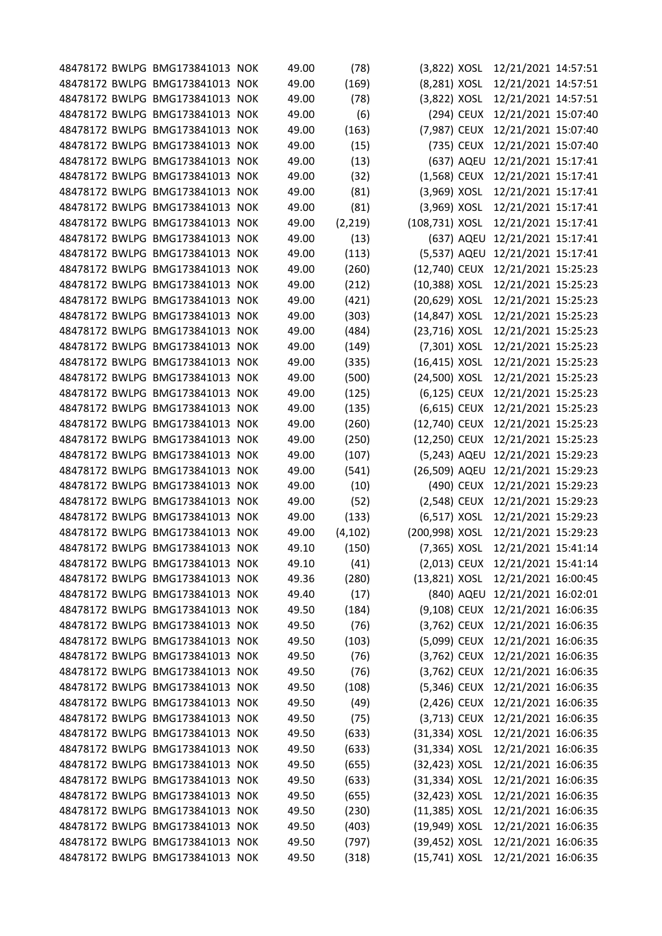|  | 48478172 BWLPG BMG173841013 NOK                                    | 49.00 | (78)           | $(3,822)$ XOSL                 |            | 12/21/2021 14:57:51                                                  |  |
|--|--------------------------------------------------------------------|-------|----------------|--------------------------------|------------|----------------------------------------------------------------------|--|
|  | 48478172 BWLPG BMG173841013 NOK                                    | 49.00 | (169)          | (8,281) XOSL                   |            | 12/21/2021 14:57:51                                                  |  |
|  | 48478172 BWLPG BMG173841013 NOK                                    | 49.00 | (78)           | (3,822) XOSL                   |            | 12/21/2021 14:57:51                                                  |  |
|  | 48478172 BWLPG BMG173841013 NOK                                    | 49.00 | (6)            |                                | (294) CEUX | 12/21/2021 15:07:40                                                  |  |
|  | 48478172 BWLPG BMG173841013 NOK                                    | 49.00 | (163)          | (7,987) CEUX                   |            | 12/21/2021 15:07:40                                                  |  |
|  | 48478172 BWLPG BMG173841013 NOK                                    | 49.00 | (15)           |                                | (735) CEUX | 12/21/2021 15:07:40                                                  |  |
|  | 48478172 BWLPG BMG173841013 NOK                                    | 49.00 | (13)           |                                |            | (637) AQEU 12/21/2021 15:17:41                                       |  |
|  | 48478172 BWLPG BMG173841013 NOK                                    | 49.00 | (32)           | $(1,568)$ CEUX                 |            | 12/21/2021 15:17:41                                                  |  |
|  | 48478172 BWLPG BMG173841013 NOK                                    | 49.00 | (81)           | (3,969) XOSL                   |            | 12/21/2021 15:17:41                                                  |  |
|  | 48478172 BWLPG BMG173841013 NOK                                    | 49.00 | (81)           | $(3,969)$ XOSL                 |            | 12/21/2021 15:17:41                                                  |  |
|  | 48478172 BWLPG BMG173841013 NOK                                    | 49.00 | (2, 219)       | (108,731) XOSL                 |            | 12/21/2021 15:17:41                                                  |  |
|  | 48478172 BWLPG BMG173841013 NOK                                    | 49.00 | (13)           |                                | (637) AQEU | 12/21/2021 15:17:41                                                  |  |
|  | 48478172 BWLPG BMG173841013 NOK                                    | 49.00 | (113)          |                                |            | (5,537) AQEU 12/21/2021 15:17:41                                     |  |
|  | 48478172 BWLPG BMG173841013 NOK                                    | 49.00 | (260)          | (12,740) CEUX                  |            | 12/21/2021 15:25:23                                                  |  |
|  | 48478172 BWLPG BMG173841013 NOK                                    | 49.00 | (212)          | (10,388) XOSL                  |            | 12/21/2021 15:25:23                                                  |  |
|  | 48478172 BWLPG BMG173841013 NOK                                    | 49.00 | (421)          | (20,629) XOSL                  |            | 12/21/2021 15:25:23                                                  |  |
|  | 48478172 BWLPG BMG173841013 NOK                                    | 49.00 |                | (14,847) XOSL                  |            | 12/21/2021 15:25:23                                                  |  |
|  | 48478172 BWLPG BMG173841013 NOK                                    | 49.00 | (303)<br>(484) | (23,716) XOSL                  |            |                                                                      |  |
|  | 48478172 BWLPG BMG173841013 NOK                                    | 49.00 |                |                                |            | 12/21/2021 15:25:23                                                  |  |
|  | 48478172 BWLPG BMG173841013 NOK                                    | 49.00 | (149)          | (7,301) XOSL                   |            | 12/21/2021 15:25:23                                                  |  |
|  | 48478172 BWLPG BMG173841013 NOK                                    | 49.00 | (335)          | (16,415) XOSL<br>(24,500) XOSL |            | 12/21/2021 15:25:23<br>12/21/2021 15:25:23                           |  |
|  | 48478172 BWLPG BMG173841013 NOK                                    | 49.00 | (500)          |                                |            |                                                                      |  |
|  | 48478172 BWLPG BMG173841013 NOK                                    | 49.00 | (125)          | (6,125) CEUX<br>(6,615) CEUX   |            | 12/21/2021 15:25:23                                                  |  |
|  | 48478172 BWLPG BMG173841013 NOK                                    | 49.00 | (135)          | (12,740) CEUX                  |            | 12/21/2021 15:25:23<br>12/21/2021 15:25:23                           |  |
|  | 48478172 BWLPG BMG173841013 NOK                                    | 49.00 | (260)          | (12,250) CEUX                  |            |                                                                      |  |
|  |                                                                    |       | (250)          |                                |            | 12/21/2021 15:25:23                                                  |  |
|  | 48478172 BWLPG BMG173841013 NOK                                    | 49.00 | (107)          | (5,243) AQEU                   |            | 12/21/2021 15:29:23                                                  |  |
|  | 48478172 BWLPG BMG173841013 NOK                                    | 49.00 | (541)          | (26,509) AQEU                  |            | 12/21/2021 15:29:23                                                  |  |
|  | 48478172 BWLPG BMG173841013 NOK                                    | 49.00 | (10)           |                                | (490) CEUX | 12/21/2021 15:29:23                                                  |  |
|  | 48478172 BWLPG BMG173841013 NOK                                    | 49.00 | (52)           | (2,548) CEUX                   |            | 12/21/2021 15:29:23                                                  |  |
|  | 48478172 BWLPG BMG173841013 NOK                                    | 49.00 | (133)          | (6,517) XOSL                   |            | 12/21/2021 15:29:23                                                  |  |
|  | 48478172 BWLPG BMG173841013 NOK<br>48478172 BWLPG BMG173841013 NOK | 49.00 | (4, 102)       | (200,998) XOSL                 |            | 12/21/2021 15:29:23                                                  |  |
|  | 48478172 BWLPG BMG173841013 NOK                                    | 49.10 | (150)<br>(41)  |                                |            | (7,365) XOSL 12/21/2021 15:41:14<br>(2,013) CEUX 12/21/2021 15:41:14 |  |
|  |                                                                    | 49.10 |                |                                |            |                                                                      |  |
|  | 48478172 BWLPG BMG173841013 NOK                                    | 49.36 | (280)          | (13,821) XOSL                  |            | 12/21/2021 16:00:45                                                  |  |
|  | 48478172 BWLPG BMG173841013 NOK                                    | 49.40 | (17)           |                                |            | (840) AQEU 12/21/2021 16:02:01                                       |  |
|  | 48478172 BWLPG BMG173841013 NOK<br>48478172 BWLPG BMG173841013 NOK | 49.50 | (184)          |                                |            | (9,108) CEUX 12/21/2021 16:06:35                                     |  |
|  | 48478172 BWLPG BMG173841013 NOK                                    | 49.50 | (76)           | (3,762) CEUX                   |            | 12/21/2021 16:06:35                                                  |  |
|  | 48478172 BWLPG BMG173841013 NOK                                    | 49.50 | (103)          | (5,099) CEUX                   |            | 12/21/2021 16:06:35<br>12/21/2021 16:06:35                           |  |
|  | 48478172 BWLPG BMG173841013 NOK                                    | 49.50 | (76)           | (3,762) CEUX                   |            |                                                                      |  |
|  |                                                                    | 49.50 | (76)           | (3,762) CEUX                   |            | 12/21/2021 16:06:35                                                  |  |
|  | 48478172 BWLPG BMG173841013 NOK                                    | 49.50 | (108)          | (5,346) CEUX                   |            | 12/21/2021 16:06:35                                                  |  |
|  | 48478172 BWLPG BMG173841013 NOK                                    | 49.50 | (49)           | (2,426) CEUX                   |            | 12/21/2021 16:06:35                                                  |  |
|  | 48478172 BWLPG BMG173841013 NOK                                    | 49.50 | (75)           | $(3,713)$ CEUX                 |            | 12/21/2021 16:06:35                                                  |  |
|  | 48478172 BWLPG BMG173841013 NOK                                    | 49.50 | (633)          | (31,334) XOSL                  |            | 12/21/2021 16:06:35                                                  |  |
|  | 48478172 BWLPG BMG173841013 NOK                                    | 49.50 | (633)          | (31,334) XOSL                  |            | 12/21/2021 16:06:35                                                  |  |
|  | 48478172 BWLPG BMG173841013 NOK                                    | 49.50 | (655)          | (32,423) XOSL                  |            | 12/21/2021 16:06:35                                                  |  |
|  | 48478172 BWLPG BMG173841013 NOK                                    | 49.50 | (633)          | (31,334) XOSL                  |            | 12/21/2021 16:06:35                                                  |  |
|  | 48478172 BWLPG BMG173841013 NOK<br>48478172 BWLPG BMG173841013 NOK | 49.50 | (655)          | (32,423) XOSL                  |            | 12/21/2021 16:06:35                                                  |  |
|  |                                                                    | 49.50 | (230)          | $(11,385)$ XOSL                |            | 12/21/2021 16:06:35                                                  |  |
|  | 48478172 BWLPG BMG173841013 NOK                                    | 49.50 | (403)          | (19,949) XOSL                  |            | 12/21/2021 16:06:35                                                  |  |
|  | 48478172 BWLPG BMG173841013 NOK<br>48478172 BWLPG BMG173841013 NOK | 49.50 | (797)          | (39,452) XOSL                  |            | 12/21/2021 16:06:35                                                  |  |
|  |                                                                    | 49.50 | (318)          | (15,741) XOSL                  |            | 12/21/2021 16:06:35                                                  |  |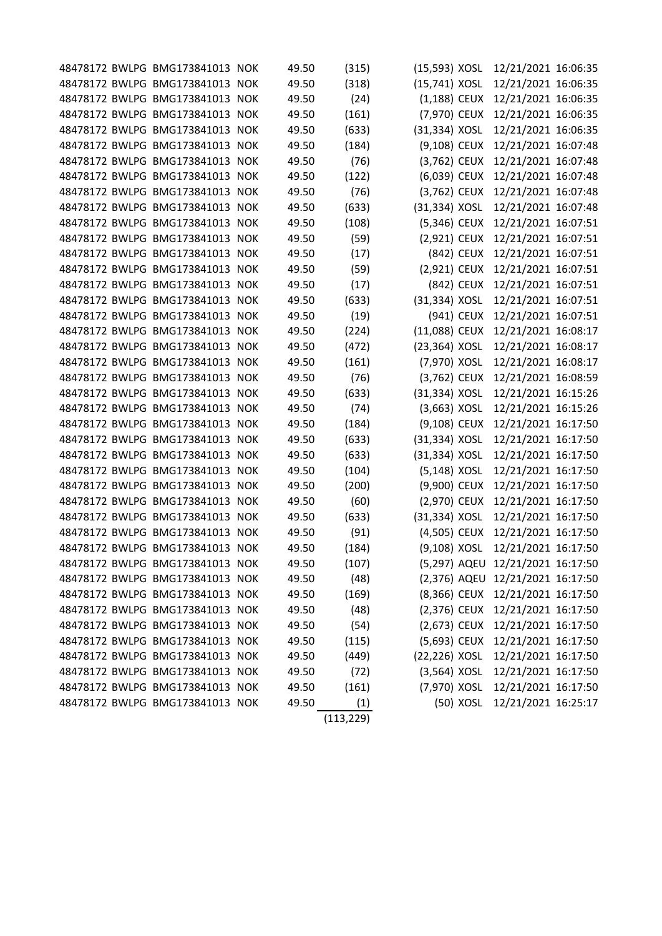|  | 48478172 BWLPG BMG173841013 NOK | 49.50 | (315)      | (15,593) XOSL  | 12/21/2021 16:06:35              |  |
|--|---------------------------------|-------|------------|----------------|----------------------------------|--|
|  | 48478172 BWLPG BMG173841013 NOK | 49.50 | (318)      | (15,741) XOSL  | 12/21/2021 16:06:35              |  |
|  | 48478172 BWLPG BMG173841013 NOK | 49.50 | (24)       | (1,188) CEUX   | 12/21/2021 16:06:35              |  |
|  | 48478172 BWLPG BMG173841013 NOK | 49.50 | (161)      | (7,970) CEUX   | 12/21/2021 16:06:35              |  |
|  | 48478172 BWLPG BMG173841013 NOK | 49.50 | (633)      | (31,334) XOSL  | 12/21/2021 16:06:35              |  |
|  | 48478172 BWLPG BMG173841013 NOK | 49.50 | (184)      | (9,108) CEUX   | 12/21/2021 16:07:48              |  |
|  | 48478172 BWLPG BMG173841013 NOK | 49.50 | (76)       | (3,762) CEUX   | 12/21/2021 16:07:48              |  |
|  | 48478172 BWLPG BMG173841013 NOK | 49.50 | (122)      | (6,039) CEUX   | 12/21/2021 16:07:48              |  |
|  | 48478172 BWLPG BMG173841013 NOK | 49.50 | (76)       | (3,762) CEUX   | 12/21/2021 16:07:48              |  |
|  | 48478172 BWLPG BMG173841013 NOK | 49.50 | (633)      | (31,334) XOSL  | 12/21/2021 16:07:48              |  |
|  | 48478172 BWLPG BMG173841013 NOK | 49.50 | (108)      | (5,346) CEUX   | 12/21/2021 16:07:51              |  |
|  | 48478172 BWLPG BMG173841013 NOK | 49.50 | (59)       | (2,921) CEUX   | 12/21/2021 16:07:51              |  |
|  | 48478172 BWLPG BMG173841013 NOK | 49.50 | (17)       | (842) CEUX     | 12/21/2021 16:07:51              |  |
|  | 48478172 BWLPG BMG173841013 NOK | 49.50 | (59)       | (2,921) CEUX   | 12/21/2021 16:07:51              |  |
|  | 48478172 BWLPG BMG173841013 NOK | 49.50 | (17)       | (842) CEUX     | 12/21/2021 16:07:51              |  |
|  | 48478172 BWLPG BMG173841013 NOK | 49.50 | (633)      | (31,334) XOSL  | 12/21/2021 16:07:51              |  |
|  | 48478172 BWLPG BMG173841013 NOK | 49.50 | (19)       | (941) CEUX     | 12/21/2021 16:07:51              |  |
|  | 48478172 BWLPG BMG173841013 NOK | 49.50 | (224)      | (11,088) CEUX  | 12/21/2021 16:08:17              |  |
|  | 48478172 BWLPG BMG173841013 NOK | 49.50 | (472)      | (23,364) XOSL  | 12/21/2021 16:08:17              |  |
|  | 48478172 BWLPG BMG173841013 NOK | 49.50 | (161)      | (7,970) XOSL   | 12/21/2021 16:08:17              |  |
|  | 48478172 BWLPG BMG173841013 NOK | 49.50 | (76)       | (3,762) CEUX   | 12/21/2021 16:08:59              |  |
|  | 48478172 BWLPG BMG173841013 NOK | 49.50 | (633)      | (31,334) XOSL  | 12/21/2021 16:15:26              |  |
|  | 48478172 BWLPG BMG173841013 NOK | 49.50 | (74)       | (3,663) XOSL   | 12/21/2021 16:15:26              |  |
|  | 48478172 BWLPG BMG173841013 NOK | 49.50 | (184)      | (9,108) CEUX   | 12/21/2021 16:17:50              |  |
|  | 48478172 BWLPG BMG173841013 NOK | 49.50 | (633)      | (31,334) XOSL  | 12/21/2021 16:17:50              |  |
|  | 48478172 BWLPG BMG173841013 NOK | 49.50 | (633)      | (31,334) XOSL  | 12/21/2021 16:17:50              |  |
|  | 48478172 BWLPG BMG173841013 NOK | 49.50 | (104)      | (5,148) XOSL   | 12/21/2021 16:17:50              |  |
|  | 48478172 BWLPG BMG173841013 NOK | 49.50 | (200)      | (9,900) CEUX   | 12/21/2021 16:17:50              |  |
|  | 48478172 BWLPG BMG173841013 NOK | 49.50 | (60)       | (2,970) CEUX   | 12/21/2021 16:17:50              |  |
|  | 48478172 BWLPG BMG173841013 NOK | 49.50 | (633)      | (31,334) XOSL  | 12/21/2021 16:17:50              |  |
|  | 48478172 BWLPG BMG173841013 NOK | 49.50 | (91)       | (4,505) CEUX   | 12/21/2021 16:17:50              |  |
|  | 48478172 BWLPG BMG173841013 NOK | 49.50 | (184)      | (9,108) XOSL   | 12/21/2021 16:17:50              |  |
|  | 48478172 BWLPG BMG173841013 NOK | 49.50 | (107)      |                | (5,297) AQEU 12/21/2021 16:17:50 |  |
|  | 48478172 BWLPG BMG173841013 NOK | 49.50 | (48)       |                | (2,376) AQEU 12/21/2021 16:17:50 |  |
|  | 48478172 BWLPG BMG173841013 NOK | 49.50 | (169)      |                | (8,366) CEUX 12/21/2021 16:17:50 |  |
|  | 48478172 BWLPG BMG173841013 NOK | 49.50 | (48)       | (2,376) CEUX   | 12/21/2021 16:17:50              |  |
|  | 48478172 BWLPG BMG173841013 NOK | 49.50 | (54)       | (2,673) CEUX   | 12/21/2021 16:17:50              |  |
|  | 48478172 BWLPG BMG173841013 NOK | 49.50 | (115)      | (5,693) CEUX   | 12/21/2021 16:17:50              |  |
|  | 48478172 BWLPG BMG173841013 NOK | 49.50 | (449)      | (22,226) XOSL  | 12/21/2021 16:17:50              |  |
|  | 48478172 BWLPG BMG173841013 NOK | 49.50 | (72)       | $(3,564)$ XOSL | 12/21/2021 16:17:50              |  |
|  | 48478172 BWLPG BMG173841013 NOK | 49.50 | (161)      | (7,970) XOSL   | 12/21/2021 16:17:50              |  |
|  | 48478172 BWLPG BMG173841013 NOK | 49.50 | (1)        | (50) XOSL      | 12/21/2021 16:25:17              |  |
|  |                                 |       | (113, 229) |                |                                  |  |
|  |                                 |       |            |                |                                  |  |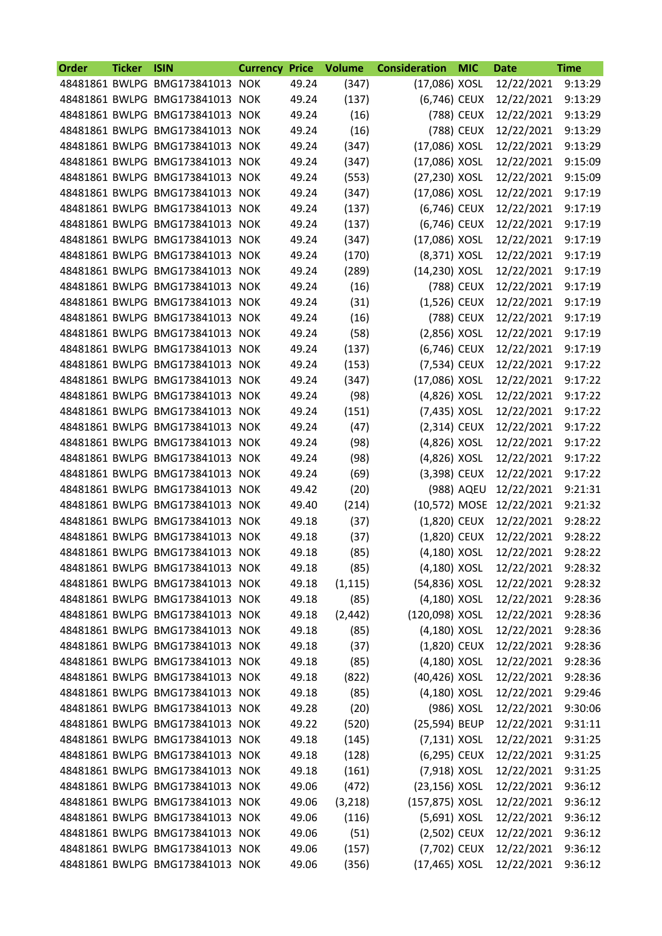| Order | <b>Ticker</b> | <b>ISIN</b>                     | <b>Currency</b> | <b>Price</b> | <b>Volume</b> | <b>Consideration</b> | <b>MIC</b> | <b>Date</b> | <b>Time</b> |
|-------|---------------|---------------------------------|-----------------|--------------|---------------|----------------------|------------|-------------|-------------|
|       |               | 48481861 BWLPG BMG173841013 NOK |                 | 49.24        | (347)         | (17,086) XOSL        |            | 12/22/2021  | 9:13:29     |
|       |               | 48481861 BWLPG BMG173841013 NOK |                 | 49.24        | (137)         | (6,746) CEUX         |            | 12/22/2021  | 9:13:29     |
|       |               | 48481861 BWLPG BMG173841013 NOK |                 | 49.24        | (16)          |                      | (788) CEUX | 12/22/2021  | 9:13:29     |
|       |               | 48481861 BWLPG BMG173841013 NOK |                 | 49.24        | (16)          |                      | (788) CEUX | 12/22/2021  | 9:13:29     |
|       |               | 48481861 BWLPG BMG173841013     | <b>NOK</b>      | 49.24        | (347)         | (17,086) XOSL        |            | 12/22/2021  | 9:13:29     |
|       |               | 48481861 BWLPG BMG173841013 NOK |                 | 49.24        | (347)         | (17,086) XOSL        |            | 12/22/2021  | 9:15:09     |
|       |               | 48481861 BWLPG BMG173841013 NOK |                 | 49.24        | (553)         | (27,230) XOSL        |            | 12/22/2021  | 9:15:09     |
|       |               | 48481861 BWLPG BMG173841013     | <b>NOK</b>      | 49.24        | (347)         | (17,086) XOSL        |            | 12/22/2021  | 9:17:19     |
|       |               | 48481861 BWLPG BMG173841013 NOK |                 | 49.24        | (137)         | (6,746) CEUX         |            | 12/22/2021  | 9:17:19     |
|       |               | 48481861 BWLPG BMG173841013 NOK |                 | 49.24        | (137)         | (6,746) CEUX         |            | 12/22/2021  | 9:17:19     |
|       |               | 48481861 BWLPG BMG173841013     | <b>NOK</b>      | 49.24        | (347)         | (17,086) XOSL        |            | 12/22/2021  | 9:17:19     |
|       |               | 48481861 BWLPG BMG173841013 NOK |                 | 49.24        | (170)         | (8,371) XOSL         |            | 12/22/2021  | 9:17:19     |
|       |               | 48481861 BWLPG BMG173841013 NOK |                 | 49.24        | (289)         | (14,230) XOSL        |            | 12/22/2021  | 9:17:19     |
|       |               | 48481861 BWLPG BMG173841013 NOK |                 | 49.24        | (16)          |                      | (788) CEUX | 12/22/2021  | 9:17:19     |
|       |               | 48481861 BWLPG BMG173841013 NOK |                 | 49.24        | (31)          | (1,526) CEUX         |            | 12/22/2021  | 9:17:19     |
|       |               | 48481861 BWLPG BMG173841013     | <b>NOK</b>      | 49.24        | (16)          |                      | (788) CEUX | 12/22/2021  | 9:17:19     |
|       |               | 48481861 BWLPG BMG173841013     | <b>NOK</b>      | 49.24        | (58)          | $(2,856)$ XOSL       |            | 12/22/2021  | 9:17:19     |
|       |               | 48481861 BWLPG BMG173841013 NOK |                 | 49.24        | (137)         | (6,746) CEUX         |            | 12/22/2021  | 9:17:19     |
|       |               | 48481861 BWLPG BMG173841013 NOK |                 | 49.24        | (153)         | (7,534) CEUX         |            | 12/22/2021  | 9:17:22     |
|       |               | 48481861 BWLPG BMG173841013 NOK |                 | 49.24        | (347)         | (17,086) XOSL        |            | 12/22/2021  | 9:17:22     |
|       |               | 48481861 BWLPG BMG173841013 NOK |                 | 49.24        | (98)          | (4,826) XOSL         |            | 12/22/2021  | 9:17:22     |
|       |               | 48481861 BWLPG BMG173841013     | <b>NOK</b>      | 49.24        | (151)         | (7,435) XOSL         |            | 12/22/2021  | 9:17:22     |
|       |               | 48481861 BWLPG BMG173841013     | <b>NOK</b>      | 49.24        | (47)          | (2,314) CEUX         |            | 12/22/2021  | 9:17:22     |
|       |               | 48481861 BWLPG BMG173841013 NOK |                 | 49.24        | (98)          | (4,826) XOSL         |            | 12/22/2021  | 9:17:22     |
|       |               | 48481861 BWLPG BMG173841013 NOK |                 | 49.24        | (98)          | (4,826) XOSL         |            | 12/22/2021  | 9:17:22     |
|       |               | 48481861 BWLPG BMG173841013     | <b>NOK</b>      | 49.24        | (69)          | (3,398) CEUX         |            | 12/22/2021  | 9:17:22     |
|       |               | 48481861 BWLPG BMG173841013     | <b>NOK</b>      | 49.42        | (20)          |                      | (988) AQEU | 12/22/2021  | 9:21:31     |
|       |               | 48481861 BWLPG BMG173841013     | <b>NOK</b>      | 49.40        | (214)         | (10,572) MOSE        |            | 12/22/2021  | 9:21:32     |
|       |               | 48481861 BWLPG BMG173841013 NOK |                 | 49.18        | (37)          | (1,820) CEUX         |            | 12/22/2021  | 9:28:22     |
|       |               | 48481861 BWLPG BMG173841013 NOK |                 | 49.18        | (37)          | (1,820) CEUX         |            | 12/22/2021  | 9:28:22     |
|       |               | 48481861 BWLPG BMG173841013 NOK |                 | 49.18        | (85)          | (4,180) XOSL         |            | 12/22/2021  | 9:28:22     |
|       |               | 48481861 BWLPG BMG173841013 NOK |                 | 49.18        | (85)          | (4,180) XOSL         |            | 12/22/2021  | 9:28:32     |
|       |               | 48481861 BWLPG BMG173841013 NOK |                 | 49.18        | (1, 115)      | (54,836) XOSL        |            | 12/22/2021  | 9:28:32     |
|       |               | 48481861 BWLPG BMG173841013 NOK |                 | 49.18        | (85)          | (4,180) XOSL         |            | 12/22/2021  | 9:28:36     |
|       |               | 48481861 BWLPG BMG173841013 NOK |                 | 49.18        | (2, 442)      | (120,098) XOSL       |            | 12/22/2021  | 9:28:36     |
|       |               | 48481861 BWLPG BMG173841013 NOK |                 | 49.18        | (85)          | (4,180) XOSL         |            | 12/22/2021  | 9:28:36     |
|       |               | 48481861 BWLPG BMG173841013 NOK |                 | 49.18        | (37)          | (1,820) CEUX         |            | 12/22/2021  | 9:28:36     |
|       |               | 48481861 BWLPG BMG173841013 NOK |                 | 49.18        | (85)          | (4,180) XOSL         |            | 12/22/2021  | 9:28:36     |
|       |               | 48481861 BWLPG BMG173841013 NOK |                 | 49.18        | (822)         | (40,426) XOSL        |            | 12/22/2021  | 9:28:36     |
|       |               | 48481861 BWLPG BMG173841013 NOK |                 | 49.18        | (85)          | (4,180) XOSL         |            | 12/22/2021  | 9:29:46     |
|       |               | 48481861 BWLPG BMG173841013 NOK |                 | 49.28        | (20)          |                      | (986) XOSL | 12/22/2021  | 9:30:06     |
|       |               | 48481861 BWLPG BMG173841013 NOK |                 | 49.22        | (520)         | (25,594) BEUP        |            | 12/22/2021  | 9:31:11     |
|       |               | 48481861 BWLPG BMG173841013 NOK |                 | 49.18        | (145)         | $(7, 131)$ XOSL      |            | 12/22/2021  | 9:31:25     |
|       |               | 48481861 BWLPG BMG173841013 NOK |                 | 49.18        | (128)         | (6,295) CEUX         |            | 12/22/2021  | 9:31:25     |
|       |               | 48481861 BWLPG BMG173841013 NOK |                 | 49.18        | (161)         | (7,918) XOSL         |            | 12/22/2021  | 9:31:25     |
|       |               | 48481861 BWLPG BMG173841013 NOK |                 | 49.06        | (472)         | (23,156) XOSL        |            | 12/22/2021  | 9:36:12     |
|       |               | 48481861 BWLPG BMG173841013 NOK |                 | 49.06        | (3, 218)      | (157,875) XOSL       |            | 12/22/2021  | 9:36:12     |
|       |               | 48481861 BWLPG BMG173841013 NOK |                 | 49.06        | (116)         | (5,691) XOSL         |            | 12/22/2021  | 9:36:12     |
|       |               | 48481861 BWLPG BMG173841013 NOK |                 | 49.06        | (51)          | (2,502) CEUX         |            | 12/22/2021  | 9:36:12     |
|       |               | 48481861 BWLPG BMG173841013 NOK |                 | 49.06        | (157)         | (7,702) CEUX         |            | 12/22/2021  | 9:36:12     |
|       |               | 48481861 BWLPG BMG173841013 NOK |                 | 49.06        | (356)         | (17,465) XOSL        |            | 12/22/2021  | 9:36:12     |
|       |               |                                 |                 |              |               |                      |            |             |             |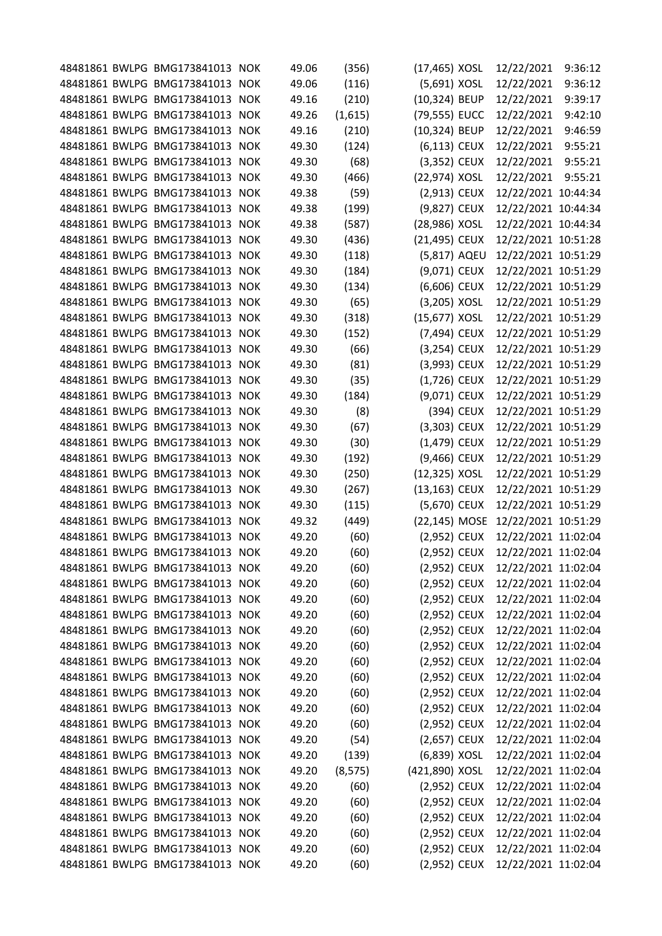|  | 48481861 BWLPG BMG173841013 NOK | 49.06 | (356)    | (17,465) XOSL  |            | 12/22/2021          | 9:36:12 |
|--|---------------------------------|-------|----------|----------------|------------|---------------------|---------|
|  | 48481861 BWLPG BMG173841013 NOK | 49.06 | (116)    | (5,691) XOSL   |            | 12/22/2021          | 9:36:12 |
|  | 48481861 BWLPG BMG173841013 NOK | 49.16 | (210)    | (10,324) BEUP  |            | 12/22/2021          | 9:39:17 |
|  | 48481861 BWLPG BMG173841013 NOK | 49.26 | (1,615)  | (79,555) EUCC  |            | 12/22/2021          | 9:42:10 |
|  | 48481861 BWLPG BMG173841013 NOK | 49.16 | (210)    | (10,324) BEUP  |            | 12/22/2021          | 9:46:59 |
|  | 48481861 BWLPG BMG173841013 NOK | 49.30 | (124)    | (6,113) CEUX   |            | 12/22/2021          | 9:55:21 |
|  | 48481861 BWLPG BMG173841013 NOK | 49.30 | (68)     | (3,352) CEUX   |            | 12/22/2021          | 9:55:21 |
|  | 48481861 BWLPG BMG173841013 NOK | 49.30 | (466)    | (22,974) XOSL  |            | 12/22/2021          | 9:55:21 |
|  | 48481861 BWLPG BMG173841013 NOK | 49.38 | (59)     | (2,913) CEUX   |            | 12/22/2021 10:44:34 |         |
|  | 48481861 BWLPG BMG173841013 NOK | 49.38 | (199)    | (9,827) CEUX   |            | 12/22/2021 10:44:34 |         |
|  | 48481861 BWLPG BMG173841013 NOK | 49.38 | (587)    | (28,986) XOSL  |            | 12/22/2021 10:44:34 |         |
|  | 48481861 BWLPG BMG173841013 NOK | 49.30 | (436)    | (21,495) CEUX  |            | 12/22/2021 10:51:28 |         |
|  | 48481861 BWLPG BMG173841013 NOK | 49.30 | (118)    | (5,817) AQEU   |            | 12/22/2021 10:51:29 |         |
|  | 48481861 BWLPG BMG173841013 NOK | 49.30 | (184)    | (9,071) CEUX   |            | 12/22/2021 10:51:29 |         |
|  | 48481861 BWLPG BMG173841013 NOK | 49.30 | (134)    | (6,606) CEUX   |            | 12/22/2021 10:51:29 |         |
|  | 48481861 BWLPG BMG173841013 NOK | 49.30 | (65)     | (3,205) XOSL   |            | 12/22/2021 10:51:29 |         |
|  | 48481861 BWLPG BMG173841013 NOK | 49.30 | (318)    | (15,677) XOSL  |            | 12/22/2021 10:51:29 |         |
|  | 48481861 BWLPG BMG173841013 NOK | 49.30 | (152)    | (7,494) CEUX   |            | 12/22/2021 10:51:29 |         |
|  | 48481861 BWLPG BMG173841013 NOK | 49.30 | (66)     | (3,254) CEUX   |            | 12/22/2021 10:51:29 |         |
|  | 48481861 BWLPG BMG173841013 NOK | 49.30 | (81)     | (3,993) CEUX   |            | 12/22/2021 10:51:29 |         |
|  | 48481861 BWLPG BMG173841013 NOK | 49.30 | (35)     | (1,726) CEUX   |            | 12/22/2021 10:51:29 |         |
|  | 48481861 BWLPG BMG173841013 NOK | 49.30 | (184)    | (9,071) CEUX   |            | 12/22/2021 10:51:29 |         |
|  | 48481861 BWLPG BMG173841013 NOK | 49.30 | (8)      |                | (394) CEUX | 12/22/2021 10:51:29 |         |
|  | 48481861 BWLPG BMG173841013 NOK | 49.30 | (67)     | (3,303) CEUX   |            | 12/22/2021 10:51:29 |         |
|  | 48481861 BWLPG BMG173841013 NOK | 49.30 | (30)     | (1,479) CEUX   |            | 12/22/2021 10:51:29 |         |
|  | 48481861 BWLPG BMG173841013 NOK | 49.30 | (192)    | (9,466) CEUX   |            | 12/22/2021 10:51:29 |         |
|  | 48481861 BWLPG BMG173841013 NOK | 49.30 | (250)    | (12,325) XOSL  |            | 12/22/2021 10:51:29 |         |
|  | 48481861 BWLPG BMG173841013 NOK | 49.30 | (267)    | (13,163) CEUX  |            | 12/22/2021 10:51:29 |         |
|  | 48481861 BWLPG BMG173841013 NOK | 49.30 | (115)    | (5,670) CEUX   |            | 12/22/2021 10:51:29 |         |
|  | 48481861 BWLPG BMG173841013 NOK | 49.32 | (449)    | (22,145) MOSE  |            | 12/22/2021 10:51:29 |         |
|  | 48481861 BWLPG BMG173841013 NOK | 49.20 | (60)     | (2,952) CEUX   |            | 12/22/2021 11:02:04 |         |
|  | 48481861 BWLPG BMG173841013 NOK | 49.20 | (60)     | (2,952) CEUX   |            | 12/22/2021 11:02:04 |         |
|  | 48481861 BWLPG BMG173841013 NOK | 49.20 | (60)     | (2,952) CEUX   |            | 12/22/2021 11:02:04 |         |
|  | 48481861 BWLPG BMG173841013 NOK | 49.20 | (60)     | (2,952) CEUX   |            | 12/22/2021 11:02:04 |         |
|  | 48481861 BWLPG BMG173841013 NOK | 49.20 | (60)     | (2,952) CEUX   |            | 12/22/2021 11:02:04 |         |
|  | 48481861 BWLPG BMG173841013 NOK | 49.20 | (60)     | (2,952) CEUX   |            | 12/22/2021 11:02:04 |         |
|  | 48481861 BWLPG BMG173841013 NOK | 49.20 | (60)     | (2,952) CEUX   |            | 12/22/2021 11:02:04 |         |
|  | 48481861 BWLPG BMG173841013 NOK | 49.20 | (60)     | (2,952) CEUX   |            | 12/22/2021 11:02:04 |         |
|  | 48481861 BWLPG BMG173841013 NOK | 49.20 | (60)     | (2,952) CEUX   |            | 12/22/2021 11:02:04 |         |
|  | 48481861 BWLPG BMG173841013 NOK | 49.20 | (60)     | (2,952) CEUX   |            | 12/22/2021 11:02:04 |         |
|  | 48481861 BWLPG BMG173841013 NOK | 49.20 | (60)     | (2,952) CEUX   |            | 12/22/2021 11:02:04 |         |
|  | 48481861 BWLPG BMG173841013 NOK | 49.20 | (60)     | (2,952) CEUX   |            | 12/22/2021 11:02:04 |         |
|  | 48481861 BWLPG BMG173841013 NOK | 49.20 | (60)     | (2,952) CEUX   |            | 12/22/2021 11:02:04 |         |
|  | 48481861 BWLPG BMG173841013 NOK | 49.20 | (54)     | (2,657) CEUX   |            | 12/22/2021 11:02:04 |         |
|  | 48481861 BWLPG BMG173841013 NOK | 49.20 | (139)    | (6,839) XOSL   |            | 12/22/2021 11:02:04 |         |
|  | 48481861 BWLPG BMG173841013 NOK | 49.20 | (8, 575) | (421,890) XOSL |            | 12/22/2021 11:02:04 |         |
|  | 48481861 BWLPG BMG173841013 NOK | 49.20 | (60)     | (2,952) CEUX   |            | 12/22/2021 11:02:04 |         |
|  | 48481861 BWLPG BMG173841013 NOK | 49.20 | (60)     | (2,952) CEUX   |            | 12/22/2021 11:02:04 |         |
|  | 48481861 BWLPG BMG173841013 NOK | 49.20 | (60)     | (2,952) CEUX   |            | 12/22/2021 11:02:04 |         |
|  | 48481861 BWLPG BMG173841013 NOK | 49.20 | (60)     | (2,952) CEUX   |            | 12/22/2021 11:02:04 |         |
|  | 48481861 BWLPG BMG173841013 NOK | 49.20 | (60)     | (2,952) CEUX   |            | 12/22/2021 11:02:04 |         |
|  | 48481861 BWLPG BMG173841013 NOK | 49.20 | (60)     | (2,952) CEUX   |            | 12/22/2021 11:02:04 |         |
|  |                                 |       |          |                |            |                     |         |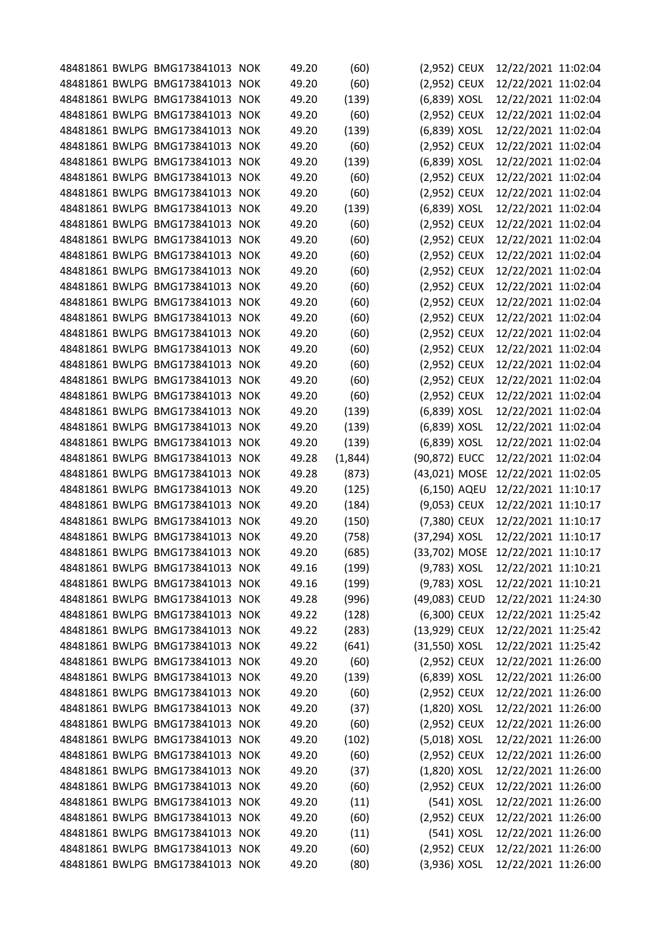|  | 48481861 BWLPG BMG173841013 NOK |            | 49.20 | (60)    | (2,952) CEUX  |            | 12/22/2021 11:02:04 |  |
|--|---------------------------------|------------|-------|---------|---------------|------------|---------------------|--|
|  | 48481861 BWLPG BMG173841013     | <b>NOK</b> | 49.20 | (60)    | (2,952) CEUX  |            | 12/22/2021 11:02:04 |  |
|  | 48481861 BWLPG BMG173841013     | <b>NOK</b> | 49.20 | (139)   | (6,839) XOSL  |            | 12/22/2021 11:02:04 |  |
|  | 48481861 BWLPG BMG173841013     | <b>NOK</b> | 49.20 | (60)    | (2,952) CEUX  |            | 12/22/2021 11:02:04 |  |
|  | 48481861 BWLPG BMG173841013     | <b>NOK</b> | 49.20 | (139)   | (6,839) XOSL  |            | 12/22/2021 11:02:04 |  |
|  | 48481861 BWLPG BMG173841013     | <b>NOK</b> | 49.20 | (60)    | (2,952) CEUX  |            | 12/22/2021 11:02:04 |  |
|  | 48481861 BWLPG BMG173841013 NOK |            | 49.20 | (139)   | (6,839) XOSL  |            | 12/22/2021 11:02:04 |  |
|  | 48481861 BWLPG BMG173841013     | <b>NOK</b> | 49.20 | (60)    | (2,952) CEUX  |            | 12/22/2021 11:02:04 |  |
|  | 48481861 BWLPG BMG173841013     | <b>NOK</b> | 49.20 | (60)    | (2,952) CEUX  |            | 12/22/2021 11:02:04 |  |
|  | 48481861 BWLPG BMG173841013 NOK |            | 49.20 | (139)   | (6,839) XOSL  |            | 12/22/2021 11:02:04 |  |
|  | 48481861 BWLPG BMG173841013     | <b>NOK</b> | 49.20 | (60)    | (2,952) CEUX  |            | 12/22/2021 11:02:04 |  |
|  | 48481861 BWLPG BMG173841013     | <b>NOK</b> | 49.20 | (60)    | (2,952) CEUX  |            | 12/22/2021 11:02:04 |  |
|  | 48481861 BWLPG BMG173841013     | <b>NOK</b> | 49.20 | (60)    | (2,952) CEUX  |            | 12/22/2021 11:02:04 |  |
|  | 48481861 BWLPG BMG173841013     | <b>NOK</b> | 49.20 | (60)    | (2,952) CEUX  |            | 12/22/2021 11:02:04 |  |
|  | 48481861 BWLPG BMG173841013 NOK |            | 49.20 | (60)    | (2,952) CEUX  |            | 12/22/2021 11:02:04 |  |
|  | 48481861 BWLPG BMG173841013     | <b>NOK</b> | 49.20 | (60)    | (2,952) CEUX  |            | 12/22/2021 11:02:04 |  |
|  | 48481861 BWLPG BMG173841013     | <b>NOK</b> | 49.20 | (60)    | (2,952) CEUX  |            | 12/22/2021 11:02:04 |  |
|  | 48481861 BWLPG BMG173841013     | <b>NOK</b> | 49.20 | (60)    | (2,952) CEUX  |            | 12/22/2021 11:02:04 |  |
|  | 48481861 BWLPG BMG173841013 NOK |            | 49.20 | (60)    | (2,952) CEUX  |            | 12/22/2021 11:02:04 |  |
|  | 48481861 BWLPG BMG173841013     | <b>NOK</b> | 49.20 | (60)    | (2,952) CEUX  |            | 12/22/2021 11:02:04 |  |
|  | 48481861 BWLPG BMG173841013 NOK |            | 49.20 | (60)    | (2,952) CEUX  |            | 12/22/2021 11:02:04 |  |
|  | 48481861 BWLPG BMG173841013     | <b>NOK</b> | 49.20 | (60)    | (2,952) CEUX  |            | 12/22/2021 11:02:04 |  |
|  | 48481861 BWLPG BMG173841013     | <b>NOK</b> | 49.20 | (139)   | (6,839) XOSL  |            | 12/22/2021 11:02:04 |  |
|  | 48481861 BWLPG BMG173841013 NOK |            | 49.20 | (139)   | (6,839) XOSL  |            | 12/22/2021 11:02:04 |  |
|  | 48481861 BWLPG BMG173841013     | <b>NOK</b> | 49.20 | (139)   | (6,839) XOSL  |            | 12/22/2021 11:02:04 |  |
|  | 48481861 BWLPG BMG173841013     | <b>NOK</b> | 49.28 | (1,844) | (90,872) EUCC |            | 12/22/2021 11:02:04 |  |
|  | 48481861 BWLPG BMG173841013 NOK |            | 49.28 | (873)   | (43,021) MOSE |            | 12/22/2021 11:02:05 |  |
|  | 48481861 BWLPG BMG173841013     | <b>NOK</b> | 49.20 | (125)   | (6,150) AQEU  |            | 12/22/2021 11:10:17 |  |
|  | 48481861 BWLPG BMG173841013     | <b>NOK</b> | 49.20 | (184)   | (9,053) CEUX  |            | 12/22/2021 11:10:17 |  |
|  | 48481861 BWLPG BMG173841013 NOK |            | 49.20 | (150)   | (7,380) CEUX  |            | 12/22/2021 11:10:17 |  |
|  | 48481861 BWLPG BMG173841013 NOK |            | 49.20 | (758)   | (37,294) XOSL |            | 12/22/2021 11:10:17 |  |
|  | 48481861 BWLPG BMG173841013 NOK |            | 49.20 | (685)   | (33,702) MOSE |            | 12/22/2021 11:10:17 |  |
|  | 48481861 BWLPG BMG173841013 NOK |            | 49.16 | (199)   | (9,783) XOSL  |            | 12/22/2021 11:10:21 |  |
|  | 48481861 BWLPG BMG173841013 NOK |            | 49.16 | (199)   | (9,783) XOSL  |            | 12/22/2021 11:10:21 |  |
|  | 48481861 BWLPG BMG173841013 NOK |            | 49.28 | (996)   | (49,083) CEUD |            | 12/22/2021 11:24:30 |  |
|  | 48481861 BWLPG BMG173841013 NOK |            | 49.22 | (128)   | (6,300) CEUX  |            | 12/22/2021 11:25:42 |  |
|  | 48481861 BWLPG BMG173841013 NOK |            | 49.22 | (283)   | (13,929) CEUX |            | 12/22/2021 11:25:42 |  |
|  | 48481861 BWLPG BMG173841013 NOK |            | 49.22 | (641)   | (31,550) XOSL |            | 12/22/2021 11:25:42 |  |
|  | 48481861 BWLPG BMG173841013 NOK |            | 49.20 | (60)    | (2,952) CEUX  |            | 12/22/2021 11:26:00 |  |
|  | 48481861 BWLPG BMG173841013 NOK |            | 49.20 | (139)   | (6,839) XOSL  |            | 12/22/2021 11:26:00 |  |
|  | 48481861 BWLPG BMG173841013 NOK |            | 49.20 | (60)    | (2,952) CEUX  |            | 12/22/2021 11:26:00 |  |
|  | 48481861 BWLPG BMG173841013 NOK |            | 49.20 | (37)    | (1,820) XOSL  |            | 12/22/2021 11:26:00 |  |
|  | 48481861 BWLPG BMG173841013 NOK |            | 49.20 | (60)    | (2,952) CEUX  |            | 12/22/2021 11:26:00 |  |
|  | 48481861 BWLPG BMG173841013 NOK |            | 49.20 | (102)   | (5,018) XOSL  |            | 12/22/2021 11:26:00 |  |
|  | 48481861 BWLPG BMG173841013 NOK |            | 49.20 | (60)    | (2,952) CEUX  |            | 12/22/2021 11:26:00 |  |
|  | 48481861 BWLPG BMG173841013 NOK |            | 49.20 | (37)    | (1,820) XOSL  |            | 12/22/2021 11:26:00 |  |
|  | 48481861 BWLPG BMG173841013 NOK |            | 49.20 | (60)    | (2,952) CEUX  |            | 12/22/2021 11:26:00 |  |
|  | 48481861 BWLPG BMG173841013 NOK |            | 49.20 | (11)    |               | (541) XOSL | 12/22/2021 11:26:00 |  |
|  | 48481861 BWLPG BMG173841013 NOK |            | 49.20 | (60)    | (2,952) CEUX  |            | 12/22/2021 11:26:00 |  |
|  | 48481861 BWLPG BMG173841013 NOK |            | 49.20 | (11)    |               | (541) XOSL | 12/22/2021 11:26:00 |  |
|  | 48481861 BWLPG BMG173841013 NOK |            | 49.20 | (60)    | (2,952) CEUX  |            | 12/22/2021 11:26:00 |  |
|  | 48481861 BWLPG BMG173841013 NOK |            | 49.20 | (80)    | (3,936) XOSL  |            | 12/22/2021 11:26:00 |  |
|  |                                 |            |       |         |               |            |                     |  |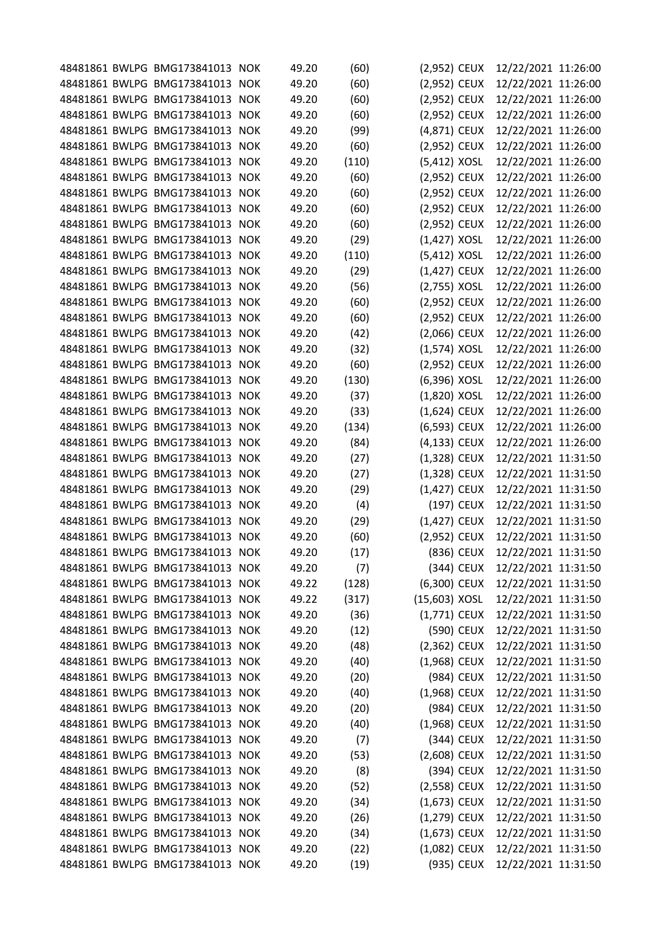|  | 48481861 BWLPG BMG173841013 NOK |            | 49.20 | (60)  | (2,952) CEUX    |            | 12/22/2021 11:26:00 |  |
|--|---------------------------------|------------|-------|-------|-----------------|------------|---------------------|--|
|  | 48481861 BWLPG BMG173841013     | <b>NOK</b> | 49.20 | (60)  | (2,952) CEUX    |            | 12/22/2021 11:26:00 |  |
|  | 48481861 BWLPG BMG173841013     | <b>NOK</b> | 49.20 | (60)  | (2,952) CEUX    |            | 12/22/2021 11:26:00 |  |
|  | 48481861 BWLPG BMG173841013     | <b>NOK</b> | 49.20 | (60)  | (2,952) CEUX    |            | 12/22/2021 11:26:00 |  |
|  | 48481861 BWLPG BMG173841013     | <b>NOK</b> | 49.20 | (99)  | (4,871) CEUX    |            | 12/22/2021 11:26:00 |  |
|  | 48481861 BWLPG BMG173841013     | <b>NOK</b> | 49.20 | (60)  | (2,952) CEUX    |            | 12/22/2021 11:26:00 |  |
|  | 48481861 BWLPG BMG173841013     | <b>NOK</b> | 49.20 | (110) | (5,412) XOSL    |            | 12/22/2021 11:26:00 |  |
|  | 48481861 BWLPG BMG173841013     | <b>NOK</b> | 49.20 | (60)  | (2,952) CEUX    |            | 12/22/2021 11:26:00 |  |
|  | 48481861 BWLPG BMG173841013     | <b>NOK</b> | 49.20 | (60)  | (2,952) CEUX    |            | 12/22/2021 11:26:00 |  |
|  | 48481861 BWLPG BMG173841013     | <b>NOK</b> | 49.20 | (60)  | (2,952) CEUX    |            | 12/22/2021 11:26:00 |  |
|  | 48481861 BWLPG BMG173841013     | <b>NOK</b> | 49.20 | (60)  | (2,952) CEUX    |            | 12/22/2021 11:26:00 |  |
|  | 48481861 BWLPG BMG173841013     | <b>NOK</b> | 49.20 | (29)  | $(1,427)$ XOSL  |            | 12/22/2021 11:26:00 |  |
|  | 48481861 BWLPG BMG173841013     | <b>NOK</b> | 49.20 | (110) | (5,412) XOSL    |            | 12/22/2021 11:26:00 |  |
|  | 48481861 BWLPG BMG173841013     | <b>NOK</b> | 49.20 | (29)  | (1,427) CEUX    |            | 12/22/2021 11:26:00 |  |
|  | 48481861 BWLPG BMG173841013     | <b>NOK</b> | 49.20 | (56)  | (2,755) XOSL    |            | 12/22/2021 11:26:00 |  |
|  | 48481861 BWLPG BMG173841013     | <b>NOK</b> | 49.20 | (60)  | (2,952) CEUX    |            | 12/22/2021 11:26:00 |  |
|  | 48481861 BWLPG BMG173841013     | <b>NOK</b> | 49.20 | (60)  | (2,952) CEUX    |            | 12/22/2021 11:26:00 |  |
|  | 48481861 BWLPG BMG173841013     | <b>NOK</b> | 49.20 | (42)  | (2,066) CEUX    |            | 12/22/2021 11:26:00 |  |
|  | 48481861 BWLPG BMG173841013     | <b>NOK</b> | 49.20 | (32)  | $(1,574)$ XOSL  |            | 12/22/2021 11:26:00 |  |
|  | 48481861 BWLPG BMG173841013     | <b>NOK</b> | 49.20 | (60)  | (2,952) CEUX    |            | 12/22/2021 11:26:00 |  |
|  | 48481861 BWLPG BMG173841013 NOK |            | 49.20 | (130) | (6,396) XOSL    |            | 12/22/2021 11:26:00 |  |
|  | 48481861 BWLPG BMG173841013     | <b>NOK</b> | 49.20 | (37)  | (1,820) XOSL    |            | 12/22/2021 11:26:00 |  |
|  | 48481861 BWLPG BMG173841013     | <b>NOK</b> | 49.20 | (33)  | (1,624) CEUX    |            | 12/22/2021 11:26:00 |  |
|  | 48481861 BWLPG BMG173841013 NOK |            | 49.20 | (134) | (6,593) CEUX    |            | 12/22/2021 11:26:00 |  |
|  | 48481861 BWLPG BMG173841013     | <b>NOK</b> | 49.20 | (84)  | (4,133) CEUX    |            | 12/22/2021 11:26:00 |  |
|  | 48481861 BWLPG BMG173841013     | <b>NOK</b> | 49.20 | (27)  | $(1,328)$ CEUX  |            | 12/22/2021 11:31:50 |  |
|  | 48481861 BWLPG BMG173841013 NOK |            | 49.20 | (27)  | (1,328) CEUX    |            | 12/22/2021 11:31:50 |  |
|  | 48481861 BWLPG BMG173841013     | <b>NOK</b> | 49.20 | (29)  | (1,427) CEUX    |            | 12/22/2021 11:31:50 |  |
|  | 48481861 BWLPG BMG173841013     | <b>NOK</b> | 49.20 | (4)   |                 | (197) CEUX | 12/22/2021 11:31:50 |  |
|  | 48481861 BWLPG BMG173841013     | <b>NOK</b> | 49.20 | (29)  | (1,427) CEUX    |            | 12/22/2021 11:31:50 |  |
|  | 48481861 BWLPG BMG173841013     | <b>NOK</b> | 49.20 | (60)  | (2,952) CEUX    |            | 12/22/2021 11:31:50 |  |
|  | 48481861 BWLPG BMG173841013 NOK |            | 49.20 | (17)  |                 | (836) CEUX | 12/22/2021 11:31:50 |  |
|  | 48481861 BWLPG BMG173841013 NOK |            | 49.20 | (7)   |                 | (344) CEUX | 12/22/2021 11:31:50 |  |
|  | 48481861 BWLPG BMG173841013 NOK |            | 49.22 | (128) | (6,300) CEUX    |            | 12/22/2021 11:31:50 |  |
|  | 48481861 BWLPG BMG173841013 NOK |            | 49.22 | (317) | $(15,603)$ XOSL |            | 12/22/2021 11:31:50 |  |
|  | 48481861 BWLPG BMG173841013 NOK |            | 49.20 | (36)  | $(1,771)$ CEUX  |            | 12/22/2021 11:31:50 |  |
|  | 48481861 BWLPG BMG173841013     | <b>NOK</b> | 49.20 | (12)  |                 | (590) CEUX | 12/22/2021 11:31:50 |  |
|  | 48481861 BWLPG BMG173841013 NOK |            | 49.20 | (48)  | $(2,362)$ CEUX  |            | 12/22/2021 11:31:50 |  |
|  | 48481861 BWLPG BMG173841013 NOK |            | 49.20 | (40)  | (1,968) CEUX    |            | 12/22/2021 11:31:50 |  |
|  | 48481861 BWLPG BMG173841013 NOK |            | 49.20 | (20)  |                 | (984) CEUX | 12/22/2021 11:31:50 |  |
|  | 48481861 BWLPG BMG173841013 NOK |            | 49.20 | (40)  | (1,968) CEUX    |            | 12/22/2021 11:31:50 |  |
|  | 48481861 BWLPG BMG173841013 NOK |            | 49.20 | (20)  |                 | (984) CEUX | 12/22/2021 11:31:50 |  |
|  | 48481861 BWLPG BMG173841013 NOK |            | 49.20 | (40)  | $(1,968)$ CEUX  |            | 12/22/2021 11:31:50 |  |
|  | 48481861 BWLPG BMG173841013 NOK |            | 49.20 | (7)   |                 | (344) CEUX | 12/22/2021 11:31:50 |  |
|  | 48481861 BWLPG BMG173841013 NOK |            | 49.20 | (53)  | (2,608) CEUX    |            | 12/22/2021 11:31:50 |  |
|  | 48481861 BWLPG BMG173841013 NOK |            | 49.20 | (8)   |                 | (394) CEUX | 12/22/2021 11:31:50 |  |
|  | 48481861 BWLPG BMG173841013 NOK |            | 49.20 | (52)  | (2,558) CEUX    |            | 12/22/2021 11:31:50 |  |
|  | 48481861 BWLPG BMG173841013 NOK |            | 49.20 | (34)  | (1,673) CEUX    |            | 12/22/2021 11:31:50 |  |
|  | 48481861 BWLPG BMG173841013     | <b>NOK</b> | 49.20 | (26)  | (1,279) CEUX    |            | 12/22/2021 11:31:50 |  |
|  | 48481861 BWLPG BMG173841013 NOK |            | 49.20 | (34)  | $(1,673)$ CEUX  |            | 12/22/2021 11:31:50 |  |
|  | 48481861 BWLPG BMG173841013 NOK |            | 49.20 | (22)  | (1,082) CEUX    |            | 12/22/2021 11:31:50 |  |
|  | 48481861 BWLPG BMG173841013 NOK |            | 49.20 | (19)  |                 | (935) CEUX | 12/22/2021 11:31:50 |  |
|  |                                 |            |       |       |                 |            |                     |  |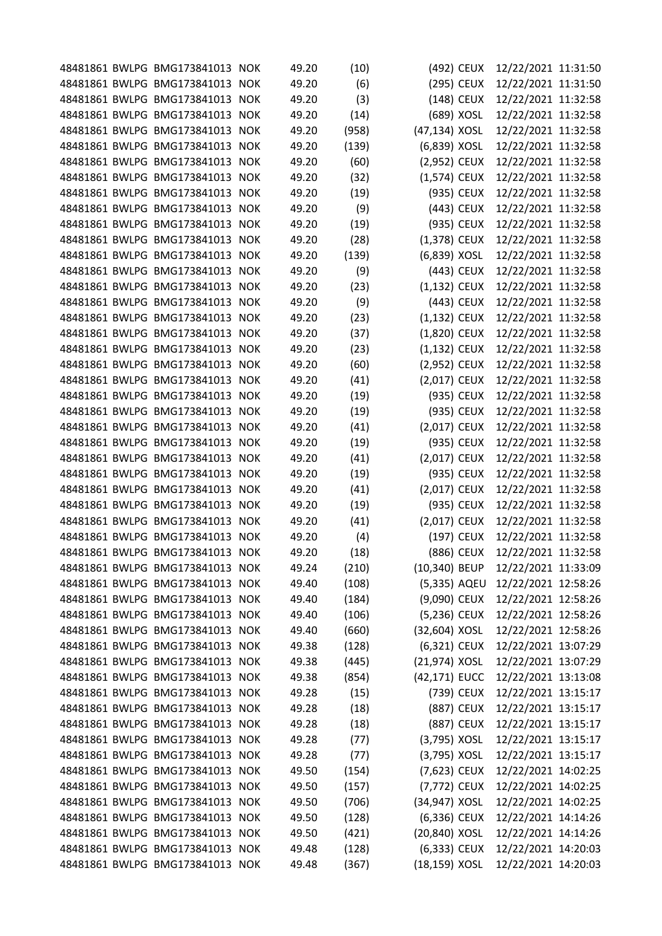|  | 48481861 BWLPG BMG173841013 NOK |            | 49.20 | (10)  |               | (492) CEUX | 12/22/2021 11:31:50 |  |
|--|---------------------------------|------------|-------|-------|---------------|------------|---------------------|--|
|  | 48481861 BWLPG BMG173841013     | <b>NOK</b> | 49.20 | (6)   |               | (295) CEUX | 12/22/2021 11:31:50 |  |
|  | 48481861 BWLPG BMG173841013     | <b>NOK</b> | 49.20 | (3)   |               | (148) CEUX | 12/22/2021 11:32:58 |  |
|  | 48481861 BWLPG BMG173841013     | <b>NOK</b> | 49.20 | (14)  |               | (689) XOSL | 12/22/2021 11:32:58 |  |
|  | 48481861 BWLPG BMG173841013     | <b>NOK</b> | 49.20 | (958) | (47,134) XOSL |            | 12/22/2021 11:32:58 |  |
|  | 48481861 BWLPG BMG173841013     | <b>NOK</b> | 49.20 | (139) | (6,839) XOSL  |            | 12/22/2021 11:32:58 |  |
|  | 48481861 BWLPG BMG173841013     | <b>NOK</b> | 49.20 | (60)  | (2,952) CEUX  |            | 12/22/2021 11:32:58 |  |
|  | 48481861 BWLPG BMG173841013     | <b>NOK</b> | 49.20 | (32)  | (1,574) CEUX  |            | 12/22/2021 11:32:58 |  |
|  | 48481861 BWLPG BMG173841013     | <b>NOK</b> | 49.20 | (19)  |               | (935) CEUX | 12/22/2021 11:32:58 |  |
|  | 48481861 BWLPG BMG173841013 NOK |            | 49.20 | (9)   |               | (443) CEUX | 12/22/2021 11:32:58 |  |
|  | 48481861 BWLPG BMG173841013     | <b>NOK</b> | 49.20 | (19)  |               | (935) CEUX | 12/22/2021 11:32:58 |  |
|  | 48481861 BWLPG BMG173841013     | <b>NOK</b> | 49.20 | (28)  | (1,378) CEUX  |            | 12/22/2021 11:32:58 |  |
|  | 48481861 BWLPG BMG173841013     | <b>NOK</b> | 49.20 | (139) | (6,839) XOSL  |            | 12/22/2021 11:32:58 |  |
|  | 48481861 BWLPG BMG173841013     | <b>NOK</b> | 49.20 | (9)   |               | (443) CEUX | 12/22/2021 11:32:58 |  |
|  | 48481861 BWLPG BMG173841013 NOK |            | 49.20 | (23)  | (1,132) CEUX  |            | 12/22/2021 11:32:58 |  |
|  | 48481861 BWLPG BMG173841013     | <b>NOK</b> | 49.20 | (9)   |               | (443) CEUX | 12/22/2021 11:32:58 |  |
|  | 48481861 BWLPG BMG173841013     | <b>NOK</b> | 49.20 | (23)  | (1,132) CEUX  |            | 12/22/2021 11:32:58 |  |
|  | 48481861 BWLPG BMG173841013     | <b>NOK</b> | 49.20 | (37)  | (1,820) CEUX  |            | 12/22/2021 11:32:58 |  |
|  | 48481861 BWLPG BMG173841013     | <b>NOK</b> | 49.20 | (23)  | (1,132) CEUX  |            | 12/22/2021 11:32:58 |  |
|  | 48481861 BWLPG BMG173841013     | <b>NOK</b> | 49.20 | (60)  | (2,952) CEUX  |            | 12/22/2021 11:32:58 |  |
|  | 48481861 BWLPG BMG173841013 NOK |            | 49.20 | (41)  | (2,017) CEUX  |            | 12/22/2021 11:32:58 |  |
|  | 48481861 BWLPG BMG173841013     | <b>NOK</b> | 49.20 | (19)  |               | (935) CEUX | 12/22/2021 11:32:58 |  |
|  | 48481861 BWLPG BMG173841013     | <b>NOK</b> | 49.20 | (19)  |               | (935) CEUX | 12/22/2021 11:32:58 |  |
|  | 48481861 BWLPG BMG173841013 NOK |            | 49.20 | (41)  | (2,017) CEUX  |            | 12/22/2021 11:32:58 |  |
|  | 48481861 BWLPG BMG173841013     | <b>NOK</b> | 49.20 | (19)  |               | (935) CEUX | 12/22/2021 11:32:58 |  |
|  | 48481861 BWLPG BMG173841013     | <b>NOK</b> | 49.20 | (41)  | (2,017) CEUX  |            | 12/22/2021 11:32:58 |  |
|  | 48481861 BWLPG BMG173841013 NOK |            | 49.20 | (19)  |               | (935) CEUX | 12/22/2021 11:32:58 |  |
|  | 48481861 BWLPG BMG173841013     | <b>NOK</b> | 49.20 | (41)  | (2,017) CEUX  |            | 12/22/2021 11:32:58 |  |
|  | 48481861 BWLPG BMG173841013     | <b>NOK</b> | 49.20 | (19)  |               | (935) CEUX | 12/22/2021 11:32:58 |  |
|  | 48481861 BWLPG BMG173841013 NOK |            | 49.20 | (41)  | (2,017) CEUX  |            | 12/22/2021 11:32:58 |  |
|  | 48481861 BWLPG BMG173841013     | <b>NOK</b> | 49.20 | (4)   |               | (197) CEUX | 12/22/2021 11:32:58 |  |
|  | 48481861 BWLPG BMG173841013 NOK |            | 49.20 | (18)  |               | (886) CEUX | 12/22/2021 11:32:58 |  |
|  | 48481861 BWLPG BMG173841013 NOK |            | 49.24 | (210) | (10,340) BEUP |            | 12/22/2021 11:33:09 |  |
|  | 48481861 BWLPG BMG173841013 NOK |            | 49.40 | (108) | (5,335) AQEU  |            | 12/22/2021 12:58:26 |  |
|  | 48481861 BWLPG BMG173841013 NOK |            | 49.40 | (184) | (9,090) CEUX  |            | 12/22/2021 12:58:26 |  |
|  | 48481861 BWLPG BMG173841013 NOK |            | 49.40 | (106) | (5,236) CEUX  |            | 12/22/2021 12:58:26 |  |
|  | 48481861 BWLPG BMG173841013 NOK |            | 49.40 | (660) | (32,604) XOSL |            | 12/22/2021 12:58:26 |  |
|  | 48481861 BWLPG BMG173841013 NOK |            | 49.38 | (128) | (6,321) CEUX  |            | 12/22/2021 13:07:29 |  |
|  | 48481861 BWLPG BMG173841013 NOK |            | 49.38 | (445) | (21,974) XOSL |            | 12/22/2021 13:07:29 |  |
|  | 48481861 BWLPG BMG173841013 NOK |            | 49.38 | (854) | (42,171) EUCC |            | 12/22/2021 13:13:08 |  |
|  | 48481861 BWLPG BMG173841013 NOK |            | 49.28 | (15)  |               | (739) CEUX | 12/22/2021 13:15:17 |  |
|  | 48481861 BWLPG BMG173841013 NOK |            | 49.28 | (18)  |               | (887) CEUX | 12/22/2021 13:15:17 |  |
|  | 48481861 BWLPG BMG173841013 NOK |            | 49.28 | (18)  |               | (887) CEUX | 12/22/2021 13:15:17 |  |
|  | 48481861 BWLPG BMG173841013 NOK |            | 49.28 | (77)  | (3,795) XOSL  |            | 12/22/2021 13:15:17 |  |
|  | 48481861 BWLPG BMG173841013 NOK |            | 49.28 | (77)  | (3,795) XOSL  |            | 12/22/2021 13:15:17 |  |
|  | 48481861 BWLPG BMG173841013 NOK |            | 49.50 | (154) | (7,623) CEUX  |            | 12/22/2021 14:02:25 |  |
|  | 48481861 BWLPG BMG173841013 NOK |            | 49.50 | (157) | (7,772) CEUX  |            | 12/22/2021 14:02:25 |  |
|  | 48481861 BWLPG BMG173841013 NOK |            | 49.50 | (706) | (34,947) XOSL |            | 12/22/2021 14:02:25 |  |
|  | 48481861 BWLPG BMG173841013     | <b>NOK</b> | 49.50 | (128) | (6,336) CEUX  |            | 12/22/2021 14:14:26 |  |
|  | 48481861 BWLPG BMG173841013 NOK |            | 49.50 | (421) | (20,840) XOSL |            | 12/22/2021 14:14:26 |  |
|  | 48481861 BWLPG BMG173841013 NOK |            | 49.48 | (128) | (6,333) CEUX  |            | 12/22/2021 14:20:03 |  |
|  | 48481861 BWLPG BMG173841013 NOK |            | 49.48 | (367) | (18,159) XOSL |            | 12/22/2021 14:20:03 |  |
|  |                                 |            |       |       |               |            |                     |  |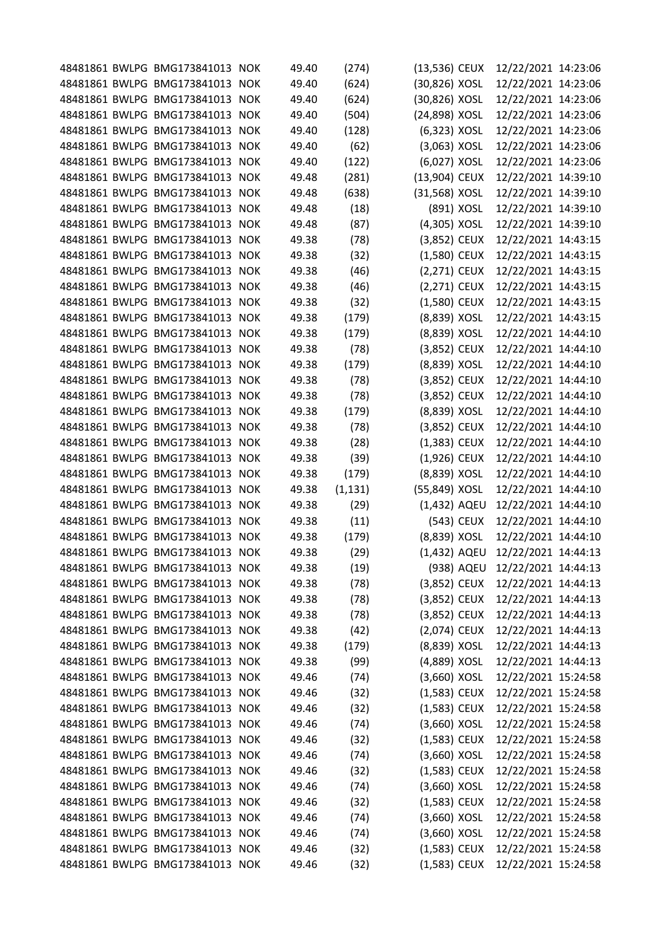|  | 48481861 BWLPG BMG173841013 NOK |            | 49.40 | (274)    | (13,536) CEUX  |            | 12/22/2021 14:23:06 |  |
|--|---------------------------------|------------|-------|----------|----------------|------------|---------------------|--|
|  | 48481861 BWLPG BMG173841013     | <b>NOK</b> | 49.40 | (624)    | (30,826) XOSL  |            | 12/22/2021 14:23:06 |  |
|  | 48481861 BWLPG BMG173841013     | <b>NOK</b> | 49.40 | (624)    | (30,826) XOSL  |            | 12/22/2021 14:23:06 |  |
|  | 48481861 BWLPG BMG173841013     | <b>NOK</b> | 49.40 | (504)    | (24,898) XOSL  |            | 12/22/2021 14:23:06 |  |
|  | 48481861 BWLPG BMG173841013     | <b>NOK</b> | 49.40 | (128)    | (6,323) XOSL   |            | 12/22/2021 14:23:06 |  |
|  | 48481861 BWLPG BMG173841013     | <b>NOK</b> | 49.40 | (62)     | $(3,063)$ XOSL |            | 12/22/2021 14:23:06 |  |
|  | 48481861 BWLPG BMG173841013     | <b>NOK</b> | 49.40 | (122)    | (6,027) XOSL   |            | 12/22/2021 14:23:06 |  |
|  | 48481861 BWLPG BMG173841013     | <b>NOK</b> | 49.48 | (281)    | (13,904) CEUX  |            | 12/22/2021 14:39:10 |  |
|  | 48481861 BWLPG BMG173841013     | <b>NOK</b> | 49.48 | (638)    | (31,568) XOSL  |            | 12/22/2021 14:39:10 |  |
|  | 48481861 BWLPG BMG173841013     | <b>NOK</b> | 49.48 | (18)     |                | (891) XOSL | 12/22/2021 14:39:10 |  |
|  | 48481861 BWLPG BMG173841013     | <b>NOK</b> | 49.48 | (87)     | (4,305) XOSL   |            | 12/22/2021 14:39:10 |  |
|  | 48481861 BWLPG BMG173841013     | <b>NOK</b> | 49.38 | (78)     | (3,852) CEUX   |            | 12/22/2021 14:43:15 |  |
|  | 48481861 BWLPG BMG173841013     | <b>NOK</b> | 49.38 | (32)     | (1,580) CEUX   |            | 12/22/2021 14:43:15 |  |
|  | 48481861 BWLPG BMG173841013     | <b>NOK</b> | 49.38 | (46)     | (2,271) CEUX   |            | 12/22/2021 14:43:15 |  |
|  | 48481861 BWLPG BMG173841013 NOK |            | 49.38 | (46)     | (2,271) CEUX   |            | 12/22/2021 14:43:15 |  |
|  | 48481861 BWLPG BMG173841013     | <b>NOK</b> | 49.38 | (32)     | (1,580) CEUX   |            | 12/22/2021 14:43:15 |  |
|  | 48481861 BWLPG BMG173841013     | <b>NOK</b> | 49.38 | (179)    | (8,839) XOSL   |            | 12/22/2021 14:43:15 |  |
|  | 48481861 BWLPG BMG173841013     | <b>NOK</b> | 49.38 | (179)    | (8,839) XOSL   |            | 12/22/2021 14:44:10 |  |
|  | 48481861 BWLPG BMG173841013     | <b>NOK</b> | 49.38 | (78)     | (3,852) CEUX   |            | 12/22/2021 14:44:10 |  |
|  | 48481861 BWLPG BMG173841013     | <b>NOK</b> | 49.38 | (179)    | (8,839) XOSL   |            | 12/22/2021 14:44:10 |  |
|  | 48481861 BWLPG BMG173841013 NOK |            | 49.38 | (78)     | (3,852) CEUX   |            | 12/22/2021 14:44:10 |  |
|  | 48481861 BWLPG BMG173841013     | <b>NOK</b> | 49.38 | (78)     | (3,852) CEUX   |            | 12/22/2021 14:44:10 |  |
|  | 48481861 BWLPG BMG173841013     | <b>NOK</b> | 49.38 | (179)    | (8,839) XOSL   |            | 12/22/2021 14:44:10 |  |
|  | 48481861 BWLPG BMG173841013     | <b>NOK</b> | 49.38 | (78)     | (3,852) CEUX   |            | 12/22/2021 14:44:10 |  |
|  | 48481861 BWLPG BMG173841013     | <b>NOK</b> | 49.38 | (28)     | (1,383) CEUX   |            | 12/22/2021 14:44:10 |  |
|  | 48481861 BWLPG BMG173841013     | <b>NOK</b> | 49.38 | (39)     | $(1,926)$ CEUX |            | 12/22/2021 14:44:10 |  |
|  | 48481861 BWLPG BMG173841013 NOK |            | 49.38 | (179)    | (8,839) XOSL   |            | 12/22/2021 14:44:10 |  |
|  | 48481861 BWLPG BMG173841013     | <b>NOK</b> | 49.38 | (1, 131) | (55,849) XOSL  |            | 12/22/2021 14:44:10 |  |
|  | 48481861 BWLPG BMG173841013     | <b>NOK</b> | 49.38 | (29)     | (1,432) AQEU   |            | 12/22/2021 14:44:10 |  |
|  | 48481861 BWLPG BMG173841013 NOK |            | 49.38 | (11)     |                | (543) CEUX | 12/22/2021 14:44:10 |  |
|  | 48481861 BWLPG BMG173841013     | <b>NOK</b> | 49.38 | (179)    | (8,839) XOSL   |            | 12/22/2021 14:44:10 |  |
|  | 48481861 BWLPG BMG173841013 NOK |            | 49.38 | (29)     | (1,432) AQEU   |            | 12/22/2021 14:44:13 |  |
|  | 48481861 BWLPG BMG173841013 NOK |            | 49.38 | (19)     |                | (938) AQEU | 12/22/2021 14:44:13 |  |
|  | 48481861 BWLPG BMG173841013 NOK |            | 49.38 | (78)     | (3,852) CEUX   |            | 12/22/2021 14:44:13 |  |
|  | 48481861 BWLPG BMG173841013 NOK |            | 49.38 | (78)     | $(3,852)$ CEUX |            | 12/22/2021 14:44:13 |  |
|  | 48481861 BWLPG BMG173841013 NOK |            | 49.38 | (78)     | (3,852) CEUX   |            | 12/22/2021 14:44:13 |  |
|  | 48481861 BWLPG BMG173841013 NOK |            | 49.38 | (42)     | (2,074) CEUX   |            | 12/22/2021 14:44:13 |  |
|  | 48481861 BWLPG BMG173841013 NOK |            | 49.38 | (179)    | (8,839) XOSL   |            | 12/22/2021 14:44:13 |  |
|  | 48481861 BWLPG BMG173841013 NOK |            | 49.38 | (99)     | (4,889) XOSL   |            | 12/22/2021 14:44:13 |  |
|  | 48481861 BWLPG BMG173841013 NOK |            | 49.46 | (74)     | $(3,660)$ XOSL |            | 12/22/2021 15:24:58 |  |
|  | 48481861 BWLPG BMG173841013 NOK |            | 49.46 | (32)     | $(1,583)$ CEUX |            | 12/22/2021 15:24:58 |  |
|  | 48481861 BWLPG BMG173841013 NOK |            | 49.46 | (32)     | (1,583) CEUX   |            | 12/22/2021 15:24:58 |  |
|  | 48481861 BWLPG BMG173841013 NOK |            | 49.46 | (74)     | $(3,660)$ XOSL |            | 12/22/2021 15:24:58 |  |
|  | 48481861 BWLPG BMG173841013 NOK |            | 49.46 | (32)     | $(1,583)$ CEUX |            | 12/22/2021 15:24:58 |  |
|  | 48481861 BWLPG BMG173841013 NOK |            | 49.46 | (74)     | $(3,660)$ XOSL |            | 12/22/2021 15:24:58 |  |
|  | 48481861 BWLPG BMG173841013 NOK |            | 49.46 | (32)     | $(1,583)$ CEUX |            | 12/22/2021 15:24:58 |  |
|  | 48481861 BWLPG BMG173841013 NOK |            | 49.46 | (74)     | $(3,660)$ XOSL |            | 12/22/2021 15:24:58 |  |
|  | 48481861 BWLPG BMG173841013 NOK |            | 49.46 | (32)     | (1,583) CEUX   |            | 12/22/2021 15:24:58 |  |
|  | 48481861 BWLPG BMG173841013 NOK |            | 49.46 | (74)     | $(3,660)$ XOSL |            | 12/22/2021 15:24:58 |  |
|  | 48481861 BWLPG BMG173841013 NOK |            | 49.46 | (74)     | $(3,660)$ XOSL |            | 12/22/2021 15:24:58 |  |
|  | 48481861 BWLPG BMG173841013 NOK |            | 49.46 | (32)     | (1,583) CEUX   |            | 12/22/2021 15:24:58 |  |
|  | 48481861 BWLPG BMG173841013 NOK |            | 49.46 | (32)     | (1,583) CEUX   |            | 12/22/2021 15:24:58 |  |
|  |                                 |            |       |          |                |            |                     |  |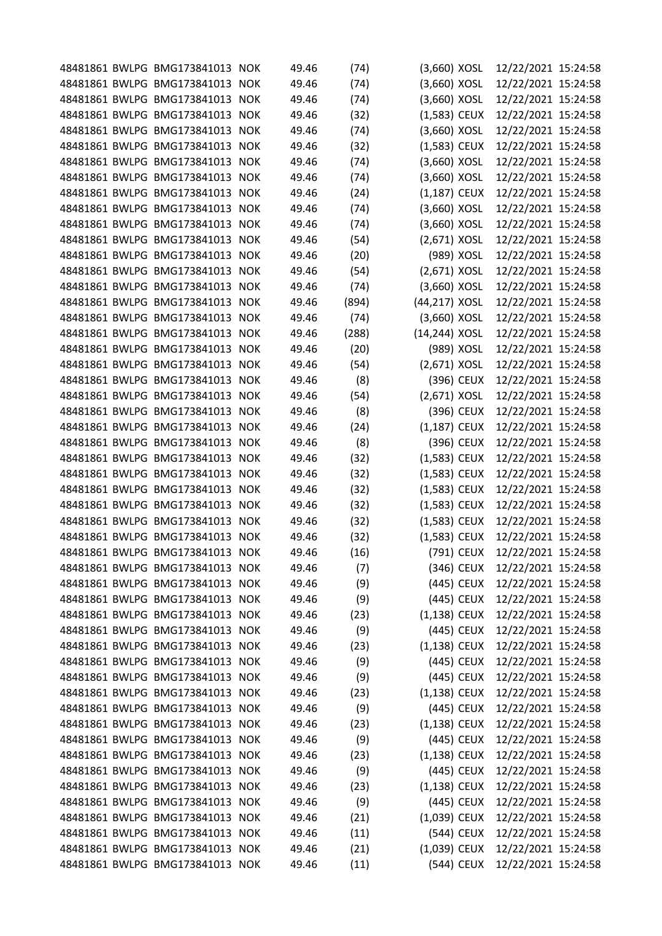|  | 48481861 BWLPG BMG173841013 NOK |            | 49.46 | (74)  | (3,660) XOSL   |            | 12/22/2021 15:24:58 |  |
|--|---------------------------------|------------|-------|-------|----------------|------------|---------------------|--|
|  | 48481861 BWLPG BMG173841013     | <b>NOK</b> | 49.46 | (74)  | (3,660) XOSL   |            | 12/22/2021 15:24:58 |  |
|  | 48481861 BWLPG BMG173841013     | <b>NOK</b> | 49.46 | (74)  | (3,660) XOSL   |            | 12/22/2021 15:24:58 |  |
|  | 48481861 BWLPG BMG173841013     | <b>NOK</b> | 49.46 | (32)  | (1,583) CEUX   |            | 12/22/2021 15:24:58 |  |
|  | 48481861 BWLPG BMG173841013     | <b>NOK</b> | 49.46 | (74)  | (3,660) XOSL   |            | 12/22/2021 15:24:58 |  |
|  | 48481861 BWLPG BMG173841013     | <b>NOK</b> | 49.46 | (32)  | (1,583) CEUX   |            | 12/22/2021 15:24:58 |  |
|  | 48481861 BWLPG BMG173841013 NOK |            | 49.46 | (74)  | (3,660) XOSL   |            | 12/22/2021 15:24:58 |  |
|  | 48481861 BWLPG BMG173841013     | <b>NOK</b> | 49.46 | (74)  | $(3,660)$ XOSL |            | 12/22/2021 15:24:58 |  |
|  | 48481861 BWLPG BMG173841013     | <b>NOK</b> | 49.46 | (24)  | $(1,187)$ CEUX |            | 12/22/2021 15:24:58 |  |
|  | 48481861 BWLPG BMG173841013 NOK |            | 49.46 | (74)  | (3,660) XOSL   |            | 12/22/2021 15:24:58 |  |
|  | 48481861 BWLPG BMG173841013     | <b>NOK</b> | 49.46 | (74)  | (3,660) XOSL   |            | 12/22/2021 15:24:58 |  |
|  | 48481861 BWLPG BMG173841013     | <b>NOK</b> | 49.46 | (54)  | (2,671) XOSL   |            | 12/22/2021 15:24:58 |  |
|  | 48481861 BWLPG BMG173841013     | <b>NOK</b> | 49.46 | (20)  | (989) XOSL     |            | 12/22/2021 15:24:58 |  |
|  | 48481861 BWLPG BMG173841013     | <b>NOK</b> | 49.46 | (54)  | $(2,671)$ XOSL |            | 12/22/2021 15:24:58 |  |
|  | 48481861 BWLPG BMG173841013 NOK |            | 49.46 | (74)  | $(3,660)$ XOSL |            | 12/22/2021 15:24:58 |  |
|  | 48481861 BWLPG BMG173841013     | <b>NOK</b> | 49.46 | (894) | (44,217) XOSL  |            | 12/22/2021 15:24:58 |  |
|  | 48481861 BWLPG BMG173841013     | <b>NOK</b> | 49.46 | (74)  | (3,660) XOSL   |            | 12/22/2021 15:24:58 |  |
|  | 48481861 BWLPG BMG173841013     | <b>NOK</b> | 49.46 | (288) | (14,244) XOSL  |            | 12/22/2021 15:24:58 |  |
|  | 48481861 BWLPG BMG173841013     | <b>NOK</b> | 49.46 | (20)  |                | (989) XOSL | 12/22/2021 15:24:58 |  |
|  | 48481861 BWLPG BMG173841013     | <b>NOK</b> | 49.46 | (54)  | $(2,671)$ XOSL |            | 12/22/2021 15:24:58 |  |
|  | 48481861 BWLPG BMG173841013 NOK |            | 49.46 | (8)   |                | (396) CEUX | 12/22/2021 15:24:58 |  |
|  | 48481861 BWLPG BMG173841013     | <b>NOK</b> | 49.46 | (54)  | $(2,671)$ XOSL |            | 12/22/2021 15:24:58 |  |
|  | 48481861 BWLPG BMG173841013     | <b>NOK</b> | 49.46 | (8)   |                | (396) CEUX | 12/22/2021 15:24:58 |  |
|  | 48481861 BWLPG BMG173841013 NOK |            | 49.46 | (24)  | $(1,187)$ CEUX |            | 12/22/2021 15:24:58 |  |
|  | 48481861 BWLPG BMG173841013     | <b>NOK</b> | 49.46 | (8)   |                | (396) CEUX | 12/22/2021 15:24:58 |  |
|  | 48481861 BWLPG BMG173841013     | <b>NOK</b> | 49.46 | (32)  | (1,583) CEUX   |            | 12/22/2021 15:24:58 |  |
|  | 48481861 BWLPG BMG173841013 NOK |            | 49.46 | (32)  | (1,583) CEUX   |            | 12/22/2021 15:24:58 |  |
|  | 48481861 BWLPG BMG173841013     | <b>NOK</b> | 49.46 | (32)  | (1,583) CEUX   |            | 12/22/2021 15:24:58 |  |
|  | 48481861 BWLPG BMG173841013     | <b>NOK</b> | 49.46 | (32)  | (1,583) CEUX   |            | 12/22/2021 15:24:58 |  |
|  | 48481861 BWLPG BMG173841013 NOK |            | 49.46 | (32)  | (1,583) CEUX   |            | 12/22/2021 15:24:58 |  |
|  | 48481861 BWLPG BMG173841013     | <b>NOK</b> | 49.46 | (32)  | (1,583) CEUX   |            | 12/22/2021 15:24:58 |  |
|  | 48481861 BWLPG BMG173841013 NOK |            | 49.46 | (16)  |                | (791) CEUX | 12/22/2021 15:24:58 |  |
|  | 48481861 BWLPG BMG173841013 NOK |            | 49.46 | (7)   |                | (346) CEUX | 12/22/2021 15:24:58 |  |
|  | 48481861 BWLPG BMG173841013 NOK |            | 49.46 | (9)   |                | (445) CEUX | 12/22/2021 15:24:58 |  |
|  | 48481861 BWLPG BMG173841013 NOK |            | 49.46 | (9)   |                | (445) CEUX | 12/22/2021 15:24:58 |  |
|  | 48481861 BWLPG BMG173841013 NOK |            | 49.46 | (23)  | $(1,138)$ CEUX |            | 12/22/2021 15:24:58 |  |
|  | 48481861 BWLPG BMG173841013 NOK |            | 49.46 | (9)   |                | (445) CEUX | 12/22/2021 15:24:58 |  |
|  | 48481861 BWLPG BMG173841013 NOK |            | 49.46 | (23)  | $(1,138)$ CEUX |            | 12/22/2021 15:24:58 |  |
|  | 48481861 BWLPG BMG173841013 NOK |            | 49.46 | (9)   |                | (445) CEUX | 12/22/2021 15:24:58 |  |
|  | 48481861 BWLPG BMG173841013 NOK |            | 49.46 | (9)   |                | (445) CEUX | 12/22/2021 15:24:58 |  |
|  | 48481861 BWLPG BMG173841013 NOK |            | 49.46 | (23)  | $(1,138)$ CEUX |            | 12/22/2021 15:24:58 |  |
|  | 48481861 BWLPG BMG173841013 NOK |            | 49.46 | (9)   |                | (445) CEUX | 12/22/2021 15:24:58 |  |
|  | 48481861 BWLPG BMG173841013 NOK |            | 49.46 | (23)  | $(1,138)$ CEUX |            | 12/22/2021 15:24:58 |  |
|  | 48481861 BWLPG BMG173841013 NOK |            | 49.46 | (9)   |                | (445) CEUX | 12/22/2021 15:24:58 |  |
|  | 48481861 BWLPG BMG173841013 NOK |            | 49.46 | (23)  | $(1,138)$ CEUX |            | 12/22/2021 15:24:58 |  |
|  | 48481861 BWLPG BMG173841013 NOK |            | 49.46 | (9)   |                | (445) CEUX | 12/22/2021 15:24:58 |  |
|  | 48481861 BWLPG BMG173841013 NOK |            | 49.46 | (23)  | $(1,138)$ CEUX |            | 12/22/2021 15:24:58 |  |
|  | 48481861 BWLPG BMG173841013 NOK |            | 49.46 | (9)   |                | (445) CEUX | 12/22/2021 15:24:58 |  |
|  | 48481861 BWLPG BMG173841013 NOK |            | 49.46 | (21)  | (1,039) CEUX   |            | 12/22/2021 15:24:58 |  |
|  | 48481861 BWLPG BMG173841013 NOK |            | 49.46 | (11)  |                | (544) CEUX | 12/22/2021 15:24:58 |  |
|  | 48481861 BWLPG BMG173841013 NOK |            | 49.46 | (21)  | (1,039) CEUX   |            | 12/22/2021 15:24:58 |  |
|  | 48481861 BWLPG BMG173841013 NOK |            | 49.46 | (11)  |                | (544) CEUX | 12/22/2021 15:24:58 |  |
|  |                                 |            |       |       |                |            |                     |  |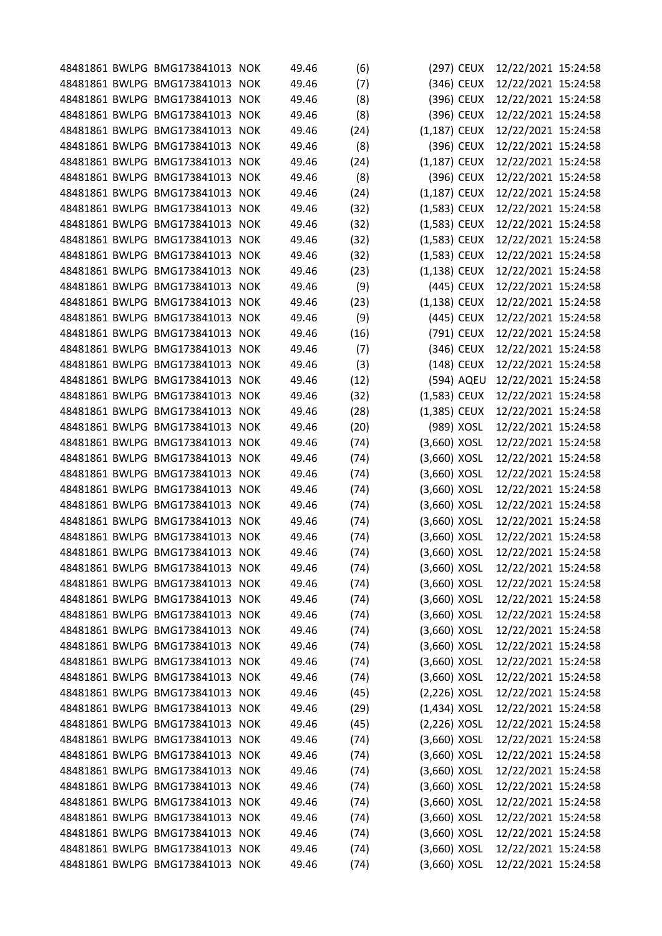|  | 48481861 BWLPG BMG173841013 NOK |            | 49.46 | (6)  |                | (297) CEUX | 12/22/2021 15:24:58 |  |
|--|---------------------------------|------------|-------|------|----------------|------------|---------------------|--|
|  | 48481861 BWLPG BMG173841013     | <b>NOK</b> | 49.46 | (7)  |                | (346) CEUX | 12/22/2021 15:24:58 |  |
|  | 48481861 BWLPG BMG173841013     | <b>NOK</b> | 49.46 | (8)  |                | (396) CEUX | 12/22/2021 15:24:58 |  |
|  | 48481861 BWLPG BMG173841013     | <b>NOK</b> | 49.46 | (8)  |                | (396) CEUX | 12/22/2021 15:24:58 |  |
|  | 48481861 BWLPG BMG173841013     | <b>NOK</b> | 49.46 | (24) | (1,187) CEUX   |            | 12/22/2021 15:24:58 |  |
|  | 48481861 BWLPG BMG173841013     | <b>NOK</b> | 49.46 | (8)  |                | (396) CEUX | 12/22/2021 15:24:58 |  |
|  | 48481861 BWLPG BMG173841013 NOK |            | 49.46 | (24) | $(1,187)$ CEUX |            | 12/22/2021 15:24:58 |  |
|  | 48481861 BWLPG BMG173841013     | <b>NOK</b> | 49.46 | (8)  |                | (396) CEUX | 12/22/2021 15:24:58 |  |
|  | 48481861 BWLPG BMG173841013     | <b>NOK</b> | 49.46 | (24) | $(1,187)$ CEUX |            | 12/22/2021 15:24:58 |  |
|  | 48481861 BWLPG BMG173841013 NOK |            | 49.46 | (32) | (1,583) CEUX   |            | 12/22/2021 15:24:58 |  |
|  | 48481861 BWLPG BMG173841013     | <b>NOK</b> | 49.46 | (32) | (1,583) CEUX   |            | 12/22/2021 15:24:58 |  |
|  | 48481861 BWLPG BMG173841013     | <b>NOK</b> | 49.46 | (32) | (1,583) CEUX   |            | 12/22/2021 15:24:58 |  |
|  | 48481861 BWLPG BMG173841013     | <b>NOK</b> | 49.46 | (32) | (1,583) CEUX   |            | 12/22/2021 15:24:58 |  |
|  | 48481861 BWLPG BMG173841013     | <b>NOK</b> | 49.46 | (23) | $(1,138)$ CEUX |            | 12/22/2021 15:24:58 |  |
|  | 48481861 BWLPG BMG173841013 NOK |            | 49.46 | (9)  |                | (445) CEUX | 12/22/2021 15:24:58 |  |
|  | 48481861 BWLPG BMG173841013     | <b>NOK</b> | 49.46 | (23) | (1,138) CEUX   |            | 12/22/2021 15:24:58 |  |
|  | 48481861 BWLPG BMG173841013     | <b>NOK</b> | 49.46 | (9)  |                | (445) CEUX | 12/22/2021 15:24:58 |  |
|  | 48481861 BWLPG BMG173841013     | <b>NOK</b> | 49.46 | (16) |                | (791) CEUX | 12/22/2021 15:24:58 |  |
|  | 48481861 BWLPG BMG173841013 NOK |            | 49.46 | (7)  |                | (346) CEUX | 12/22/2021 15:24:58 |  |
|  | 48481861 BWLPG BMG173841013     | <b>NOK</b> | 49.46 | (3)  |                | (148) CEUX | 12/22/2021 15:24:58 |  |
|  | 48481861 BWLPG BMG173841013 NOK |            | 49.46 | (12) |                | (594) AQEU | 12/22/2021 15:24:58 |  |
|  | 48481861 BWLPG BMG173841013     | <b>NOK</b> | 49.46 | (32) | (1,583) CEUX   |            | 12/22/2021 15:24:58 |  |
|  | 48481861 BWLPG BMG173841013     | <b>NOK</b> | 49.46 | (28) | (1,385) CEUX   |            | 12/22/2021 15:24:58 |  |
|  | 48481861 BWLPG BMG173841013 NOK |            | 49.46 | (20) |                | (989) XOSL | 12/22/2021 15:24:58 |  |
|  | 48481861 BWLPG BMG173841013     | <b>NOK</b> | 49.46 | (74) | (3,660) XOSL   |            | 12/22/2021 15:24:58 |  |
|  | 48481861 BWLPG BMG173841013     | <b>NOK</b> | 49.46 | (74) | (3,660) XOSL   |            | 12/22/2021 15:24:58 |  |
|  | 48481861 BWLPG BMG173841013 NOK |            | 49.46 | (74) | $(3,660)$ XOSL |            | 12/22/2021 15:24:58 |  |
|  | 48481861 BWLPG BMG173841013     | <b>NOK</b> | 49.46 | (74) | (3,660) XOSL   |            | 12/22/2021 15:24:58 |  |
|  | 48481861 BWLPG BMG173841013     | <b>NOK</b> | 49.46 | (74) | (3,660) XOSL   |            | 12/22/2021 15:24:58 |  |
|  | 48481861 BWLPG BMG173841013 NOK |            | 49.46 | (74) | (3,660) XOSL   |            | 12/22/2021 15:24:58 |  |
|  | 48481861 BWLPG BMG173841013 NOK |            | 49.46 | (74) | (3,660) XOSL   |            | 12/22/2021 15:24:58 |  |
|  | 48481861 BWLPG BMG173841013 NOK |            | 49.46 | (74) | (3,660) XOSL   |            | 12/22/2021 15:24:58 |  |
|  | 48481861 BWLPG BMG173841013 NOK |            | 49.46 | (74) | $(3,660)$ XOSL |            | 12/22/2021 15:24:58 |  |
|  | 48481861 BWLPG BMG173841013 NOK |            | 49.46 | (74) | $(3,660)$ XOSL |            | 12/22/2021 15:24:58 |  |
|  | 48481861 BWLPG BMG173841013 NOK |            | 49.46 | (74) | $(3,660)$ XOSL |            | 12/22/2021 15:24:58 |  |
|  | 48481861 BWLPG BMG173841013 NOK |            | 49.46 | (74) | $(3,660)$ XOSL |            | 12/22/2021 15:24:58 |  |
|  | 48481861 BWLPG BMG173841013 NOK |            | 49.46 | (74) | $(3,660)$ XOSL |            | 12/22/2021 15:24:58 |  |
|  | 48481861 BWLPG BMG173841013 NOK |            | 49.46 | (74) | $(3,660)$ XOSL |            | 12/22/2021 15:24:58 |  |
|  | 48481861 BWLPG BMG173841013 NOK |            | 49.46 | (74) | $(3,660)$ XOSL |            | 12/22/2021 15:24:58 |  |
|  | 48481861 BWLPG BMG173841013 NOK |            | 49.46 | (74) | $(3,660)$ XOSL |            | 12/22/2021 15:24:58 |  |
|  | 48481861 BWLPG BMG173841013 NOK |            | 49.46 | (45) | $(2,226)$ XOSL |            | 12/22/2021 15:24:58 |  |
|  | 48481861 BWLPG BMG173841013 NOK |            | 49.46 | (29) | $(1,434)$ XOSL |            | 12/22/2021 15:24:58 |  |
|  | 48481861 BWLPG BMG173841013 NOK |            | 49.46 | (45) | (2,226) XOSL   |            | 12/22/2021 15:24:58 |  |
|  | 48481861 BWLPG BMG173841013 NOK |            | 49.46 | (74) | $(3,660)$ XOSL |            | 12/22/2021 15:24:58 |  |
|  | 48481861 BWLPG BMG173841013 NOK |            | 49.46 | (74) | $(3,660)$ XOSL |            | 12/22/2021 15:24:58 |  |
|  | 48481861 BWLPG BMG173841013 NOK |            | 49.46 | (74) | $(3,660)$ XOSL |            | 12/22/2021 15:24:58 |  |
|  | 48481861 BWLPG BMG173841013 NOK |            | 49.46 | (74) | $(3,660)$ XOSL |            | 12/22/2021 15:24:58 |  |
|  | 48481861 BWLPG BMG173841013 NOK |            | 49.46 | (74) | (3,660) XOSL   |            | 12/22/2021 15:24:58 |  |
|  | 48481861 BWLPG BMG173841013 NOK |            | 49.46 | (74) | $(3,660)$ XOSL |            | 12/22/2021 15:24:58 |  |
|  | 48481861 BWLPG BMG173841013 NOK |            | 49.46 | (74) | $(3,660)$ XOSL |            | 12/22/2021 15:24:58 |  |
|  | 48481861 BWLPG BMG173841013 NOK |            | 49.46 | (74) | $(3,660)$ XOSL |            | 12/22/2021 15:24:58 |  |
|  | 48481861 BWLPG BMG173841013 NOK |            | 49.46 | (74) | $(3,660)$ XOSL |            | 12/22/2021 15:24:58 |  |
|  |                                 |            |       |      |                |            |                     |  |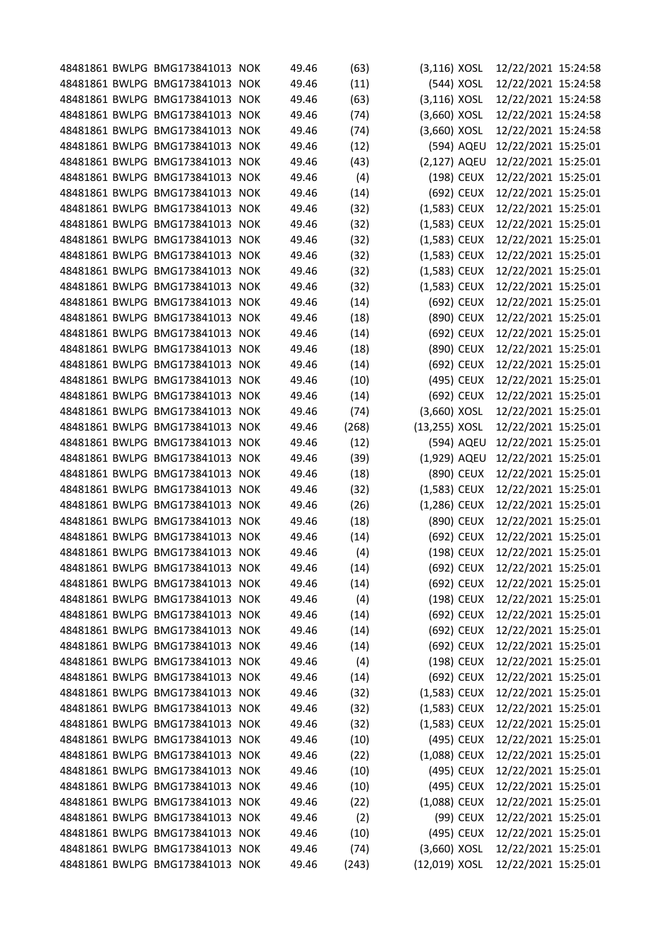|  | 48481861 BWLPG BMG173841013 NOK | 49.46 | (63)  | $(3, 116)$ XOSL  |            | 12/22/2021 15:24:58 |  |
|--|---------------------------------|-------|-------|------------------|------------|---------------------|--|
|  | 48481861 BWLPG BMG173841013 NOK | 49.46 | (11)  |                  | (544) XOSL | 12/22/2021 15:24:58 |  |
|  | 48481861 BWLPG BMG173841013 NOK | 49.46 | (63)  | $(3, 116)$ XOSL  |            | 12/22/2021 15:24:58 |  |
|  | 48481861 BWLPG BMG173841013 NOK | 49.46 | (74)  | $(3,660)$ XOSL   |            | 12/22/2021 15:24:58 |  |
|  | 48481861 BWLPG BMG173841013 NOK | 49.46 | (74)  | $(3,660)$ XOSL   |            | 12/22/2021 15:24:58 |  |
|  | 48481861 BWLPG BMG173841013 NOK | 49.46 | (12)  |                  | (594) AQEU | 12/22/2021 15:25:01 |  |
|  | 48481861 BWLPG BMG173841013 NOK | 49.46 | (43)  | (2,127) AQEU     |            | 12/22/2021 15:25:01 |  |
|  | 48481861 BWLPG BMG173841013 NOK | 49.46 | (4)   |                  | (198) CEUX | 12/22/2021 15:25:01 |  |
|  | 48481861 BWLPG BMG173841013 NOK | 49.46 | (14)  |                  | (692) CEUX | 12/22/2021 15:25:01 |  |
|  | 48481861 BWLPG BMG173841013 NOK | 49.46 | (32)  | (1,583) CEUX     |            | 12/22/2021 15:25:01 |  |
|  | 48481861 BWLPG BMG173841013 NOK | 49.46 | (32)  | (1,583) CEUX     |            | 12/22/2021 15:25:01 |  |
|  | 48481861 BWLPG BMG173841013 NOK | 49.46 | (32)  | (1,583) CEUX     |            | 12/22/2021 15:25:01 |  |
|  | 48481861 BWLPG BMG173841013 NOK | 49.46 | (32)  | (1,583) CEUX     |            | 12/22/2021 15:25:01 |  |
|  | 48481861 BWLPG BMG173841013 NOK | 49.46 | (32)  | (1,583) CEUX     |            | 12/22/2021 15:25:01 |  |
|  | 48481861 BWLPG BMG173841013 NOK | 49.46 | (32)  | (1,583) CEUX     |            | 12/22/2021 15:25:01 |  |
|  | 48481861 BWLPG BMG173841013 NOK | 49.46 | (14)  |                  | (692) CEUX | 12/22/2021 15:25:01 |  |
|  | 48481861 BWLPG BMG173841013 NOK | 49.46 | (18)  |                  | (890) CEUX | 12/22/2021 15:25:01 |  |
|  | 48481861 BWLPG BMG173841013 NOK | 49.46 | (14)  |                  | (692) CEUX | 12/22/2021 15:25:01 |  |
|  | 48481861 BWLPG BMG173841013 NOK | 49.46 | (18)  |                  | (890) CEUX | 12/22/2021 15:25:01 |  |
|  | 48481861 BWLPG BMG173841013 NOK | 49.46 | (14)  |                  | (692) CEUX | 12/22/2021 15:25:01 |  |
|  | 48481861 BWLPG BMG173841013 NOK | 49.46 | (10)  |                  | (495) CEUX | 12/22/2021 15:25:01 |  |
|  | 48481861 BWLPG BMG173841013 NOK | 49.46 | (14)  |                  | (692) CEUX | 12/22/2021 15:25:01 |  |
|  | 48481861 BWLPG BMG173841013 NOK | 49.46 | (74)  | $(3,660)$ XOSL   |            | 12/22/2021 15:25:01 |  |
|  | 48481861 BWLPG BMG173841013 NOK | 49.46 | (268) | $(13, 255)$ XOSL |            | 12/22/2021 15:25:01 |  |
|  | 48481861 BWLPG BMG173841013 NOK | 49.46 | (12)  |                  | (594) AQEU | 12/22/2021 15:25:01 |  |
|  | 48481861 BWLPG BMG173841013 NOK | 49.46 | (39)  | (1,929) AQEU     |            | 12/22/2021 15:25:01 |  |
|  | 48481861 BWLPG BMG173841013 NOK | 49.46 | (18)  |                  | (890) CEUX | 12/22/2021 15:25:01 |  |
|  | 48481861 BWLPG BMG173841013 NOK | 49.46 | (32)  | (1,583) CEUX     |            | 12/22/2021 15:25:01 |  |
|  | 48481861 BWLPG BMG173841013 NOK | 49.46 | (26)  | (1,286) CEUX     |            | 12/22/2021 15:25:01 |  |
|  | 48481861 BWLPG BMG173841013 NOK | 49.46 | (18)  |                  | (890) CEUX | 12/22/2021 15:25:01 |  |
|  | 48481861 BWLPG BMG173841013 NOK | 49.46 | (14)  |                  | (692) CEUX | 12/22/2021 15:25:01 |  |
|  | 48481861 BWLPG BMG173841013 NOK | 49.46 | (4)   |                  | (198) CEUX | 12/22/2021 15:25:01 |  |
|  | 48481861 BWLPG BMG173841013 NOK | 49.46 | (14)  |                  | (692) CEUX | 12/22/2021 15:25:01 |  |
|  | 48481861 BWLPG BMG173841013 NOK | 49.46 | (14)  |                  | (692) CEUX | 12/22/2021 15:25:01 |  |
|  | 48481861 BWLPG BMG173841013 NOK | 49.46 | (4)   |                  | (198) CEUX | 12/22/2021 15:25:01 |  |
|  | 48481861 BWLPG BMG173841013 NOK | 49.46 | (14)  |                  | (692) CEUX | 12/22/2021 15:25:01 |  |
|  | 48481861 BWLPG BMG173841013 NOK | 49.46 | (14)  |                  | (692) CEUX | 12/22/2021 15:25:01 |  |
|  | 48481861 BWLPG BMG173841013 NOK | 49.46 | (14)  |                  | (692) CEUX | 12/22/2021 15:25:01 |  |
|  | 48481861 BWLPG BMG173841013 NOK | 49.46 | (4)   |                  | (198) CEUX | 12/22/2021 15:25:01 |  |
|  | 48481861 BWLPG BMG173841013 NOK | 49.46 | (14)  |                  | (692) CEUX | 12/22/2021 15:25:01 |  |
|  | 48481861 BWLPG BMG173841013 NOK | 49.46 |       | $(1,583)$ CEUX   |            | 12/22/2021 15:25:01 |  |
|  | 48481861 BWLPG BMG173841013 NOK | 49.46 | (32)  |                  |            |                     |  |
|  | 48481861 BWLPG BMG173841013 NOK | 49.46 | (32)  | (1,583) CEUX     |            | 12/22/2021 15:25:01 |  |
|  |                                 |       | (32)  | (1,583) CEUX     |            | 12/22/2021 15:25:01 |  |
|  | 48481861 BWLPG BMG173841013 NOK | 49.46 | (10)  |                  | (495) CEUX | 12/22/2021 15:25:01 |  |
|  | 48481861 BWLPG BMG173841013 NOK | 49.46 | (22)  | (1,088) CEUX     |            | 12/22/2021 15:25:01 |  |
|  | 48481861 BWLPG BMG173841013 NOK | 49.46 | (10)  |                  | (495) CEUX | 12/22/2021 15:25:01 |  |
|  | 48481861 BWLPG BMG173841013 NOK | 49.46 | (10)  |                  | (495) CEUX | 12/22/2021 15:25:01 |  |
|  | 48481861 BWLPG BMG173841013 NOK | 49.46 | (22)  | (1,088) CEUX     |            | 12/22/2021 15:25:01 |  |
|  | 48481861 BWLPG BMG173841013 NOK | 49.46 | (2)   |                  | (99) CEUX  | 12/22/2021 15:25:01 |  |
|  | 48481861 BWLPG BMG173841013 NOK | 49.46 | (10)  |                  | (495) CEUX | 12/22/2021 15:25:01 |  |
|  | 48481861 BWLPG BMG173841013 NOK | 49.46 | (74)  | $(3,660)$ XOSL   |            | 12/22/2021 15:25:01 |  |
|  | 48481861 BWLPG BMG173841013 NOK | 49.46 | (243) | (12,019) XOSL    |            | 12/22/2021 15:25:01 |  |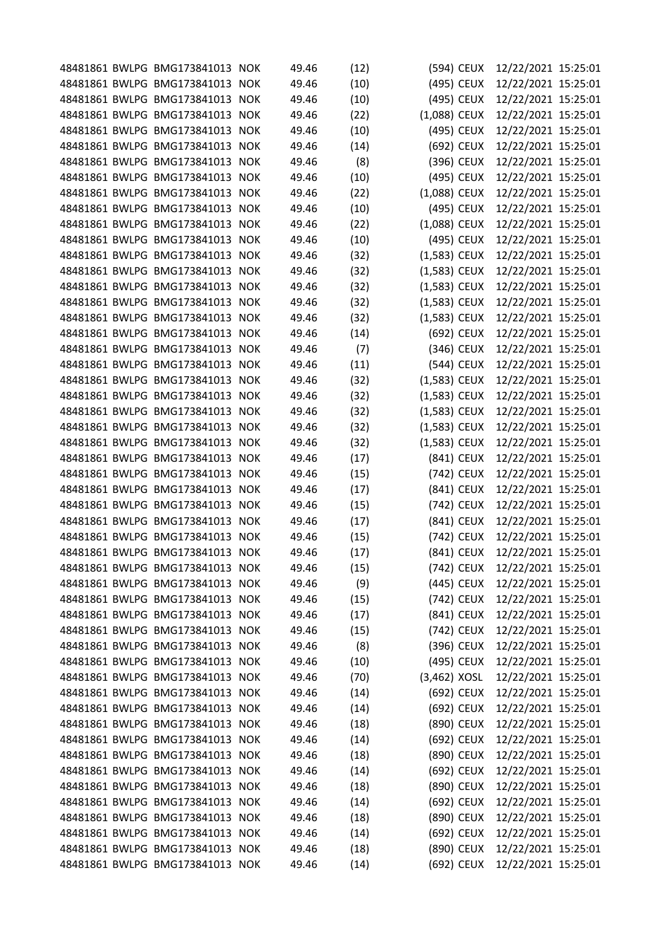|  | 48481861 BWLPG BMG173841013 NOK | 49.46 | (12) |                | (594) CEUX | 12/22/2021 15:25:01 |  |
|--|---------------------------------|-------|------|----------------|------------|---------------------|--|
|  | 48481861 BWLPG BMG173841013 NOK | 49.46 | (10) |                | (495) CEUX | 12/22/2021 15:25:01 |  |
|  | 48481861 BWLPG BMG173841013 NOK | 49.46 | (10) |                | (495) CEUX | 12/22/2021 15:25:01 |  |
|  | 48481861 BWLPG BMG173841013 NOK | 49.46 | (22) | $(1,088)$ CEUX |            | 12/22/2021 15:25:01 |  |
|  | 48481861 BWLPG BMG173841013 NOK | 49.46 | (10) |                | (495) CEUX | 12/22/2021 15:25:01 |  |
|  | 48481861 BWLPG BMG173841013 NOK | 49.46 | (14) |                | (692) CEUX | 12/22/2021 15:25:01 |  |
|  | 48481861 BWLPG BMG173841013 NOK | 49.46 | (8)  |                | (396) CEUX | 12/22/2021 15:25:01 |  |
|  | 48481861 BWLPG BMG173841013 NOK | 49.46 | (10) |                | (495) CEUX | 12/22/2021 15:25:01 |  |
|  | 48481861 BWLPG BMG173841013 NOK | 49.46 | (22) | (1,088) CEUX   |            | 12/22/2021 15:25:01 |  |
|  | 48481861 BWLPG BMG173841013 NOK | 49.46 | (10) |                | (495) CEUX | 12/22/2021 15:25:01 |  |
|  | 48481861 BWLPG BMG173841013 NOK | 49.46 | (22) | (1,088) CEUX   |            | 12/22/2021 15:25:01 |  |
|  | 48481861 BWLPG BMG173841013 NOK | 49.46 | (10) |                | (495) CEUX | 12/22/2021 15:25:01 |  |
|  | 48481861 BWLPG BMG173841013 NOK | 49.46 | (32) | $(1,583)$ CEUX |            | 12/22/2021 15:25:01 |  |
|  | 48481861 BWLPG BMG173841013 NOK | 49.46 | (32) | $(1,583)$ CEUX |            | 12/22/2021 15:25:01 |  |
|  | 48481861 BWLPG BMG173841013 NOK | 49.46 | (32) | $(1,583)$ CEUX |            | 12/22/2021 15:25:01 |  |
|  | 48481861 BWLPG BMG173841013 NOK | 49.46 | (32) | (1,583) CEUX   |            | 12/22/2021 15:25:01 |  |
|  | 48481861 BWLPG BMG173841013 NOK | 49.46 | (32) | (1,583) CEUX   |            | 12/22/2021 15:25:01 |  |
|  | 48481861 BWLPG BMG173841013 NOK | 49.46 | (14) |                | (692) CEUX | 12/22/2021 15:25:01 |  |
|  | 48481861 BWLPG BMG173841013 NOK | 49.46 | (7)  |                | (346) CEUX | 12/22/2021 15:25:01 |  |
|  | 48481861 BWLPG BMG173841013 NOK | 49.46 | (11) |                | (544) CEUX | 12/22/2021 15:25:01 |  |
|  | 48481861 BWLPG BMG173841013 NOK | 49.46 | (32) | $(1,583)$ CEUX |            | 12/22/2021 15:25:01 |  |
|  | 48481861 BWLPG BMG173841013 NOK | 49.46 | (32) | (1,583) CEUX   |            | 12/22/2021 15:25:01 |  |
|  | 48481861 BWLPG BMG173841013 NOK | 49.46 | (32) | (1,583) CEUX   |            | 12/22/2021 15:25:01 |  |
|  | 48481861 BWLPG BMG173841013 NOK | 49.46 | (32) | $(1,583)$ CEUX |            | 12/22/2021 15:25:01 |  |
|  | 48481861 BWLPG BMG173841013 NOK | 49.46 | (32) | $(1,583)$ CEUX |            | 12/22/2021 15:25:01 |  |
|  | 48481861 BWLPG BMG173841013 NOK | 49.46 | (17) |                | (841) CEUX | 12/22/2021 15:25:01 |  |
|  | 48481861 BWLPG BMG173841013 NOK | 49.46 | (15) |                | (742) CEUX | 12/22/2021 15:25:01 |  |
|  | 48481861 BWLPG BMG173841013 NOK | 49.46 | (17) |                | (841) CEUX | 12/22/2021 15:25:01 |  |
|  | 48481861 BWLPG BMG173841013 NOK | 49.46 | (15) |                | (742) CEUX | 12/22/2021 15:25:01 |  |
|  | 48481861 BWLPG BMG173841013 NOK | 49.46 | (17) |                | (841) CEUX | 12/22/2021 15:25:01 |  |
|  | 48481861 BWLPG BMG173841013 NOK | 49.46 | (15) |                | (742) CEUX | 12/22/2021 15:25:01 |  |
|  | 48481861 BWLPG BMG173841013 NOK | 49.46 | (17) |                | (841) CEUX | 12/22/2021 15:25:01 |  |
|  | 48481861 BWLPG BMG173841013 NOK | 49.46 | (15) |                | (742) CEUX | 12/22/2021 15:25:01 |  |
|  | 48481861 BWLPG BMG173841013 NOK | 49.46 | (9)  |                | (445) CEUX | 12/22/2021 15:25:01 |  |
|  | 48481861 BWLPG BMG173841013 NOK | 49.46 | (15) |                | (742) CEUX | 12/22/2021 15:25:01 |  |
|  | 48481861 BWLPG BMG173841013 NOK | 49.46 | (17) |                | (841) CEUX | 12/22/2021 15:25:01 |  |
|  | 48481861 BWLPG BMG173841013 NOK | 49.46 | (15) |                | (742) CEUX | 12/22/2021 15:25:01 |  |
|  | 48481861 BWLPG BMG173841013 NOK | 49.46 | (8)  |                | (396) CEUX | 12/22/2021 15:25:01 |  |
|  | 48481861 BWLPG BMG173841013 NOK | 49.46 | (10) |                | (495) CEUX | 12/22/2021 15:25:01 |  |
|  | 48481861 BWLPG BMG173841013 NOK | 49.46 | (70) | $(3,462)$ XOSL |            | 12/22/2021 15:25:01 |  |
|  | 48481861 BWLPG BMG173841013 NOK | 49.46 | (14) |                | (692) CEUX | 12/22/2021 15:25:01 |  |
|  | 48481861 BWLPG BMG173841013 NOK | 49.46 | (14) |                | (692) CEUX | 12/22/2021 15:25:01 |  |
|  | 48481861 BWLPG BMG173841013 NOK | 49.46 |      |                |            | 12/22/2021 15:25:01 |  |
|  |                                 |       | (18) |                | (890) CEUX |                     |  |
|  | 48481861 BWLPG BMG173841013 NOK | 49.46 | (14) |                | (692) CEUX | 12/22/2021 15:25:01 |  |
|  | 48481861 BWLPG BMG173841013 NOK | 49.46 | (18) |                | (890) CEUX | 12/22/2021 15:25:01 |  |
|  | 48481861 BWLPG BMG173841013 NOK | 49.46 | (14) |                | (692) CEUX | 12/22/2021 15:25:01 |  |
|  | 48481861 BWLPG BMG173841013 NOK | 49.46 | (18) |                | (890) CEUX | 12/22/2021 15:25:01 |  |
|  | 48481861 BWLPG BMG173841013 NOK | 49.46 | (14) |                | (692) CEUX | 12/22/2021 15:25:01 |  |
|  | 48481861 BWLPG BMG173841013 NOK | 49.46 | (18) |                | (890) CEUX | 12/22/2021 15:25:01 |  |
|  | 48481861 BWLPG BMG173841013 NOK | 49.46 | (14) |                | (692) CEUX | 12/22/2021 15:25:01 |  |
|  | 48481861 BWLPG BMG173841013 NOK | 49.46 | (18) |                | (890) CEUX | 12/22/2021 15:25:01 |  |
|  | 48481861 BWLPG BMG173841013 NOK | 49.46 | (14) |                | (692) CEUX | 12/22/2021 15:25:01 |  |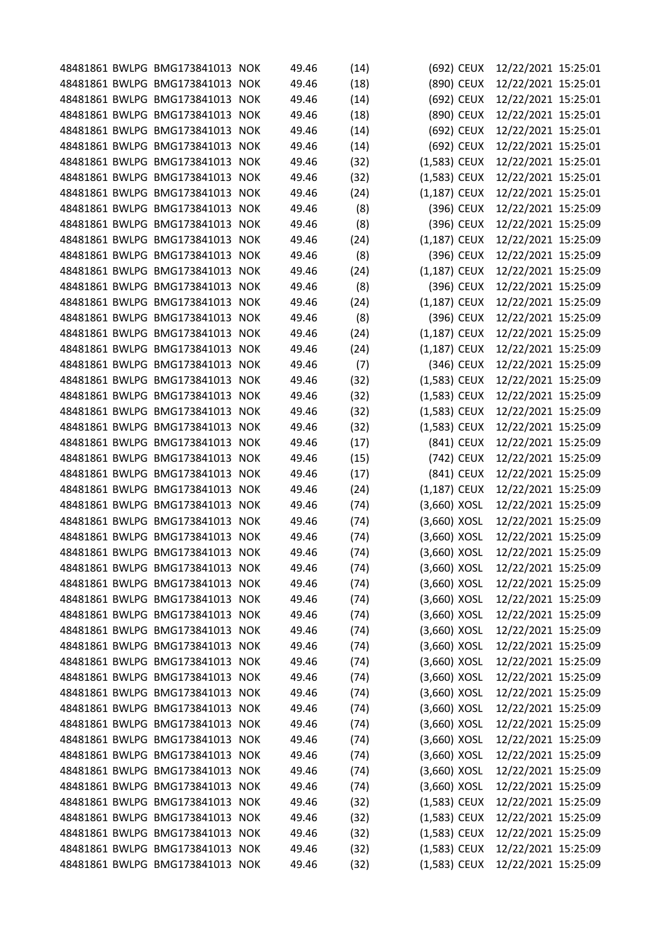|  | 48481861 BWLPG BMG173841013 NOK |            | 49.46 | (14) |                | (692) CEUX | 12/22/2021 15:25:01 |  |
|--|---------------------------------|------------|-------|------|----------------|------------|---------------------|--|
|  | 48481861 BWLPG BMG173841013     | <b>NOK</b> | 49.46 | (18) |                | (890) CEUX | 12/22/2021 15:25:01 |  |
|  | 48481861 BWLPG BMG173841013     | <b>NOK</b> | 49.46 | (14) |                | (692) CEUX | 12/22/2021 15:25:01 |  |
|  | 48481861 BWLPG BMG173841013     | <b>NOK</b> | 49.46 | (18) |                | (890) CEUX | 12/22/2021 15:25:01 |  |
|  | 48481861 BWLPG BMG173841013     | <b>NOK</b> | 49.46 | (14) |                | (692) CEUX | 12/22/2021 15:25:01 |  |
|  | 48481861 BWLPG BMG173841013     | <b>NOK</b> | 49.46 | (14) |                | (692) CEUX | 12/22/2021 15:25:01 |  |
|  | 48481861 BWLPG BMG173841013 NOK |            | 49.46 | (32) | (1,583) CEUX   |            | 12/22/2021 15:25:01 |  |
|  | 48481861 BWLPG BMG173841013     | <b>NOK</b> | 49.46 | (32) | (1,583) CEUX   |            | 12/22/2021 15:25:01 |  |
|  | 48481861 BWLPG BMG173841013     | <b>NOK</b> | 49.46 | (24) | $(1,187)$ CEUX |            | 12/22/2021 15:25:01 |  |
|  | 48481861 BWLPG BMG173841013 NOK |            | 49.46 | (8)  |                | (396) CEUX | 12/22/2021 15:25:09 |  |
|  | 48481861 BWLPG BMG173841013     | <b>NOK</b> | 49.46 | (8)  |                | (396) CEUX | 12/22/2021 15:25:09 |  |
|  | 48481861 BWLPG BMG173841013     | <b>NOK</b> | 49.46 | (24) | $(1,187)$ CEUX |            | 12/22/2021 15:25:09 |  |
|  | 48481861 BWLPG BMG173841013     | <b>NOK</b> | 49.46 | (8)  |                | (396) CEUX | 12/22/2021 15:25:09 |  |
|  | 48481861 BWLPG BMG173841013     | <b>NOK</b> | 49.46 | (24) | $(1,187)$ CEUX |            | 12/22/2021 15:25:09 |  |
|  | 48481861 BWLPG BMG173841013 NOK |            | 49.46 | (8)  |                | (396) CEUX | 12/22/2021 15:25:09 |  |
|  | 48481861 BWLPG BMG173841013     | <b>NOK</b> | 49.46 | (24) | (1,187) CEUX   |            | 12/22/2021 15:25:09 |  |
|  | 48481861 BWLPG BMG173841013     | <b>NOK</b> | 49.46 | (8)  |                | (396) CEUX | 12/22/2021 15:25:09 |  |
|  | 48481861 BWLPG BMG173841013     | <b>NOK</b> | 49.46 | (24) | $(1,187)$ CEUX |            | 12/22/2021 15:25:09 |  |
|  | 48481861 BWLPG BMG173841013     | <b>NOK</b> | 49.46 | (24) | (1,187) CEUX   |            | 12/22/2021 15:25:09 |  |
|  | 48481861 BWLPG BMG173841013     | <b>NOK</b> | 49.46 | (7)  |                | (346) CEUX | 12/22/2021 15:25:09 |  |
|  | 48481861 BWLPG BMG173841013 NOK |            | 49.46 | (32) | (1,583) CEUX   |            | 12/22/2021 15:25:09 |  |
|  | 48481861 BWLPG BMG173841013     | <b>NOK</b> | 49.46 | (32) | (1,583) CEUX   |            | 12/22/2021 15:25:09 |  |
|  | 48481861 BWLPG BMG173841013     | <b>NOK</b> | 49.46 | (32) | (1,583) CEUX   |            | 12/22/2021 15:25:09 |  |
|  | 48481861 BWLPG BMG173841013 NOK |            | 49.46 | (32) | (1,583) CEUX   |            | 12/22/2021 15:25:09 |  |
|  | 48481861 BWLPG BMG173841013     | <b>NOK</b> | 49.46 | (17) |                | (841) CEUX | 12/22/2021 15:25:09 |  |
|  | 48481861 BWLPG BMG173841013     | <b>NOK</b> | 49.46 | (15) |                | (742) CEUX | 12/22/2021 15:25:09 |  |
|  | 48481861 BWLPG BMG173841013 NOK |            | 49.46 | (17) |                | (841) CEUX | 12/22/2021 15:25:09 |  |
|  | 48481861 BWLPG BMG173841013     | <b>NOK</b> | 49.46 | (24) | (1,187) CEUX   |            | 12/22/2021 15:25:09 |  |
|  | 48481861 BWLPG BMG173841013     | <b>NOK</b> | 49.46 | (74) | $(3,660)$ XOSL |            | 12/22/2021 15:25:09 |  |
|  | 48481861 BWLPG BMG173841013 NOK |            | 49.46 | (74) | $(3,660)$ XOSL |            | 12/22/2021 15:25:09 |  |
|  | 48481861 BWLPG BMG173841013 NOK |            | 49.46 | (74) | (3,660) XOSL   |            | 12/22/2021 15:25:09 |  |
|  | 48481861 BWLPG BMG173841013 NOK |            | 49.46 | (74) | (3,660) XOSL   |            | 12/22/2021 15:25:09 |  |
|  | 48481861 BWLPG BMG173841013 NOK |            | 49.46 | (74) | $(3,660)$ XOSL |            | 12/22/2021 15:25:09 |  |
|  | 48481861 BWLPG BMG173841013 NOK |            | 49.46 | (74) | $(3,660)$ XOSL |            | 12/22/2021 15:25:09 |  |
|  | 48481861 BWLPG BMG173841013 NOK |            | 49.46 | (74) | $(3,660)$ XOSL |            | 12/22/2021 15:25:09 |  |
|  | 48481861 BWLPG BMG173841013 NOK |            | 49.46 | (74) | $(3,660)$ XOSL |            | 12/22/2021 15:25:09 |  |
|  | 48481861 BWLPG BMG173841013 NOK |            | 49.46 | (74) | (3,660) XOSL   |            | 12/22/2021 15:25:09 |  |
|  | 48481861 BWLPG BMG173841013 NOK |            | 49.46 | (74) | $(3,660)$ XOSL |            | 12/22/2021 15:25:09 |  |
|  | 48481861 BWLPG BMG173841013 NOK |            | 49.46 | (74) | $(3,660)$ XOSL |            | 12/22/2021 15:25:09 |  |
|  | 48481861 BWLPG BMG173841013 NOK |            | 49.46 | (74) | $(3,660)$ XOSL |            | 12/22/2021 15:25:09 |  |
|  | 48481861 BWLPG BMG173841013 NOK |            | 49.46 |      |                |            | 12/22/2021 15:25:09 |  |
|  |                                 |            |       | (74) | $(3,660)$ XOSL |            |                     |  |
|  | 48481861 BWLPG BMG173841013 NOK |            | 49.46 | (74) | $(3,660)$ XOSL |            | 12/22/2021 15:25:09 |  |
|  | 48481861 BWLPG BMG173841013 NOK |            | 49.46 | (74) | (3,660) XOSL   |            | 12/22/2021 15:25:09 |  |
|  | 48481861 BWLPG BMG173841013 NOK |            | 49.46 | (74) | $(3,660)$ XOSL |            | 12/22/2021 15:25:09 |  |
|  | 48481861 BWLPG BMG173841013 NOK |            | 49.46 | (74) | $(3,660)$ XOSL |            | 12/22/2021 15:25:09 |  |
|  | 48481861 BWLPG BMG173841013 NOK |            | 49.46 | (74) | $(3,660)$ XOSL |            | 12/22/2021 15:25:09 |  |
|  | 48481861 BWLPG BMG173841013 NOK |            | 49.46 | (74) | $(3,660)$ XOSL |            | 12/22/2021 15:25:09 |  |
|  | 48481861 BWLPG BMG173841013 NOK |            | 49.46 | (32) | (1,583) CEUX   |            | 12/22/2021 15:25:09 |  |
|  | 48481861 BWLPG BMG173841013 NOK |            | 49.46 | (32) | (1,583) CEUX   |            | 12/22/2021 15:25:09 |  |
|  | 48481861 BWLPG BMG173841013 NOK |            | 49.46 | (32) | $(1,583)$ CEUX |            | 12/22/2021 15:25:09 |  |
|  | 48481861 BWLPG BMG173841013 NOK |            | 49.46 | (32) | (1,583) CEUX   |            | 12/22/2021 15:25:09 |  |
|  | 48481861 BWLPG BMG173841013 NOK |            | 49.46 | (32) | (1,583) CEUX   |            | 12/22/2021 15:25:09 |  |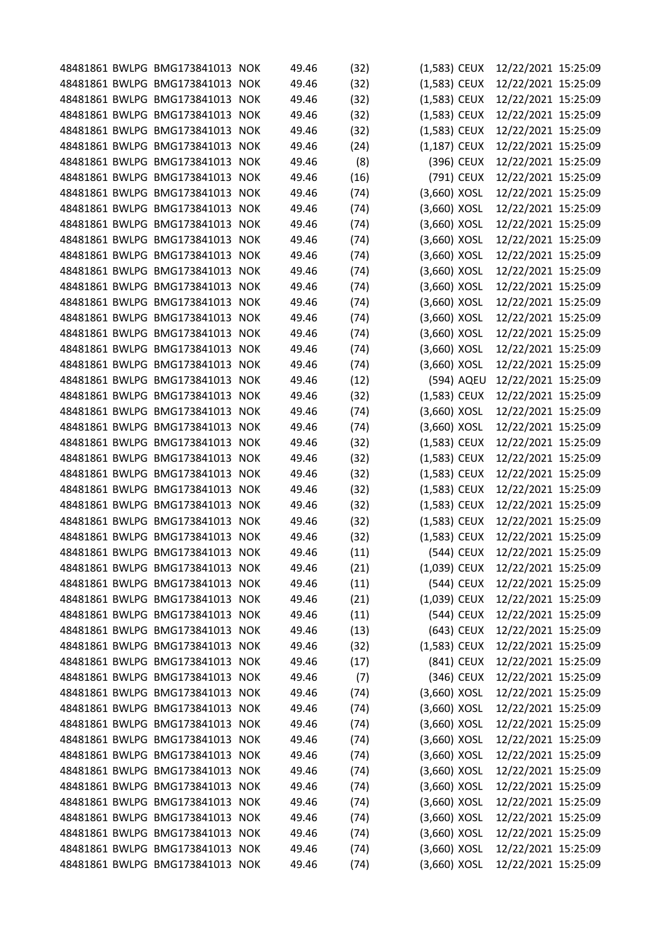|  | 48481861 BWLPG BMG173841013 NOK |            | 49.46 | (32) | $(1,583)$ CEUX |            | 12/22/2021 15:25:09 |  |
|--|---------------------------------|------------|-------|------|----------------|------------|---------------------|--|
|  | 48481861 BWLPG BMG173841013     | <b>NOK</b> | 49.46 | (32) | (1,583) CEUX   |            | 12/22/2021 15:25:09 |  |
|  | 48481861 BWLPG BMG173841013 NOK |            | 49.46 | (32) | (1,583) CEUX   |            | 12/22/2021 15:25:09 |  |
|  | 48481861 BWLPG BMG173841013     | <b>NOK</b> | 49.46 | (32) | (1,583) CEUX   |            | 12/22/2021 15:25:09 |  |
|  | 48481861 BWLPG BMG173841013     | <b>NOK</b> | 49.46 | (32) | (1,583) CEUX   |            | 12/22/2021 15:25:09 |  |
|  | 48481861 BWLPG BMG173841013     | <b>NOK</b> | 49.46 | (24) | $(1,187)$ CEUX |            | 12/22/2021 15:25:09 |  |
|  | 48481861 BWLPG BMG173841013     | <b>NOK</b> | 49.46 | (8)  |                | (396) CEUX | 12/22/2021 15:25:09 |  |
|  | 48481861 BWLPG BMG173841013     | <b>NOK</b> | 49.46 | (16) |                | (791) CEUX | 12/22/2021 15:25:09 |  |
|  | 48481861 BWLPG BMG173841013     | <b>NOK</b> | 49.46 | (74) | $(3,660)$ XOSL |            | 12/22/2021 15:25:09 |  |
|  | 48481861 BWLPG BMG173841013     | <b>NOK</b> | 49.46 | (74) | (3,660) XOSL   |            | 12/22/2021 15:25:09 |  |
|  | 48481861 BWLPG BMG173841013     | <b>NOK</b> | 49.46 | (74) | (3,660) XOSL   |            | 12/22/2021 15:25:09 |  |
|  | 48481861 BWLPG BMG173841013 NOK |            | 49.46 | (74) | $(3,660)$ XOSL |            | 12/22/2021 15:25:09 |  |
|  | 48481861 BWLPG BMG173841013     | <b>NOK</b> | 49.46 | (74) | (3,660) XOSL   |            | 12/22/2021 15:25:09 |  |
|  | 48481861 BWLPG BMG173841013     | <b>NOK</b> | 49.46 | (74) | (3,660) XOSL   |            | 12/22/2021 15:25:09 |  |
|  | 48481861 BWLPG BMG173841013 NOK |            | 49.46 | (74) | $(3,660)$ XOSL |            | 12/22/2021 15:25:09 |  |
|  | 48481861 BWLPG BMG173841013     | <b>NOK</b> | 49.46 | (74) | (3,660) XOSL   |            | 12/22/2021 15:25:09 |  |
|  | 48481861 BWLPG BMG173841013     | <b>NOK</b> | 49.46 | (74) | (3,660) XOSL   |            | 12/22/2021 15:25:09 |  |
|  | 48481861 BWLPG BMG173841013 NOK |            | 49.46 | (74) | $(3,660)$ XOSL |            | 12/22/2021 15:25:09 |  |
|  | 48481861 BWLPG BMG173841013     | <b>NOK</b> | 49.46 | (74) | (3,660) XOSL   |            | 12/22/2021 15:25:09 |  |
|  | 48481861 BWLPG BMG173841013     | <b>NOK</b> | 49.46 | (74) | $(3,660)$ XOSL |            | 12/22/2021 15:25:09 |  |
|  | 48481861 BWLPG BMG173841013 NOK |            | 49.46 | (12) |                | (594) AQEU | 12/22/2021 15:25:09 |  |
|  | 48481861 BWLPG BMG173841013     | <b>NOK</b> | 49.46 | (32) | (1,583) CEUX   |            | 12/22/2021 15:25:09 |  |
|  | 48481861 BWLPG BMG173841013     | <b>NOK</b> | 49.46 | (74) | $(3,660)$ XOSL |            | 12/22/2021 15:25:09 |  |
|  | 48481861 BWLPG BMG173841013 NOK |            | 49.46 | (74) | (3,660) XOSL   |            | 12/22/2021 15:25:09 |  |
|  | 48481861 BWLPG BMG173841013     | <b>NOK</b> | 49.46 | (32) | (1,583) CEUX   |            | 12/22/2021 15:25:09 |  |
|  | 48481861 BWLPG BMG173841013     | <b>NOK</b> | 49.46 | (32) | (1,583) CEUX   |            | 12/22/2021 15:25:09 |  |
|  | 48481861 BWLPG BMG173841013 NOK |            | 49.46 | (32) | (1,583) CEUX   |            | 12/22/2021 15:25:09 |  |
|  | 48481861 BWLPG BMG173841013     | <b>NOK</b> | 49.46 | (32) | (1,583) CEUX   |            | 12/22/2021 15:25:09 |  |
|  | 48481861 BWLPG BMG173841013     | <b>NOK</b> | 49.46 | (32) | $(1,583)$ CEUX |            | 12/22/2021 15:25:09 |  |
|  | 48481861 BWLPG BMG173841013 NOK |            | 49.46 | (32) | (1,583) CEUX   |            | 12/22/2021 15:25:09 |  |
|  | 48481861 BWLPG BMG173841013     | <b>NOK</b> | 49.46 | (32) | (1,583) CEUX   |            | 12/22/2021 15:25:09 |  |
|  | 48481861 BWLPG BMG173841013 NOK |            | 49.46 | (11) |                | (544) CEUX | 12/22/2021 15:25:09 |  |
|  | 48481861 BWLPG BMG173841013 NOK |            | 49.46 | (21) | (1,039) CEUX   |            | 12/22/2021 15:25:09 |  |
|  | 48481861 BWLPG BMG173841013 NOK |            | 49.46 | (11) |                | (544) CEUX | 12/22/2021 15:25:09 |  |
|  | 48481861 BWLPG BMG173841013 NOK |            | 49.46 | (21) | (1,039) CEUX   |            | 12/22/2021 15:25:09 |  |
|  | 48481861 BWLPG BMG173841013 NOK |            | 49.46 | (11) |                | (544) CEUX | 12/22/2021 15:25:09 |  |
|  | 48481861 BWLPG BMG173841013 NOK |            | 49.46 | (13) |                | (643) CEUX | 12/22/2021 15:25:09 |  |
|  | 48481861 BWLPG BMG173841013 NOK |            | 49.46 | (32) | $(1,583)$ CEUX |            | 12/22/2021 15:25:09 |  |
|  | 48481861 BWLPG BMG173841013 NOK |            | 49.46 | (17) |                | (841) CEUX | 12/22/2021 15:25:09 |  |
|  | 48481861 BWLPG BMG173841013 NOK |            | 49.46 | (7)  |                | (346) CEUX | 12/22/2021 15:25:09 |  |
|  | 48481861 BWLPG BMG173841013 NOK |            | 49.46 | (74) | $(3,660)$ XOSL |            | 12/22/2021 15:25:09 |  |
|  | 48481861 BWLPG BMG173841013 NOK |            | 49.46 | (74) | $(3,660)$ XOSL |            | 12/22/2021 15:25:09 |  |
|  | 48481861 BWLPG BMG173841013 NOK |            | 49.46 | (74) | $(3,660)$ XOSL |            | 12/22/2021 15:25:09 |  |
|  | 48481861 BWLPG BMG173841013 NOK |            | 49.46 | (74) | $(3,660)$ XOSL |            | 12/22/2021 15:25:09 |  |
|  | 48481861 BWLPG BMG173841013 NOK |            | 49.46 | (74) | $(3,660)$ XOSL |            | 12/22/2021 15:25:09 |  |
|  | 48481861 BWLPG BMG173841013 NOK |            | 49.46 | (74) | $(3,660)$ XOSL |            | 12/22/2021 15:25:09 |  |
|  | 48481861 BWLPG BMG173841013 NOK |            | 49.46 | (74) | $(3,660)$ XOSL |            | 12/22/2021 15:25:09 |  |
|  | 48481861 BWLPG BMG173841013 NOK |            | 49.46 | (74) | $(3,660)$ XOSL |            | 12/22/2021 15:25:09 |  |
|  | 48481861 BWLPG BMG173841013 NOK |            | 49.46 | (74) | $(3,660)$ XOSL |            | 12/22/2021 15:25:09 |  |
|  | 48481861 BWLPG BMG173841013 NOK |            | 49.46 | (74) | $(3,660)$ XOSL |            | 12/22/2021 15:25:09 |  |
|  | 48481861 BWLPG BMG173841013 NOK |            | 49.46 | (74) | $(3,660)$ XOSL |            | 12/22/2021 15:25:09 |  |
|  | 48481861 BWLPG BMG173841013 NOK |            | 49.46 | (74) | $(3,660)$ XOSL |            | 12/22/2021 15:25:09 |  |
|  |                                 |            |       |      |                |            |                     |  |